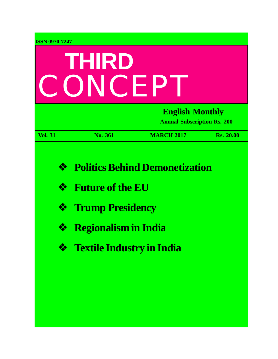| <b>ISSN 0970-7247</b> |                                                    |                                                              |                  |
|-----------------------|----------------------------------------------------|--------------------------------------------------------------|------------------|
|                       | THIRD<br>CONCEP                                    |                                                              |                  |
|                       |                                                    | <b>English Monthly</b><br><b>Annual Subscription Rs. 200</b> |                  |
| <b>Vol. 31</b>        | No. 361                                            | <b>MARCH 2017</b>                                            | <b>Rs. 20.00</b> |
| ❖<br>❖<br>❖           | <b>Future of the EU</b><br><b>Trump Presidency</b> | <b>Politics Behind Demonetization</b>                        |                  |
| ❖                     | <b>Regionalism in India</b>                        |                                                              |                  |
| ❖                     | <b>Textile Industry in India</b>                   |                                                              |                  |
|                       |                                                    |                                                              |                  |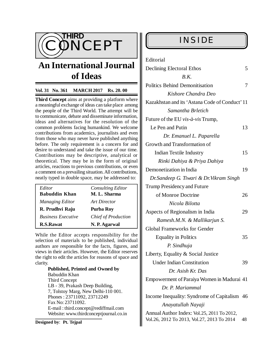

# **An International Journal of Ideas**

### **Vol. 31 No. 361 MARCH 2017 Rs. 20. 00**

**Third Concept** aims at providing a platform where a meaningful exchange of ideas can take place among the people of the Third World. The attempt will be to communicate, debate and disseminate information, ideas and alternatives for the resolution of the common problems facing humankind. We welcome contributions from academics, journalists and even from those who may never have published anything before. The only requirement is a concern for and desire to understand and take the issue of our time. Contributions may be descriptive, analytical or theoretical. They may be in the form of original articles, reactions to previous contributions, or even a comment on a prevailing situation. All contributions, neatly typed in double space, may be addressed to:

| Editor                    | <b>Consulting Editor</b>   |
|---------------------------|----------------------------|
| <b>Babuddin Khan</b>      | M. L. Sharma               |
| <b>Managing Editor</b>    | Art Director               |
| R. Prudhvi Raju           | Purba Roy                  |
| <b>Business Executive</b> | <b>Chief of Production</b> |
| <b>R.S.Rawat</b>          | N. P. Agarwal              |

While the Editor accepts responsibility for the selection of materials to be published, individual authors are responsible for the facts, figures, and views in their articles. However, the Editor reserves the right to edit the articles for reasons of space and clarity.

> **Published, Printed and Owned by** Babuddin Khan Third Concept LB - 39, Prakash Deep Building, 7, Tolstoy Marg, New Delhi-110 001. Phones : 23711092, 23712249 Fax No: 23711092. E-mail : [third.concept@rediffmail.com](mailto:third.concept@rediffmail.com) Website: [www.thirdconceptjournal.co.in](http://www.thirdconceptjournal.co.in)

**Designed by**: **Pt. Tejpal**

| Editorial                                                                                |    |
|------------------------------------------------------------------------------------------|----|
| <b>Declining Electoral Ethos</b>                                                         | 5  |
| B.K.                                                                                     |    |
| <b>Politics Behind Demonitisation</b>                                                    | 7  |
| Kishore Chandra Deo                                                                      |    |
| Kazakhstan and its 'Astana Code of Conduct' 11                                           |    |
| Samantha Brletich                                                                        |    |
| Future of the EU vis-à-vis Trump,                                                        |    |
| Le Pen and Putin                                                                         | 13 |
| Dr. Emanuel L. Paparella                                                                 |    |
| Growth and Transformation of                                                             |    |
| <b>Indian Textile Industry</b>                                                           | 15 |
| Rinki Dahiya & Priya Dahiya                                                              |    |
| Demonetization in India                                                                  | 19 |
| Dr.Sandeep G. Tiwari & Dr.Vikram Singh                                                   |    |
| <b>Trump Presidency and Future</b>                                                       |    |
| of Monroe Doctrine                                                                       | 26 |
| Nicola Bilotta                                                                           |    |
| Aspects of Regionalism in India                                                          | 29 |
| Ramesh.M.N. & Mallikarjun S.                                                             |    |
| <b>Global Frameworks for Gender</b>                                                      |    |
| <b>Equality in Politics</b>                                                              | 35 |
| P. Sindhuja                                                                              |    |
| Liberty, Equality & Social Justice                                                       |    |
| <b>Under Indian Constitution</b>                                                         | 39 |
| Dr. Asish Kr. Das                                                                        |    |
| Empowerment of Paraiya Women in Madurai 41                                               |    |
| Dr. P. Mariammal                                                                         |    |
| Income Inequality: Syndrome of Capitalism 46                                             |    |
| Anayatullah Nayaji                                                                       |    |
| Annual Author Index: Vol.25, 2011 To 2012,<br>Vol.26, 2012 To 2013, Vol.27, 2013 To 2014 | 48 |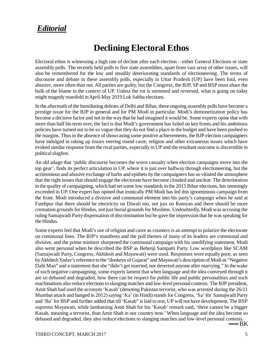## *Editorial*

## **Declining Electoral Ethos**

Electoral ethos is witnessing a high rate of decline after each election – either General Elections or state assembly polls. The recently held polls to five state assemblies, apart from vast array of other issues, will also be remembered for the low and steadily deteriorating standards of electioneering. The terms of discourse and debate in these assembly polls, especially in Uttar Pradesh (UP) have been foul, even abusive, more often than not. All parties are guilty, but the Congress, the BJP, SP and BSP must share the bulk of the blame in the context of UP. Unless the rot is stemmed and reversed, what is going on today might magnify manifold in April-May 2019 Lok Sabha elections.

In the aftermath of the humiliating defeats of Delhi and Bihar, these ongoing assembly polls have become a prestige issue for the BJP in general and for PM Modi in particular. Modi's demonetization policy has become a decisive factor and not in the way that he had imagined it would be. Some experts opine that with more than half his term over, the fact is that Modi's government has failed on key fronts and his ambitious policies have turned out to be so vague that they do not find a place in the budget and have been pushed to the margins. Thus in the absence of showcasing some positive achievements, the BJP election campaigners have indulged in raking up issues veering round caste, religion and other extraneous issues which have evoked similar response from the rival parties, especially in UP and the resultant outcome is discernible in political slugfest.

An old adage that 'public discourse becomes the worst casualty when election campaigns move into the top gear', finds its perfect articulation in UP, where it is just over halfway through electioneering, but the acrimonious and abusive exchange of barbs and epithets by the campaigners has so vitiated the atmosphere that the right issues that should engage the electorate have become clouded and unclear. The deterioration in the quality of campaigning, which had set some low standards in the 2015 Bihar elections, has seemingly exceeded in UP. One expert has opined that ironically PM Modi has led this ignominious campaign from the front. Modi introduced a divisive and communal element into his party's campaign when he said at Fatehpur that there should be electricity on Diwali too, not just on Ramzan and there should be more cremation grounds for Hindus, not just burial grounds for Muslims. Undoubtedly, Modi was accusing the ruling Samajwadi Party dispensation of discrimination but he gave the impression that he was speaking for the Hindus.

Some experts feel that Modi's use of religion and caste as counters is an attempt to polarize the electorate on communal lines. The BJP's manifesto and the poll themes of many of its leaders are communal and divisive, and the prime minister sharpened the communal campaign with his unedifying statement. Modi also went personal when he described the BSP as Behenji Sampatti Party. Low wordplays like SCAM (Samajwadi Party, Congress, Akhilesh and Mayawati) were used. Responses were equally poor, as seen by Akhilesh Yadav's reference to the "donkeys of Gujarat" and Mayawati's description of Modi as "Negative Dalit Man" and a statement that she "didn't get married, nor deserted anyone after marrying." In the wake of such negative campaigning, some experts lament that when language and the idea conveyed through it are so debased and degraded, how there can be respect for public life and public personalities and such machinations also reduce elections to slanging matches and low-level personal contests. The BJP president, Amit Shah had used the acronym 'Kasab' (denoting Pakistan terrorist, who was arrested during the 26/11 Mumbai attack and hanged in 2012) saying 'Ka' (in Hindi) stands for Congress, 'Sa' for Samajwadi Party and 'Ba' for BSP and further added that till 'Kasab" is laid to rest, UP will not have development. The BSP supremo Mayawati, while lambasting Amit Shah for his 'Kasab' remark said, 'there cannot be a bigger Kasab, meaning a terrorist, than Amit Shah in our country now.' When language and the idea become so debased and degraded, they also reduce elections to slanging matches and low-level personal contests.

BK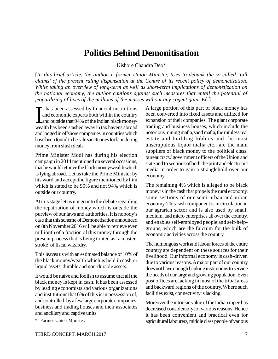## **Politics Behind Demonitisation**

Kishore Chandra Deo\*

[*In this brief article, the author, a former Union Minister, tries to debunk the so-called 'tall claims' of the present ruling dispensation at the Centre of its recent policy of demonetization. While taking an overview of long-term as well as short-term implications of demonetization on the national economy, the author cautions against such measures that entail the potential of jeopardizing of lives of the millions of the masses without any cogent gain.* Ed.]

 $\prod_{i=1}^{n}$ t has been assessed by financial institutions and economic experts both within the country and outside that 94% of the Indian black money/ wealth has been stashed away in tax havens abroad and lodged in offshore companies in countries which have been found to be safe sanctuaries for laundering money from slush deals.

Prime Minister Modi has during his election campaign in 2014 mentioned on several occasions, that he would retrieve the black money/wealth which is lying abroad. Let us take the Prime Minister by his word and accept the figure mentioned by him which is stated to be 90% and not 94% which is outside our country.

At this stage let us not go into the debate regarding the repatriation of money which is outside the purview of our laws and authorities. It is nobody's case that this scheme of Demonetisation announced on 8th November 2016 will be able to retrieve even millionth of a fraction of this money through the present process that is being touted as 'a masterstroke' of fiscal wizardry.

This leaves us with an estimated balance of 10% of the black money/wealth which is held in cash or liquid assets, durable and non-durable assets.

It would be naïve and foolish to assume that all the black money is kept in cash. It has been assessed by leading economists and various organizations and institutions that 6% of this is in possession of, and controlled, by a few large corporate companies, business and trading houses and their associates and ancillary and captive units.

\* Former Union Minister.

A large portion of this part of black money has been converted into fixed assets and utilized for expansion of their companies. The giant corporate trading and business houses, which include the notorious mining mafia, sand mafia, the ruthless real estate and building lobbies and the most unscrupulous liquor mafia etc., are the main suppliers of black money to the political class, bureaucracy/ government officers of the Union and state and to sections of both the print and electronic media in order to gain a stranglehold over our economy.

The remaining 4% which is alleged to be black money is in the cash that propels the rural economy, some sections of our semi-urban and urban economy. This cash component is in circulation in our agrarian sector and is also used by small, medium, and micro enterprises all over the country, and enables self-employed people and self-helpgroups, which are the fulcrum for the bulk of economic activities across the country.

The humongous work and labour forces of the entire country are dependent on these sources for their livelihood. Our informal economy is cash-driven due to various reasons. A major part of our country does not have enough banking institutions to service the needs of our large and growing population. Even post offices are lacking in most of the tribal areas and backward regions of the country. Where such facilities exist, connectivity is lacking.

Moreover the intrinsic value of the Indian rupee has decreased considerably for various reasons. Hence it has been convenient and practical even for agricultural labourers, middle class people of various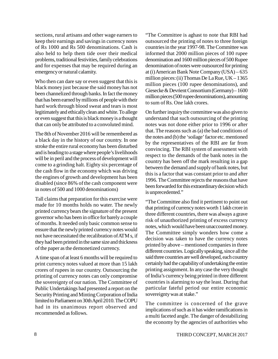sections, rural artisans and other wage earners to keep their earnings and savings in currency notes of Rs 1000 and Rs 500 denominations. Cash is also held to help them tide over their medical problems, traditional festivities, family celebrations and for expenses that may be required during an emergency or natural calamity.

Who then can dare say or even suggest that this is black money just because the said money has not been channelized through banks. In fact the money that has been earned by millions of people with their hard work through blood sweat and tears is most legitimately and ethically clean and white. To allege or even suggest that this is black money is a thought that can only be attributed to a convoluted mind.

The 8th of November 2016 will be remembered as a black day in the history of our country. In one stroke the entire rural economy has been disturbed and is heading to a stage where people's livelihoods will be in peril and the process of development will come to a grinding halt. Eighty six percentage of the cash flow in the economy which was driving the engines of growth and development has been disabled (since 86% of the cash component were in notes of 500 and 1000 denominations)

Tall claims that preparation for this exercise were made for 10 months holds no water. The newly printed currency bears the signature of the present governor who has been in office for barely a couple of months. It needed only basic common sense to ensure that the newly printed currency notes would not have necessitated the recalibration of ATM s, if they had been printed in the same size and thickness of the paper as the demonetized currency.

A time span of at least 6 months will be required to print currency notes valued at more than 15 lakh crores of rupees in our country. Outsourcing the printing of currency notes can only compromise the sovereignty of our nation. The Committee of Public Undertakings had presented a report on the Security Printing and Minting Corporation of India limited to Parliament on 30th April 2010. The COPU had in its unanimous report observed and recommended as follows.

"The Committee is aghast to note that RBI had outsourced the printing of notes to three foreign countries in the year 1997-98. The Committee was informed that 2000 million pieces of 100 rupee denomination and 1600 million pieces of 500 Rupee denomination of notes were outsourced for printing at (i) American Bank Note Company (USA) – 635 million pieces: (ii) Thomas De La Rue,  $UK-1365$ million pieces (100 rupee denominations), and Giesecke & Devrient Consortium (Germany) – 1600 million pieces (500 rupee denominations), amounting to sum of Rs. One lakh crores.

On further inquiry the committee was also given to understand that such outsourcing of the printing notes was not done either prior to 1996 or after that. The reasons such as (a) the bad conditions of the notes and (b) the 'soilage' factor etc. mentioned by the representatives of the RBI are far from convincing. The RBI system of assessment with respect to the demands of the bank notes in the country has been off the mark resulting in a gap between the demand and supply of bank notes, but this is a factor that was constant prior to and after 1996. The Committee rejects the reasons that have been forwarded for this extraordinary decision which is unprecedented."

"The Committee also find it pertinent to point out that printing of currency notes worth 1 lakh crore in three different countries, there was always a grave risk of unauthorized printing of excess currency notes, which would have been unaccounted money. The Committee simply wonders how come a decision was taken to have the currency notes printed by above – mentioned companies in three different countries. Logically speaking, since all the said three countries are well developed, each country certainly had the capability of undertaking the entire printing assignment. In any case the very thought of India's currency being printed in three different countries is alarming to say the least. During that particular fateful period our entire economic sovereignty was at stake."

The committee is concerned of the grave implications of such as it has wider ramifications in a multi faceted angle. The danger of destabilizing the economy by the agencies of authorities who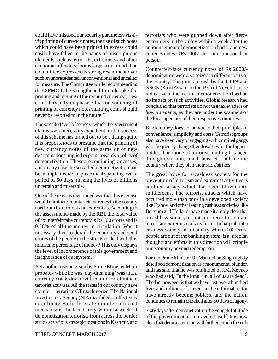could have misused our security parameters *vis-àvis* printing of currency notes, the use of such notes which could have been printed in excess could easily have fallen in the hands of unscrupulous elements such as terrorists, extremists and other economic offenders, looms large in our mind. The Committee expresses its strong resentment over such an unprecedented, unconventional and uncalled for measure. The Committee while recommending that SPMCIL be strengthened to undertake the printing and minting of the required currency notes/ coins fervently emphasise that outsourcing of printing of currency notes/minting coins should never be resorted to in the future."

The so called 'veil of secrecy' which the government claims was a necessary expedient for the success of this scheme has turned out to be a damp squib. It is preposterous to presume that the printing of new currency notes of the same or of new denominations implied or point towards a policy of demonetization. These are continuing processes, and in any case the so called demonetization has been implemented in piece meal spanning over a period of 50 days, making the lives of millions uncertain and miserable.

One of the reasons mentioned was that this exercise would eliminate counterfeit currency in the country used both by terrorist and extremists. According to the assessments made by the RBI, the total value of counterfeit/fake currency is Rs 400 crores and is 0.28% of all the money in circulation. Was it necessary then to derail the economy and send crores of the people to the streets to deal with this miniscule percentage of money? This only displays the level of incompetence of this government and its ignorance of our system.

Yet another reason given by Prime Minister Modi probably while he was 'day-dreaming' was that a currency crack down will control or eliminate terrorist activists. All the states in our country have counter – terrorism CT machineries. The National Investigatory Agency (NIA) has failed to effectively coordinate with the state counter-terrorist mechanisms. In fact barely within a week of demonetization terrorists from across the border struck at various strategic locations in Kashmir, and terrorists who were gunned down after fierce encounters in the valley within a week after the announcement of demonetization had brand new currency notes of Rs 2000/- denominations on their person.

Counterfeit/fake currency notes of Rs 2000/ denomination were also seized in different parts of the country. The joint ambush by the ULFA and NSCN (K) in Assam on the 19th of November are indicative of the fact that demonetization has had no impact on such activities. Global research had concluded that terrorists do not use tax evaders or *hawala* agents, as they are under the scanners of the local agencies of their respective countries.

Black money does not adhere to their principles of convenience, simplicity and costs. Terrorist groups also have been vary of engaging with criminal gangs who frequently change their loyalties for the highest bidder. The mode of terrorist funding has been through extortion, fraud, heist etc. outside the country where they plan their raids/strikes.

The great hype for a cashless society for the prevention of terrorism and extremist activities is another fallacy which has been blown into smithereens. The terrorist attacks which have occurred more than once in a developed society like France, and other leading cashless societies like Belgium and Holland, have made it amply clear that a cashless society is not a criteria to contain terrorism/extremism of any form. To harp about a cashless society in a country where 100 crore people are out of the banking system, is a 'utopian thought' and efforts in this direction will cripple our economy beyond redemption.

Former Prime Minister Dr. Manmohan Singh rightly described demonetization as a monumental blunder, and has said that he was reminded of J.M. Keynes who had said, 'In the long run, all of us are dead'. The fact however is that we have lost over a hundred lives and millions of citizens in the informal sector have already become jobless, and the nation continues to remain chocked after 50 days of agony.

Sixty days after demonetization the vengeful attitude of the government has unraveled itself. It is now clear that demonetization will further enrich the rich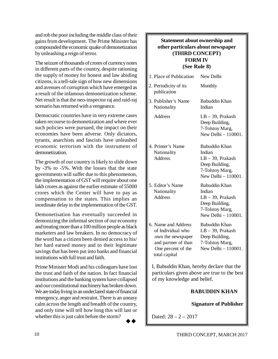and rob the poor including the middle class of their gains from development. The Prime Minister has compounded the economic quake of demonetization by unleashing a reign of terror.

The seizure of thousands of crores of currency notes in different parts of the country, despite rationing the supply of money for honest and law abiding citizens, is a tell-tale sign of how new dimensions and avenues of corruption which have emerged as a result of the infamous demonetization scheme. Net result is that the neo-inspector raj and raid-raj scenario has returned with a vengeance.

Democratic countries have in very extreme cases taken recourse to demonetization and where ever such policies were pursued, the impact on their economies have been adverse. Only dictators, tyrants, anarchists and fascists have unleashed economic terrorism with the instrument of demonetization.

The growth of our country is likely to slide down by -3% to -5%. With the losses that the state governments will suffer due to this phenomenon, the implementation of GST will require about one lakh crores as against the earlier estimate of 55000 crores which the Center will have to pay as compensation to the states. This implies an inordinate delay in the implementation of the GST.

Demonetisation has eventually succeeded in demonizing the informal section of our economy and treating more than a 100 million people as black marketers and law breakers. In no democracy of the word has a citizen been denied access to his/ her hard earned money and to their legitimate savings that has been put into banks and financial institutions with full trust and faith.

Prime Minister Modi and his colleagues have lost the trust and faith of the nation. In fact financial institutions and the banking system have collapsed and our constitutional machinery has broken down. We are today living in an undeclared state of financial emergency, anger and restraint. There is an uneasy calm across the length and breadth of the country, and only time will tell how long this will last or whether this is just calm before the storm?

 $\rightarrow \rightarrow$ 

## **Statement about ownership and other particulars about newspaper (THIRD CONCEPT) FORM IV (See Rule 8)**

| 1. Place of Publication                                                                                                     | New Delhi                                                                                                  |
|-----------------------------------------------------------------------------------------------------------------------------|------------------------------------------------------------------------------------------------------------|
| 2. Periodicity of its<br>publication                                                                                        | Monthly                                                                                                    |
| 3. Publisher's Name<br>Nationality                                                                                          | Babuddin Khan<br>Indian                                                                                    |
| Address                                                                                                                     | $LB - 39$ , Prakash<br>Deep Building,<br>7-Tolstoy Marg,<br>New Delhi - 110001.                            |
| 4. Printer's Name<br>Nationality<br>Address                                                                                 | Babuddin Khan<br>Indian<br>LB-39, Prakash<br>Deep Building,<br>7-Tolstoy Marg,<br>New Delhi - 110001.      |
| 5. Editor's Name<br>Nationality<br><b>Address</b>                                                                           | Babuddin Khan<br>Indian<br>$LB - 39$ , Prakash<br>Deep Building,<br>7-Tolstoy Marg,<br>New Delhi - 110001. |
| 6. Name and Address<br>of Individual who<br>own the newspaper<br>and partner of than<br>One percent of the<br>total capital | <b>Babuddin Khan</b><br>$LB - 39$ , Prakash<br>Deep Building,<br>7-Tolstoy Marg,<br>New Delhi - 110001.    |
| I Rabuddin Khan hereby declare that the                                                                                     |                                                                                                            |

 I, Babuddin Khan, hereby declare that the particulars given above are true to the best of my knowledge and belief.

## **BABUDDIN KHAN**

**Signature of Publisher**

Dated: 28 – 2 – 2017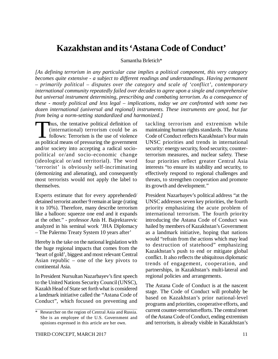## **Kazakhstan and its 'Astana Code of Conduct'**

Samantha Brletich\*

*[As defining terrorism in any particular case implies a political component, this very category becomes quite extensive - a subject to different readings and understandings. Having permanent – primarily political – disputes over the category and scale of 'conflict', contemporary international community repeatedly failed over decades to agree upon a single and comprehensive but universal instrument determining, prescribing and combating terrorism. As a consequence of these - mostly political and less legal – implications, today we are confronted with some two dozen international (universal and regional) instruments. These instruments are good, but far from being a norm-setting standardized and harmonized.]*

Thus, the tentative political definition of (international) terrorism could be as follows: Terrorism is the use of violence as political means of pressuring the government hus, the tentative political definition of (international) terrorism could be as follows: Terrorism is the use of violence and/or society into accepting a radical sociopolitical or/and socio-economic change (ideological or/and territorial). The word 'terrorist' is obviously self-incriminating (demonizing and alienating), and consequently most terrorists would not apply the label to themselves.

Experts estimate that for every apprehended/ detained terrorist another 9 remain at large (rating it to 10%). Therefore, many describe terrorism like a balloon: squeeze one end and it expands at the other." - professor Anis H. Bajrektarevic analyzed in his seminal work 'JHA Diplomacy – The Palermo Treaty System 10 years after'

Hereby is the take on the national legislation with the huge regional impacts that comes from the 'heart of gold', biggest and most relevant Central Asian republic – one of the key pivots to continental Asia.

In President Nursultan Nazarbayev's first speech to the United Nations Security Council (UNSC), Kazakh Head of State set forth what is considered a landmark initiative called the "Astana Code of Conduct", which focused on preventing and

tackling terrorism and extremism while maintaining human rights standards. The Astana Code of Conduct reflects Kazakhstan's four main UNSC priorities and trends in international security: energy security, food security, counterterrorism measures, and nuclear safety. These four priorities reflect greater Central Asia interests "to ensure its stability and security, to effectively respond to regional challenges and threats, to strengthen cooperation and promote its growth and development."

President Nazarbayev's political address "at the UNSC addresses seven key priorities, the fourth priority emphasizing the acute problem of international terrorism. The fourth priority introducing the Astana Code of Conduct was hailed by members of Kazakhstan's Government as a landmark initiative, hoping that nations would "refrain from the actions which may lead to destruction of statehood" emphasizing Kazakhstan's push to end or mitigate global conflict. It also reflects the ubiquitous diplomatic trends of engagement, cooperation, and partnerships, in Kazakhstan's multi-lateral and regional policies and arrangements.

The Astana Code of Conduct is at the nascent stage. The Code of Conduct will probably be based on Kazakhstan's prior national-level programs and priorities, cooperative efforts, and current counter-terrorism efforts. The central tenet of the Astana Code of Conduct, ending extremism and terrorism, is already visible in Kazakhstan's

<sup>\*</sup> Researcher on the region of Central Asia and Russia. She is an employee of the U.S. Government and opinions expressed in this article are her own.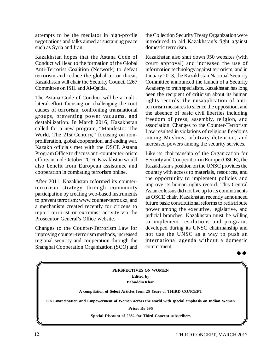attempts to be the mediator in high-profile negotiations and talks aimed at sustaining peace such as Syria and Iran.

Kazakhstan hopes that the Astana Code of Conduct will lead to the formation of the Global Anti-Terrorist Coalition (Network) to defeat terrorism and reduce the global terror threat. Kazakhstan will chair the Security Council 1267 Committee on ISIL and Al-Qaida.

The Astana Code of Conduct will be a multilateral effort focusing on challenging the root causes of terrorism, confronting transnational groups, preventing power vacuums, and destabilization. In March 2016, Kazakhstan called for a new program, "Manifesto: The World, The 21st Century," focusing on nonproliferation, global cooperation, and ending war. Kazakh officials met with the OSCE Astana Program Office to discuss anti-counter terrorism efforts in mid-October 2016. Kazakhstan would also benefit from European assistance and cooperation in combating terrorism online.

After 2011, Kazakhstan reformed its counterterrorism strategy through community participation by creating web-based instruments to prevent terrorism: [www.counter-terror.kz,](http://www.counter-terror.kz,) and a mechanism created recently for citizens to report terrorist or extremist activity via the Prosecutor General's Office website.

Changes to the Counter-Terrorism Law for improving counter-terrorism methods, increased regional security and cooperation through the Shanghai Cooperation Organization (SCO) and the Collection Security Treaty Organization were introduced to aid Kazakhstan's fight against domestic terrorism.

Kazakhstan also shut down 950 websites (with court approval) and increased the use of information technology against terrorism, and in January 2013, the Kazakhstan National Security Committee announced the launch of a Security Academy to train specialists. Kazakhstan has long been the recipient of criticism about its human rights records, the misapplication of antiterrorism measures to silence the opposition, and the absence of basic civil liberties including freedom of press, assembly, religion, and association. Changes to the Counter-Terrorism Law resulted in violations of religious freedoms among Muslims, arbitrary detention, and increased powers among the security services.

Like its chairmanship of the Organization for Security and Cooperation in Europe (OSCE), the Kazakhstan's position on the UNSC provides the country with access to materials, resources, and the opportunity to implement policies and improve its human rights record. This Central Asian colossus did not live up to its commitments as OSCE chair. Kazakhstan recently announced future basic constitutional reforms to redistribute power among the executive, legislative, and judicial branches. Kazakhstan must be willing to implement resolutions and programs developed during its UNSC chairmanship and not use the UNSC as a way to push an international agenda without a domestic commitment.



**PERSPECTIVES ON WOMEN Edited by Babuddin Khan A compilation of Select Articles from 25 Years of THIRD CONCEPT On Emancipation and Empowerment of Women across the world with special emphasis on Indian Women Price: Rs 695 Special Discount of 25% for Third Concept subscribers**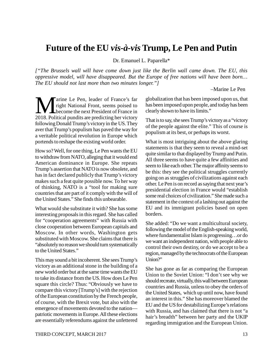## **Future of the EU** *vis-à-vis* **Trump, Le Pen and Putin**

Dr. Emanuel L. Paparella\*

*["The Brussels wall will have come down just like the Berlin wall came down. The EU, this oppressive model, will have disappeared. But the Europe of free nations will have been born… The EU should not last more than two minutes longer."]*

–Marine Le Pen

**M EXECUTE:** Tright National Front, seems poised to<br>
2018. Political pundits are predicting her victory arine Le Pen, leader of France's far right National Front, seems poised to **Exercise 1** become the next President of France in following Donald Trump's victory in the US. They aver that Trump's populism has paved the way for a veritable political revolution in Europe which portends to reshape the existing world order.

How so? Well, for one thing, Le Pen wants the EU to withdraw from NATO, alleging that it would end American dominance in Europe. She repeats Trump's assertion that NATO is now obsolete, and has in fact declared publicly that Trump's victory makes such a feat quite possible now. To her way of thinking, NATO is a "tool for making sure countries that are part of it comply with the will of the United States." She finds this unbearable.

What would she substitute it with? She has some interesting proposals in this regard. She has called for "cooperation agreements" with Russia with close cooperation between European capitals and Moscow. In other words, Washington gets substituted with Moscow. She claims that there is "absolutely no reason we should turn systematically to the United States."

This may sound a bit incoherent. She sees Trump's victory as an additional stone in the building of a new world order but at the same time wants the EU to take its distance from the US. How does Le Pen square this circle? Thus: "Obviously we have to compare this victory [Trump's] with the rejection of the European constitution by the French people, of course, with the Brexit vote, but also with the emergence of movements devoted to the nation patriotic movements in Europe. All these elections are essentially referendums against the unfettered globalization that has been imposed upon us, that has been imposed upon people, and today has been clearly shown to have its limits."

That is to say, she sees Trump's victory as a "victory of the people against the elite." This of course is populism at its best, or perhaps its worst.

What is most intriguing about the above glaring statements is that they seem to reveal a mind-set quite similar to that displayed by Trump and Putin. All three seems to have quite a few affinities and seem to like each other. The major affinity seems to be this: they see the political struggles currently going on as struggles of civilizations against each other. Le Pen is on record as saying that next year's presidential election in France would "establish some real choices of civilization." She made such a statement in the context of a lashing out against the EU and its immigrant policies based on open borders.

She added: "Do we want a multicultural society, following the model of the English-speaking world, where fundamentalist Islam is progressing…or do we want an independent nation, with people able to control their own destiny, or do we accept to be a region, managed by the technocrats of the European Union?"

She has gone as far as comparing the European Union to the Soviet Union: "I don't see why we should recreate, virtually, this wall between European countries and Russia, unless to obey the orders of the United States, which up until now, have found an interest in this." She has moreover blamed the EU and the US for destabilizing Europe's relations with Russia, and has claimed that there is not "a hair's breadth" between her party and the UKIP regarding immigration and the European Union.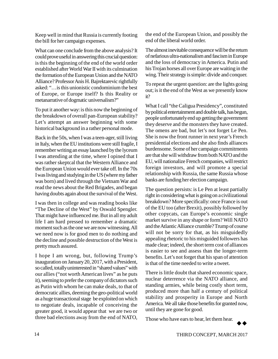Keep well in mind that Russia is currently footing the bill for her campaign expenses.

What can one conclude from the above analysis? It could prove useful in answering this crucial question: is this the beginning of the end of the world order established after World War II with its culmination the formation of the European Union and the NATO Alliance? Professor Anis H. Bajrektarevic rightfully asked: "…is this unionistic condominium the best of Europe, or Europe itself? Is this Reality or metanarrative of dogmatic universalism?"

To put it another way: is this now the beginning of the breakdown of overall pan-European stability? Let's attempt an answer beginning with some historical background in a rather personal mode.

Back in the 50s, when I was a teen-ager, still living in Italy, when the EU institutions were still fragile, I remember writing an essay launched by the lyceum I was attending at the time, where I opined that I was rather skeptcal that the Western Alliance and the European Union would ever take off. In the 70s I was living and studying in the US (where my father was born) and lived through the Vietnam War and read the news about the Red Brigades, and began having doubts again about the survival of the West.

I was then in college and was reading books like "The Decline of the West" by Oswald Spengler. That might have influenced me. But in all my adult life I am hard pressed to remember a dramatic moment such as the one we are now witnessing. All we need now is for good men to do nothing and the decline and possible destruction of the West is pretty much assured.

I hope I am wrong, but, following Trump's inauguration on January 20, 2017, with a President, so called, totally uninterested in "shared values" with our allies ("not worth American lives" as he puts it), seeming to prefer the company of dictators such as Putin with whom he can make deals, to that of democratic allies, deeming the geo-political world as a huge transactional stage be exploited on which to negotiate deals, incapable of conceiving the greater good, it would appear that we are two or three bad elections away from the end of NATO, the end of the European Union, and possibly the end of the liberal world order.

The almost inevitable consequence will be the return of nefarious ultra-nationalism and fascism in Europe and the loss of democracy in America. Putin and his Trojan horses all over Europe are waiting in the wing. Their strategy is simple: divide and conquer.

To repeat the urgent question: are the lights going out; is it the end of the West as we presently know it?

What I call "the Caligua Presidency", constituted by political entertainment and double talk, has begun, people unfortunately end up getting the government they deserve and the monsters they have created. The omens are bad, but let's not forget Le Pen. She is now the front runner in next year's French presidential elections and she also finds alliances burdensome. Some of her campaign commitments are that she will withdraw from both NATO and the EU, will nationalize French companies, will restrict foreign investors, and will promote a special relationship with Russia, the same Russia whose banks are funding her election campaign.

The question persists: is Le Pen at least partially right in considering what is going on a civilizational breakdown? More specifically: once France is out of the EU too (after Brexit), possibly followed by other copycats, can Europe's economic single market survive in any shape or form? Will NATO and the Atlantic Alliance crumble? Trump of course will not be sorry for that, as his misguidedly appealing rhetoric to his misguided followers has made clear; indeed, the short term cost of alliances is easier to see and assess than the longer-term benefits. Let's not forget that his span of attention is that of the time needed to write a tweet.

There is little doubt that shared economic space, nuclear deterrence via the NATO alliance, and standing armies, while being costly short term, produced more than half a century of political stability and prosperity in Europe and North America. We all take those benefits for granted now, until they are gone for good.

Those who have ears to hear, let them hear.

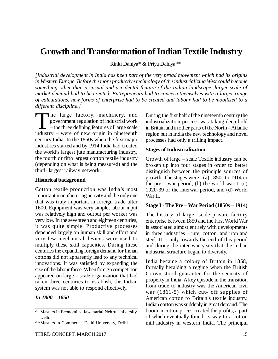## **Growth and Transformation of Indian Textile Industry**

Rinki Dahiya\* & Priya Dahiya\*\*

*[Industrial development in India has been part of the very broad movement which had its origins in Western Europe. Before the more productive technology of the industrializing West could become something other than a casual and accidental feature of the Indian landscape, larger scale of market demand had to be created. Entrepreneurs had to concern themselves with a larger range of calculations, new forms of enterprise had to be created and labour had to be mobilized to a different discipline.]*

 $\prod_{\text{indust}}$ he large factory, machinery, and government regulation of industrial work – the three defining features of large scale industry – were of new origin in nineteenth century India. In the 1850s when the first major industries started and by 1914 India had created the world's largest jute manufacturing industry, the fourth or fifth largest cotton textile industry (depending on what is being measured) and the third- largest railway network.

#### **Historical background**

Cotton textile production was India's most important manufacturing activity and the only one that was truly important in foreign trade after 1600. Equipment was very simple, labour input was relatively high and output per worker was very low. In the seventeen and eighteen centuries, it was quite simple. Productive processes depended largely on human skill and effort and very few mechanical devices were used to multiply these skill capacities. During these centuries the expanding foreign demand for Indian cottons did not apparently lead to any technical innovations. It was satisfied by expanding the size of the labour force. When foreign competition appeared on large – scale organization that had taken three centuries to establish, the Indian system was not able to respond effectively.

## *In 1800 – 1850*

During the first half of the nineteenth century the industrialization process was taking deep hold in Britain and in other parts of the North – Atlantic region but in India the new technology and novel processes had only a trifling impact.

#### **Stages of Industrialization**

Growth of large – scale Textile industry can be broken up into four stages in order to better distinguish between the principle sources of growth. The stages were : (a) 1850s to 1914 or the pre – war period, (b) the world war I,  $(c)$ 1920-39 or the interwar period, and (d) World War II.

#### **Stage I - The Pre – War Period (1850s – 1914)**

The history of large- scale private factory enterprise between 1850 and the First World War is associated almost entirely with developments in three industries – jute, cotton, and iron and steel. It is only towards the end of this period and during the inter-war years that the Indian industrial structure began to diversify.

India became a colony of Britain in 1858, formally heralding a regime when the British Crown stood guarantee for the security of property in India. A key episode in the transition from trade to industry was the American civil war (1861-5) which cut- off supplies of American cotton to Britain's textile industry. Indian cotton was suddenly in great demand. The boom in cotton prices created the profits, a part of which eventually found its way to a cotton mill industry in western India. The principal

<sup>\*</sup> Masters in Economics, Jawaharlal Nehru University, Delhi.

<sup>\*\*</sup>Masters in Commerce, Delhi University, Delhi.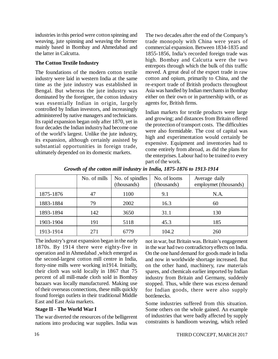industries in this period were cotton spinning and weaving, jute spinning and weaving the former mainly based in Bombay and Ahmedabad and the latter in Calcutta.

## **The Cotton Textile Industry**

The foundations of the modern cotton textile industry were laid in western India at the same time as the jute industry was established in Bengal. But whereas the jute industry was dominated by the foreigner, the cotton industry was essentially Indian in origin, largely controlled by Indian investors, and increasingly administered by native managers and technicians. Its rapid expansion began only after 1870, yet in four decades the Indian industry had become one of the world's largest. Unlike the jute industry, its expansion, although certainly assisted by substantial opportunities in foreign trade, ultimately depended on its domestic markets.

The two decades after the end of the Company's trade monopoly with China were years of commercial expansion. Between 1834-1835 and 1855-1856, India's recorded foreign trade was high. Bombay and Calcutta were the two entrepots through which the bulk of this traffic moved. A great deal of the export trade in raw cotton and opium, primarily to China, and the re-export trade of British products throughout Asia was handled by Indian merchants in Bombay either on their own or in partnership with, or as agents for, British firms.

Indian markets for textile products were large and growing; and distances from Britain offered the protection of transport costs. The difficulties were also formidable. The cost of capital was high and experimentation would certainly be expensive. Equipment and inventories had to come entirely from abroad, as did the plans for the enterprises. Labour had to be trained to every part of the work.

|           | No. of mills | No. of spindles<br>(thousands) | No. of looms<br>(thousands) | Average daily<br>employmet (thousands) |
|-----------|--------------|--------------------------------|-----------------------------|----------------------------------------|
| 1875-1876 | 47           | 1100                           | 9.1                         | N.A.                                   |
| 1883-1884 | 79           | 2002                           | 16.3                        | 60                                     |
| 1893-1894 | 142          | 3650                           | 31.1                        | 130                                    |
| 1903-1904 | 191          | 5118                           | 45.3                        | 185                                    |
| 1913-1914 | 271          | 6779                           | 104.2                       | 260                                    |

*Growth of the cotton mill industry in India, 1875-1876 to 1913-1914*

The industry's great expansion began in the early 1870s. By 1914 there were eighty-five in operation and in Ahmedabad ,which emerged as the second-largest cotton mill centre in India, forty-nine mills were working in1914. Initially, their cloth was sold locally in 1867 that 75 percent of all mill-made cloth sold in Bombay bazaars was locally manufactured. Making use of their overseas connections, these mills quickly found foreign outlets in their traditional Middle East and East Asia markets.

## **Stage II - The World War I**

The war diverted the resources of the belligerent nations into producing war supplies. India was not in war, but Britain was. Britain's engagement in the war had two contradictory effects on India. On the one hand demand for goods made in India and now in worldwide shortage increased. But on the other hand, machinery, raw materials spares, and chemicals earlier imported by Indian industry from Britain and Germany, suddenly stopped. Thus, while there was excess demand for Indian goods, there were also supply bottlenecks.

Some industries suffered from this situation. Some others on the whole gained. An example of industries that were badly affected by supply constraints is handloom weaving, which relied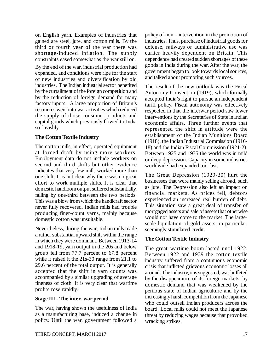on English yarn. Examples of industries that gained are steel, jute, and cotton mills. By the third or fourth year of the war there was shortage-induced inflation. The supply constraints eased somewhat as the war still on.

By the end of the war, industrial production had expanded, and conditions were ripe for the start of new industries and diversification by old industries. The Indian industrial sector benefited by the curtailment of the foreign competition and by the reduction of foreign demand for many factory inputs. A large proportion of Britain's resources went into war activities which reduced the supply of those consumer products and capital goods which previously flowed to India so lavishly.

## **The Cotton Textile Industry**

The cotton mills, in effect, operated equipment at forced draft by using more workers. Employment data do not include workers on second and third shifts but other evidence indicates that very few mills worked more than one shift. It is not clear why there was no great effort to work multiple shifts. It is clear that domestic handloom output suffered substantially, falling by one-third between the two periods. This was a blow from which the handicraft sector never fully recovered. Indian mills had trouble producing finer-count yarns, mainly because domestic cotton was unsuitable.

Nevertheless, during the war, Indian mills made a rather substantial upward shift within the range in which they were dominant. Between 1913-14 and 1918-19, yarn output in the 20s and below group fell from 77.7 percent to 67.8 percent while it raised it the 21s-30 range from 21.1 to 29.6 percent of the total output. It is generally accepted that the shift in yarn counts was accompanied by a similar upgrading of average fineness of cloth. It is very clear that wartime profits rose rapidly.

## **Stage III - The inter- war period**

The war, having shown the usefulness of India as a manufacturing base, induced a change in policy. Until the war, government followed a policy of non – intervention in the promotion of industries. Thus, purchase of industrial goods for defense, railways or administrative use was earlier heavily dependent on Britain. This dependence had created sudden shortages of these goods in India during the war. After the war, the government began to look towards local sources, and talked about promoting such sources.

The result of the new outlook was the Fiscal Autonomy Convention (1919), which formally accepted India's right to pursue an independent tariff policy. Fiscal autonomy was effectively respected in that the interwar period saw fewer interventions by the Secretaries of State in Indian economic affairs. Three further events that represented the shift in attitude were the establishment of the Indian Munitions Board (1918), the Indian Industrial Commission (1916- 18) and the Indian Fiscal Commission (1921-2). Between 1925 and 1935 the world was in mild or deep depression. Capacity in some industries worldwide had expanded too fast.

The Great Depression (1929-30) hurt the businesses that were mainly selling abroad, such as jute. The Depression also left an impact on financial markets. As prices fell, debtors experienced an increased real burden of debt. This situation saw a great deal of transfer of mortgaged assets and sale of assets that otherwise would not have come to the market. The largescale liquidation of gold assets, in particular, seemingly stimulated credit.

## **The Cotton Textile Industry**

The great wartime boom lasted until 1922. Between 1922 and 1939 the cotton textile industry suffered from a continuous economic crisis that inflicted grievous economic losses all around. The industry, it is suggested, was buffeted by the disappearance of its foreign markets, by domestic demand that was weakened by the perilous state of Indian agriculture and by the increasingly harsh competition from the Japanese who could outsell Indian producers across the board. Local mills could not meet the Japanese threat by reducing wages because that provoked wracking strikes.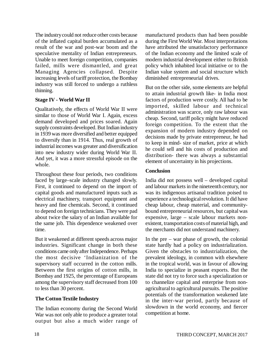The industry could not reduce other costs because of the inflated capital burden accumulated as a result of the war and post-war boom and the speculative mentality of Indian entrepreneurs. Unable to meet foreign competition, companies failed, mills were dismantled, and great Managing Agencies collapsed. Despite increasing levels of tariff protection, the Bombay industry was still forced to undergo a ruthless thinning.

## **Stage IV - World War II**

Qualitatively, the effects of World War II were similar to those of World War I. Again, excess demand developed and prices soared. Again supply constraints developed. But Indian industry in 1939 was more diversified and better equipped to diversify than in 1914. Thus, real growth of industrial incomes was greater and diversification into new industry wider during World War II. And yet, it was a more stressful episode on the whole.

Throughout these four periods, two conditions faced by large–scale industry changed slowly. First, it continued to depend on the import of capital goods and manufactured inputs such as electrical machinery, transport equipment and heavy and fine chemicals. Second, it continued to depend on foreign technicians. They were pad about twice the salary of an Indian available for the same job. This dependence weakened over time.

But it weakened at different speeds across major industries. Significant change in both these conditions came only after Independence. Perhaps the most decisive 'Indianization of the supervisory staff occurred in the cotton mills. Between the first origins of cotton mills, in Bombay and 1925, the percentage of Europeans among the supervisory staff decreased from 100 to less than 30 percent.

## **The Cotton Textile Industry**

The Indian economy during the Second World War was not only able to produce a greater total output but also a much wider range of manufactured products than had been possible during the First World War. Most interpretations have attributed the unsatisfactory performance of the Indian economy and the limited scale of modern industrial development either to British policy which inhabited local initiative or to the Indian value system and social structure which diminished entrepreneurial drives.

But on the other side, some elements are helpful to attain industrial growth like- in India most factors of production were costly. All had to be imported, skilled labour and technical administration was scarce, only raw labour was cheap. Second, tariff policy might have reduced foreign competition. To the extent that the expansion of modern industry depended on decisions made by private entrepreneur, he had to keep in mind- size of market, price at which he could sell and his costs of production and distribution- there was always a substantial element of uncertainty in his projections.

## **Conclusion**

India did not possess well – developed capital and labour markets in the nineteenth century, nor was its indigenous artisanal tradition poised to experience a technological revolution. It did have cheap labour, cheap material, and communitybound entrepreneurial resources, but capital was expensive, large – scale labour markets nonexistent, transportation costs of material high, and the merchants did not understand machinery.

In the pre – war phase of growth, the colonial state hardly had a policy on industrialization. Given the obstacles to industrialization, the prevalent ideology, in common with elsewhere in the tropical world, was in favour of allowing India to specialize in peasant exports. But the state did not try to force such a specialization or to channelize capital and enterprise from nonagricultural to agricultural pursuits. The positive potentials of the transformation weakened late in the inter-war period, partly because of slowdown in the world economy, and fiercer competition at home.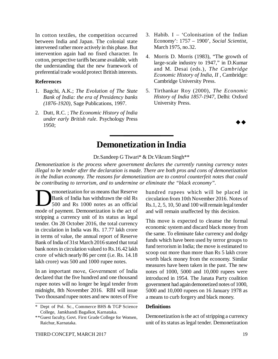In cotton textiles, the competition occurred between India and Japan. The colonial state intervened rather more actively in this phase. But intervention again had no fixed character. In cotton, perspective tariffs became available, with the understanding that the new framework of preferential trade would protect British interests.

### **References**

- 1. Bagchi, A.K.; *The Evolution of The State Bank of India: the era of Presidency banks (1876-1920)*, Sage Publications, 1997.
- 2. Dutt, R.C. ; *The Economic History of India under early British rule*. Psychology Press 1950;
- 3. Habib.  $I 'Colonisation$  of the Indian Economy': 1757 – 1900', *Social Scientist*, March 1975, no.32.
- 4. Morris D. Morris (1983), "The growth of large-scale industry to 1947," in D.Kumar and M. Desai (eds.), *The Cambridge Economic History of India, II* , Cambridge: Cambridge University Press.
- 5. Tirthankar Roy (2000), *The Economic History of India 1857-1947*, Delhi: Oxford University Press.

 $\rightarrow \rightarrow$ 

## **Demonetization in India**

Dr.Sandeep G Tiwari\* & Dr.Vikram Singh\*\*

*Demonetization is the process where government declares the currently running currency notes illegal to be tender after the declaration is made. There are both pros and cons of demonetization in the Indian economy. The reasons for demonetization are to control counterfeit notes that could be contributing to terrorism, and to undermine or eliminate the "black economy".*

**EXECUTE:** Bank of India has withdrawn the old Rs 500 and Rs 1000 notes as an official mode of payment. Demonetization is the act of emonetization for us means that Reserve Bank of India has withdrawn the old Rs 500 and Rs 1000 notes as an official stripping a currency unit of its status as legal tender. On 28 October 2016, the total currency in circulation in India was Rs. 17.77 lakh crore in terms of value, the annual report of Reserve Bank of India of 31st March 2016 stated that total bank notes in circulation valued to Rs.16.42 lakh crore of which nearly 86 per cent (i.e. Rs. 14.18 lakh crore) was 500 and 1000 rupee notes.

In an important move, Government of India declared that the five hundred and one thousand rupee notes will no longer be legal tender from midnight, 8th November 2016. RBI will issue Two thousand rupee notes and new notes of Five hundred rupees which will be placed in circulation from 10th November 2016. Notes of Rs.1, 2, 5, 10, 50 and 100 will remain legal tender and will remain unaffected by this decision.

This move is expected to cleanse the formal economic system and discard black money from the same. To eliminate fake currency and dodgy funds which have been used by terror groups to fund terrorism in India; the move is estimated to scoop out more than more than Rs 5 lakh crore worth black money from the economy. Similar measures have been taken in the past. The new notes of 1000, 5000 and 10,000 rupees were introduced in 1954. The Janata Party coalition government had again demonetized notes of 1000, 5000 and 10,000 rupees on 16 January 1978 as a means to curb forgery and black money.

### **Definitions**

Demonetization is the act of stripping a currency unit of its status as legal tender. Demonetization

Dept of Pol. Sc., Commerce BHS & TGP Science College, Jamkhandi Bagalkot, Karnataka.

<sup>\*\*</sup>Guest faculty, Govt. First Grade College for Women, Raichur, Karnataka.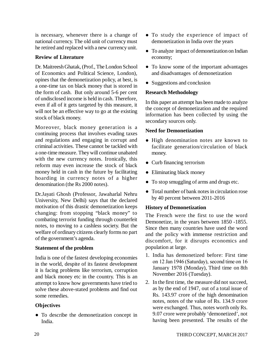is necessary, whenever there is a change of national currency. The old unit of currency must he retired and replaced with a new currency unit.

## **Review of Literature**

Dr. Maitreesh Ghatak, (Prof., The London School of Economics and Political Science, London), opines that the demonetization policy, at best, is a one-time tax on black money that is stored in the form of cash. But only around 5-6 per cent of undisclosed income is held in cash. Therefore, even if all of it gets targeted by this measure, it will not be an effective way to go at the existing stock of black money.

Moreover, black money generation is a continuing process that involves evading taxes and regulations and engaging in corrupt and criminal activities. These cannot be tackled with a one-time measure. They will continue unabated with the new currency notes. Ironically, this reform may even increase the stock of black money held in cash in the future by facilitating hoarding in currency notes of a higher denomination (the Rs 2000 notes).

Dr.Jayati Ghosh (Professor, Jawaharlal Nehru University, New Delhi) says that the declared motivation of this drastic demonetization keeps changing: from stopping "black money" to combating terrorist funding through counterfeit notes, to moving to a cashless society. But the welfare of ordinary citizens clearly forms no part of the government's agenda.

## **Statement of the problem**

India is one of the fastest developing economies in the world, despite of its fastest development it is facing problems like terrorism, corruption and black money etc in the country. This is an attempt to know how governments have tried to solve these above-stated problems and find out some remedies.

## **Objectives**

 To describe the demonetization concept in India.

- To study the experience of impact of demonetization in India over the years
- To analyze impact of demonetization on Indian economy;
- To know some of the important advantages and disadvantages of demonetization
- Suggestions and conclusion

## **Research Methodology**

In this paper an attempt has been made to analyze the concept of demonetization and the required information has been collected by using the secondary sources only.

## **Need for Demonetization**

- High denomination notes are known to facilitate generation/circulation of black money.
- Curb financing terrorism
- Eliminating black money
- To stop smuggling of arms and drugs etc.
- Total number of bank notes in circulation rose by 40 percent between 2011-2016

## **History of Demonetization**

The French were the first to use the word Demonetize, in the years between 1850 -1855. Since then many countries have used the word and the policy with immense restriction and discomfort, for it disrupts economics and population at large.

- 1. India has demonetized before: First time on 12 Jan 1946 (Saturday), second time on 16 January 1978 (Monday), Third time on 8th November 2016 (Tuesday).
- 2. In the first time, the measure did not succeed, as by the end of 1947, out of a total issue of Rs. 143.97 crore of the high denomination notes, notes of the value of Rs. 134.9 crore were exchanged. Thus, notes worth only Rs. 9.07 crore were probably 'demonetized', not having been presented. The results of the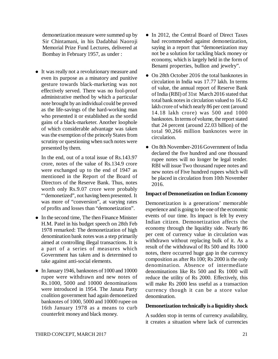demonetization measure were summed up by Sir Chintamani, in his Dadabhai Naoroji Memorial Prize Fund Lectures, delivered at Bombay in February 1957, as under :

 It was really not a revolutionary measure and even its purpose as a minatory and punitive gesture towards black-marketing was not effectively served. There was no fool-proof administrative method by which a particular note brought by an individual could be proved as the life-savings of the hard-working man who presented it or established as the sordid gains of a black-marketer. Another loophole of which considerable advantage was taken was the exemption of the princely States from scrutiny or questioning when such notes were presented by them.

In the end, out of a total issue of Rs.143.97 crore, notes of the value of Rs.134.9 crore were exchanged up to the end of 1947 as mentioned in the Report of the Board of Directors of the Reserve Bank. Thus, notes worth only Rs.9.07 crore were probably "'demonetized", not having been presented. It was more of "conversion", at varying rates of profits and losses than "demonetization".

- In the second time, The then Finance Minister H.M. Patel in his budget speech on 28th Feb 1978 remarked: The demonetization of high denomination bank notes was a step primarily aimed at controlling illegal transactions. It is a part of a series of measures which Government has taken and is determined to take against anti-social elements.
- In January 1946, banknotes of 1000 and 10000 rupee were withdrawn and new notes of Rs.1000, 5000 and 10000 denominations were introduced in 1954. The Janata Party coalition government had again demonetized banknotes of 1000, 5000 and 10000 rupee on 16th January 1978 as a means to curb counterfeit money and black money.
- In 2012, the Central Board of Direct Taxes had recommended against demonetization, saying in a report that "demonetization may not be a solution for tackling black money or economy, which is largely held in the form of Benami properties, bullion and jewelry".
- On 28th October 2016 the total banknotes in circulation in India was 17.77 lakh. In terms of value, the annual report of Reserve Bank of India (RBI) of 31st March 2016 stated that total bank notes in circulation valued to 16.42 lakh crore of which nearly 86 per cent (around 14.18 lakh crore) was 500 and 1000 banknotes. In terms of volume, the report stated that 24 percent (around 22.03 billion) of the total 90,266 million banknotes were in circulation.
- On 8th November-2016 Government of India declared the five hundred and one thousand rupee notes will no longer be legal tender. RBI will issue Two thousand rupee notes and new notes of Five hundred rupees which will be placed in circulation from 10th November 2016.

#### **Impact of Demonetization on Indian Economy**

Demonetization is a generations' memorable experience and is going to be one of the economic events of our time. Its impact is felt by every Indian citizen. Demonetization affects the economy through the liquidity side. Nearly 86 per cent of currency value in circulation was withdrawn without replacing bulk of it. As a result of the withdrawal of Rs 500 and Rs 1000 notes, there occurred huge gap in the currency composition as after Rs 100; Rs 2000 is the only denomination. Absence of intermediate denominations like Rs 500 and Rs 1000 will reduce the utility of Rs 2000. Effectively, this will make Rs 2000 less useful as a transaction currency though it can be a store value denomination.

#### **Demonetization technically is a liquidity shock**

A sudden stop in terms of currency availability, it creates a situation where lack of currencies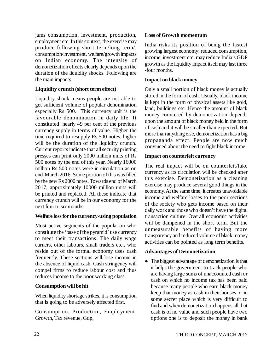jams consumption, investment, production, employment etc. In this context, the exercise may produce following short term/long term/, consumption/investment, welfare/growth impacts on Indian economy. The intensity of demonetization effects clearly depends upon the duration of the liquidity shocks. Following are the main impacts.

## **Liquidity crunch (short term effect)**

Liquidity shock means people are not able to get sufficient volume of popular denomination especially Rs 500. This currency unit is the favourable denomination in daily life. It constituted nearly 49 per cent of the previous currency supply in terms of value. Higher the time required to resupply Rs 500 notes, higher will be the duration of the liquidity crunch. Current reports indicate that all security printing presses can print only 2000 million units of Rs 500 notes by the end of this year. Nearly 16000 million Rs 500 notes were in circulation as on end-March 2016. Some portion of this was filled by the new Rs 2000 notes. Towards end of March 2017, approximately 10000 million units will be printed and replaced. All these indicate that currency crunch will be in our economy for the next four to six months.

### **Welfare loss for the currency-using population**

Most active segments of the population who constitute the 'base of the pyramid' use currency to meet their transactions. The daily wage earners, other labours, small traders etc., who reside out of the formal economy uses cash frequently. These sections will lose income in the absence of liquid cash. Cash stringency will compel firms to reduce labour cost and thus reduces income to the poor working class.

## **Consumption will be hit**

When liquidity shortage strikes, it is consumption that is going to be adversely affected first.

Consumption, Production, Employment, Growth, Tax revenue, Gdp,

## **Loss of Growth momentum**

India risks its position of being the fastest growing largest economy: reduced consumption, income, investment etc. may reduce India's GDP growth as the liquidity impact itself may last three -four months.

## **Impact on black money**

Only a small portion of black money is actually stored in the form of cash. Usually, black income is kept in the form of physical assets like gold, land, buildings etc. Hence the amount of black money countered by demonetization depends upon the amount of black money held in the form of cash and it will be smaller than expected. But more than anything else, demonetization has a big propaganda effect. People are now much convinced about the need to fight black income.

## **Impact on counterfeit currency**

The real impact will be on counterfeit/fake currency as its circulation will be checked after this exercise. Demonetization as a cleaning exercise may produce several good things in the economy. At the same time, it creates unavoidable income and welfare losses to the poor sections of the society who gets income based on their daily work and those who doesn't have the digital transaction culture. Overall economic activities will be dampened in the short term. But the unmeasurable benefits of having more transparency and reduced volume of black money activities can be pointed as long term benefits.

## **Advantages of Demonetization**

• The biggest advantage of demonetization is that it helps the government to track people who are having large sums of unaccounted cash or cash on which no income tax has been paid because many people who earn black money keep that money as cash in their houses or in some secret place which is very difficult to find and when demonetization happens all that cash is of no value and such people have two options one is to deposit the money in bank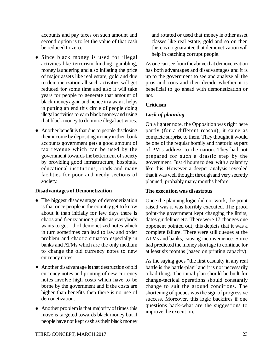accounts and pay taxes on such amount and second option is to let the value of that cash be reduced to zero.

- Since black money is used for illegal activities like terrorism funding, gambling, money laundering and also inflating the price of major assets like real estate, gold and due to demonetization all such activities will get reduced for some time and also it will take years for people to generate that amount of black money again and hence in a way it helps in putting an end this circle of people doing illegal activities to earn black money and using that black money to do more illegal activities.
- Another benefit is that due to people disclosing their income by depositing money in their bank accounts government gets a good amount of tax revenue which can be used by the government towards the betterment of society by providing good infrastructure, hospitals, educational institutions, roads and many facilities for poor and needy sections of society.

## **Disadvantages of Demonetization**

- The biggest disadvantage of demonetization is that once people in the country get to know about it than initially for few days there is chaos and frenzy among public as everybody wants to get rid of demonetized notes which in turn sometimes can lead to law and order problem and chaotic situation especially in banks and ATMs which are the only medium to change the old currency notes to new currency notes.
- Another disadvantage is that destruction of old currency notes and printing of new currency notes involve high costs which have to be borne by the government and if the costs are higher than benefits then there is no use of demonetization.
- Another problem is that majority of times this move is targeted towards black money but if people have not kept cash as their black money

and rotated or used that money in other asset classes like real estate, gold and so on then there is no guarantee that demonetization will help in catching corrupt people.

As one can see from the above that demonetization has both advantages and disadvantages and it is up to the government to see and analyze all the pros and cons and then decide whether it is beneficial to go ahead with demonetization or not.

## **Criticism**

## *Lack of planning*

On a lighter note, the Opposition was right here partly (for a different reason), it came as complete surprise to them. They thought it would be one of the regular homily and rhetoric as part of PM's address to the nation. They had not prepared for such a drastic step by the government. Just 4 hours to deal with a calamity like this. However a deeper analysis revealed that it was well thought through and very secretly planned, probably many months before.

## **The execution was disastrous**

Once the planning logic did not work, the point raised was it was horribly executed. The proof point-the government kept changing the limits, dates guidelines etc. There were 17 changes one opponent pointed out; this depicts that it was a complete failure. There were still queues at the ATMs and banks, causing inconvenience. Some had predicted the money shortage to continue for at least six months (based on printing capacity).

As the saying goes "the first casualty in any real battle is the battle-plan" and it is not necessarily a bad thing. The initial plan should be built for change-tactical operations should constantly change to suit the ground conditions. The shortening of queues was the sign of progressive success. Moreover, this logic backfires if one questions back-what are the suggestions to improve the execution.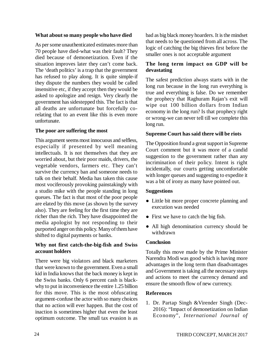### **What about so many people who have died**

As per some unauthenticated estimates more than 70 people have died-what was their fault? They died because of demonetization. Even if the situation improves later they can't come back. The 'death politics' is a trap that the government has refused to play along. It is quite simple-if they dispute the numbers they would be called insensitive etc, if they accept then they would be asked to apologize and resign. Very clearly the government has sidestepped this. The fact is that all deaths are unfortunate but forcefully corelating that to an event like this is even more unfortunate.

## **The poor are suffering the most**

This argument seems most innocuous and selfless, especially if presented by well meaning intellectuals. It is not themselves that they are worried about, but their poor maids, drivers, the vegetable vendors, farmers etc. They can't survive the currency ban and someone needs to talk on their behalf. Media has taken this cause most vociferously provoking painstakingly with a studio mike with the people standing in long queues. The fact is that most of the poor people are elated by this move (as shown by the survey also). They are feeling for the first time they are richer than the rich. They have disappointed the media apologist by not responding to their purported anger on this policy. Many of them have shifted to digital payments or banks.

## **Why not first catch-the-big-fish and Swiss account holders**

There were big violators and black marketers that were known to the government. Even a small kid in India knows that the back money is kept in the Swiss banks. Only 6 percent cash is blackwhy to put in inconvenience the entire 1.25 billion for this move. This is the most obfuscating argument-confuse the actor with so many choices that no action will ever happen. But the cost of inaction is sometimes higher that even the least optimum outcome. The small tax evasion is as

bad as big black money hoarders. It is the mindset that needs to be questioned from all across. The logic of catching the big thieves first before the smaller ones is not acceptable argument

## **The long term impact on GDP will be devastating**

The safest prediction always starts with in the long run because in the long run everything is true and everything is false. Do we remember the prophecy that Raghuram Rajan's exit will wipe out 100 billion dollars from Indian economy in the long run? Is that prophecy right or wrong-we can never tell till we complete this long run.

## **Supreme Court has said there will be riots**

The Opposition found a great support in Supreme Court comment but it was more of a candid suggestion to the government rather than any incrimination of their policy. Intent is right incidentally, our courts getting uncomfortable with longer queues and suggesting to expedite it was a bit of irony as many have pointed out.

### **Suggestions**

- Little bit more proper concrete planning and execution was needed
- First we have to catch the big fish.
- All high denomination currency should be withdrawn

### **Conclusion**

Totally this move made by the Prime Minister Narendra Modi was good which is having more advantages in the long term than disadvantages and Government is taking all the necessary steps and actions to meet the currency demand and ensure the smooth flow of new currency.

### **References**

1. Dr. Partap Singh &Virender Singh (Dec-2016): "Impact of demonetization on Indian Economy", *International Journal of*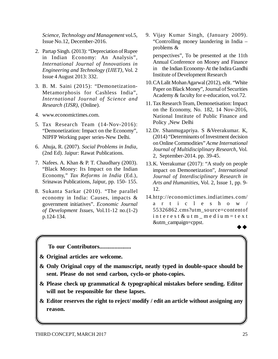*Science, Technology and Management* vol.5, Issue No.12, December-2016.

- 2. Partap Singh. (2013): "Depreciation of Rupee in Indian Economy: An Analysis", *International Journal of Innovations in Engineering and Technology (IJIET)*, Vol. 2 Issue 4 August 2013: 332.
- 3. B. M. Saini (2015): "Demonetization-Metamorphosis for Cashless India", *International Journal of Science and Research (IJSR)*, (Online).
- 4. [www.economictimes.com.](http://www.economictimes.com.)
- 5. Tax Research Team (14-Nov-2016): "Demonetization: Impact on the Economy", NIPFP Working paper series-New Delhi.
- 6. Ahuja, R. (2007). *Social Problems in India*, (2nd Ed). Jaipur: Rawat Publications.
- 7. Nafees. A. Khan & P. T. Chaudhary (2003). "Black Money: Its Impact on the Indian Economy," *Tax Reforms in India* (Ed.), Srinawas Publications, Jaipur, pp. 150- 155.
- 8. Sukanta Sarkar (2010). "The parallel economy in India: Causes, impacts & government initiatives". *Economic Journal of Development Issues*, Vol.11-12 no.(1-2) p.124-134.

9. Vijay Kumar Singh, (January 2009). "Controlling money laundering in India – problems &

perspectives", To be presented at the 11th Annual Conference on Money and Finance in the Indian Economy- At the Indira Gandhi Institute of Development Research

- 10.CA Lalit Mohan Agarwal (2012), edit. "White Paper on Black Money", Journal of Securities Academy & faculty for e-education, vol.72.
- 11.Tax Research Team, Demonetisation: Impact on the Economy, No. 182, 14 Nov-2016, National Institute of Public Finance and Policy ,New Delhi
- 12.Dr. Shanmugapriya. S &Veerakumar. K, (2014) "Determinants of Investment decision on Online Commodities" *Acme International Journal of Multidisciplinary Research*, Vol. 2, September-2014. pp. 39-45.
- 13.K. Veerakumar (2017): "A study on people impact on Demonetization", *International Journal of Interdisciplinary Research in Arts and Humanities*, Vol. 2, Issue 1, pp. 9- 12.
- 14.http://economictimes.indiatimes.com/ a r t i c l e s h o w / 55326862.cms?utm\_source=contentof interest & utm med ium = t e x t &utm\_campaign=cppst.  $\rightarrow \rightarrow$

**To our Contributors.....................**

- **& Original articles are welcome.**
- **& Only Original copy of the manuscript, neatly typed in double-space should be sent. Please do not send carbon, cyclo-or photo-copies.**
- **& Please check up grammatical & typographical mistakes before sending. Editor will not be responsible for these lapses.**
- **& Editor reserves the right to reject/ modify / edit an article without assigning any reason.**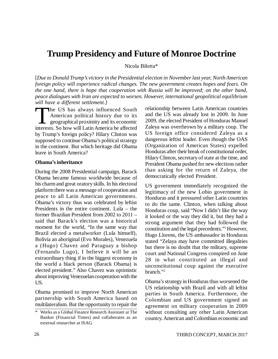## **Trump Presidency and Future of Monroe Doctrine**

Nicola Bilotta\*

[*Due to Donald Trump's victory in the Presidential election in November last year, North American foreign policy will experience radical changes. The new government creates hopes and fears. On the one hand, there is hope that cooperation with Russia will be improved; on the other hand, peace dialogues with Iran are expected to worsen. However, international geopolitical equilibrium will have a different settlement.]*

 $\prod_{\text{interes}}$ he US has always influenced South American political history due to its geographical proximity and its economic interests. So how will Latin America be affected by Trump's foreign policy? Hilary Clinton was supposed to continue Obama's political strategy in the continent. But which heritage did Obama leave in South America?

#### **Obama's inheritance**

During the 2008 Presidential campaign, Barack Obama became famous worldwide because of his charm and great oratory skills. In his electoral platform there was a message of cooperation and peace to all Latin American governments. Obama's victory thus was celebrated by leftist Presidents in the entire continent. Lula – the former Brazilian President from 2002 to 2011 – said that Barack's election was a historical moment for the world, "In the same way that Brazil elected a metalworker (Lula himself), Bolivia an aboriginal (Evo Morales), Venezuela a (Hugo) Chavez and Paraguay a bishop (Fernando Lugo), I believe it will be an extraordinary thing if in the biggest economy in the world a black person (Barack Obama) is elected president." Also Chavez was optimistic about improving Venezuelan cooperation with the US.

Obama promised to improve North American partnership with South America based on multilateralism. But the opportunity to repair the

relationship between Latin American countries and the US was already lost in 2009. In June 2009, the elected President of Honduras Manuel Zaleya was overthrown by a military coup. The US foreign office considered Zaleya as a dangerous leftist leader. Even though the OAS (Organization of American States) expelled Honduras after their break of constitutional order, Hilary Clinton, secretary of state at the time, and President Obama pushed for new elections rather than asking for the return of Zaleya, the democratically elected President.

US government immediately recognized the legitimacy of the new Lobio government in Honduras and it pressured other Latin countries to do the same. Clinton, when talking about Honduras coup, said "Now I didn't like the way it looked or the way they did it, but they had a strong argument that they had followed the constitution and the legal precedents."<sup>1</sup> However, Hugo Llorens, the US ambassador in Honduras stated "Zelaya may have committed illegalities but there is no doubt that the military, supreme court and National Congress conspired on June 28 in what constituted an illegal and unconstitutional coup against the executive branch."<sup>2</sup>

Obama's strategy in Honduras thus worsened the US relationship with Brazil and with all leftist parties in South America. Furthermore, the Colombian and US government signed an agreement on military cooperation in 2009 without consulting any other Latin American country. American and Colombian economic and

<sup>\*</sup> Works as a Global Finance Research Assistant at The Banker (Financial Times) and collaborates as an external researcher at ISAG.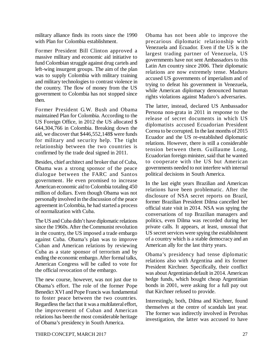military alliance finds its roots since the 1990 with Plan for Colombia establishment.

Former President Bill Clinton approved a massive military and economic aid initiative to fund Colombian struggle against drug cartels and left-wing insurgent groups. The aim of the plan was to supply Colombia with military training and military technologies to contrast violence in the country. The flow of money from the US government to Colombia has not stopped since then.

Former President G.W. Bush and Obama maintained Plan for Colombia. According to the US Foreign Office, in 2012 the US allocated \$ 644,304,766 in Colombia. Breaking down the aid, we discover that \$446,552,148\$ were funds for military and security help. The tight relationship between the two countries is confirmed by the trade deal signed in 2011.

Besides, chief architect and broker that of Cuba, Obama was a strong sponsor of the peace dialogue between the FARC and Santos government. He even promised to increase American economic aid to Colombia totaling 450 million of dollars. Even though Obama was not personally involved in the discussion of the peace agreement in Colombia, he had started a process of normalization with Cuba.

The US and Cuba didn't have diplomatic relations since the 1960s. After the Communist revolution in the country, the US imposed a trade embargo against Cuba. Obama's plan was to improve Cuban and American relations by reviewing Cuba as a state sponsor of terrorism and by ending the economic embargo. After formal talks, American Congress will be called to vote for the official revocation of the embargo.

The new course, however, was not just due to Obama's effort. The role of the former Pope Benedict XVI and Pope Francis was fundamental to foster peace between the two countries. Regardless the fact that it was a multilateral effort, the improvement of Cuban and American relations has been the most considerable heritage of Obama's presidency in South America.

Obama has not been able to improve the precarious diplomatic relationship with Venezuela and Ecuador. Even if the US is the largest trading partner of Venezuela, US governments have not sent Ambassadors to this Latin Am country since 2006. Their diplomatic relations are now extremely tense. Maduro accused US governments of imperialism and of trying to defeat his government in Venezuela, while American diplomacy denounced human rights violations against Maduro's adversaries.

The latter, instead, declared US Ambassador Persona non-grata in 2011 in response to the release of secret documents in which US diplomatists accused Ecuadorian President Correa to be corrupted. In the last months of 2015 Ecuador and the US re-established diplomatic relations. However, there is still a considerable tension between them. Guillaume Long, Ecuadorian foreign minister, said that he wanted to cooperate with the US but American governments needed to not interfere with internal political decisions in South America.

In the last eight years Brazilian and American relations have been problematic. After the disclosure of NSA secret reports on Brazil, former Brazilian President Dilma cancelled her official state visit in 2014. NSA was spying the conversations of top Brazilian managers and politics, even Dilma was recorded during her private calls. It appears, at least, unusual that US secret services were spying the establishment of a country which is a stable democracy and an American ally for the last thirty years.

Obama's presidency had tense diplomatic relations also with Argentina and its former President Kirchner. Specifically, their conflict was about Argentinian default in 2014. American hedge funds, which bought cheap Argentinian bonds in 2001, were asking for a full pay out that Kirchner refused to provide.

Interestingly, both, Dilma and Kirchner, found themselves at the centre of scandals last year. The former was indirectly involved in Petrobas investigation, the latter was accused to have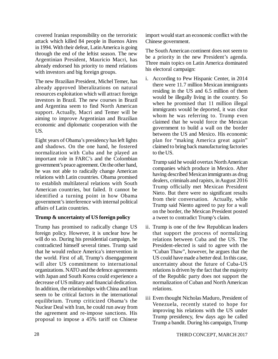covered Iranian responsibility on the terroristic attack which killed 84 people in Buenos Aires in 1994. With their defeat, Latin America is going through the end of the leftist season. The new Argentinian President, Mauricio Macri, has already endorsed his priority to mend relations with investors and big foreign groups.

The new Brazilian President, Michel Temer, has already approved liberalizations on natural resources exploitation which will attract foreign investors in Brazil. The new courses in Brazil and Argentina seem to find North American support. Actually, Macri and Temer will be aiming to improve Argentinian and Brazilian economic and diplomatic cooperation with the US.

Eight years of Obama's presidency has left lights and shadows. On the one hand, he fostered normalization with Cuba and he played an important role in FARC's and the Colombian government's peace agreement. On the other hand, he was not able to radically change American relations with Latin countries. Obama promised to establish multilateral relations with South American countries, but failed. It cannot be identified a turning point in how Obama government's interference with internal political affairs of Latin countries.

## **Trump & uncertainty of US foreign policy**

Trump has promised to radically change US foreign policy. However, it is unclear how he will do so. During his presidential campaign, he contradicted himself several times. Trump said that he would reduce America's intervention in the world. First of all, Trump's disengagement will alter US commitment to international organizations. NATO and the defence agreements with Japan and South Korea could experience a decrease of US military and financial dedication. In addition, the relationships with China and Iran seem to be critical factors in the international equilibrium. Trump criticized Obama's the Nuclear Deal with Iran, he could run away from the agreement and re-impose sanctions. His proposal to impose a 45% tariff on Chinese import would start an economic conflict with the Chinese government.

The South American continent does not seem to be a priority in the new President's agenda. Three main topics on Latin America dominated his electoral campaign:

i. According to Pew Hispanic Center, in 2014 there were 11.7 million Mexican immigrants residing in the US and 6.5 million of them would be illegally living in the country. So when he promised that 11 million illegal immigrants would be deported, it was clear whom he was referring to. Trump even claimed that he would force the Mexican government to build a wall on the border between the US and Mexico. His economic plan for "making America great again" claimed to bring back manufacturing factories to the US.

Trump said he would overtax North American companies which produce in Mexico. After having described Mexican immigrants as drug dealers, criminals and rapists, in August 2016 Trump officially met Mexican President Nieto. But there were no significant results from their conversation. Actually, while Trump said Niento agreed to pay for a wall on the border, the Mexican President posted a tweet to contradict Trump's claim.

- ii. Trump is one of the few Republican leaders that support the process of normalizing relations between Cuba and the US. The President-elected is said to agree with the "Cuban Thaw", however, he argues that the US could have made a better deal. In this case, uncertainty about the future of Cuba-US relations is driven by the fact that the majority of the Republic party does not support the normalization of Cuban and North American relations.
- iii Even thought Nicholas Maduro, President of Venezuela, recently stated to hope for improving his relations with the US under Trump presidency, few days ago he called Trump a bandit. During his campaign, Trump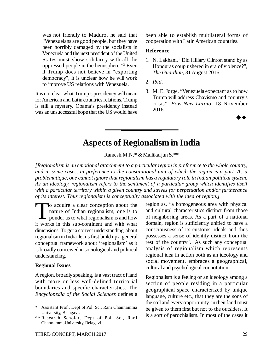was not friendly to Maduro, he said that "Venezuelans are good people, but they have been horribly damaged by the socialists in Venezuela and the next president of the United States must show solidarity with all the oppressed people in the hemisphere."<sup>3</sup> Even if Trump does not believe in "exporting democracy", it is unclear how he will work to improve US relations with Venezuela.

It is not clear what Trump's presidency will mean for American and Latin countries relations, Trump is still a mystery. Obama's presidency instead was an unsuccessful hope that the US would have

been able to establish multilateral forms of cooperation with Latin American countries.

#### **Reference**

- 1. N. Lakhani, "Did Hillary Clinton stand by as Honduras coup ushered in era of violence?", *The Guardian*, 31 August 2016.
- 2. *Ibid*.
- 3. M. E. Jorge, "Venezuela expectant as to how Trump will address Chavismo and country's crisis", *Fow New Latino*, 18 November 2016.

 $\rightarrow \rightarrow$ 

## **Aspects of Regionalism in India**

Ramesh.M.N.\* & Mallikarjun S.\*\*

*[Regionalism is an emotional attachment to a particular region in preference to the whole country, and in some cases, in preference to the constitutional unit of which the region is a part. As a problematique, one cannot ignore that regionalism has a regulatory role in Indian political system. As an ideology, regionalism refers to the sentiment of a particular group which identifies itself with a particular territory within a given country and strives for perpetuation and/or furtherance of its interest. Thus regionalism is conceptually associated with the idea of region.]*

 $\prod_{\text{it work}}$ o acquire a clear conception about the nature of Indian regionalism, one is to ponder as to what regionalism is and how it works in this sub-continent and with what dimensions. To get a correct understanding about regionalism in India let us first build up a general conceptual framework about 'regionalism' as it is broadly conceived in sociological and political understanding.

### **Regional Issues**

A region, broadly speaking, is a vast tract of land with more or less well-defined territorial boundaries and specific characteristics. The *Encyclopedia of the Social Sciences* defines a region as, "a homogeneous area with physical and cultural characteristics distinct from those of neighboring areas. As a part of a national domain, region is sufficiently unified to have a consciousness of its customs, ideals and thus possesses a sense of identity distinct from the rest of the country". As such any conceptual analysis of regionalism which represents regional idea in action both as an ideology and social movement, embraces a geographical, cultural and psychological connotation.

Regionalism is a feeling or an ideology among a section of people residing in a particular geographical space characterized by unique language, culture etc., that they are the sons of the soil and every opportunity in their land must be given to them first but not to the outsiders. It is a sort of parochialism. In most of the cases it

Assistant Prof., Dept of Pol. Sc., Rani Channamma University, Belagavi.

<sup>\*\*</sup> Research Scholar, Dept of Pol. Sc., Rani ChannammaUniversity, Belagavi.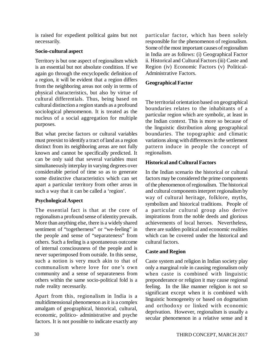is raised for expedient political gains but not necessarily.

## **Socio-cultural aspect**

Territory is but one aspect of regionalism which is an essential but not absolute condition. If we again go through the encyclopedic definition of a region, it will be evident that a region differs from the neighboring areas not only in terms of physical characteristics, but also by virtue of cultural differentials. Thus, being based on cultural distinction a region stands as a profound sociological phenomenon. It is treated as the nucleus of a social aggregation for multiple purposes.

But what precise factors or cultural variables must preexist to identify a tract of land as a region distinct from its neighboring areas are not fully known and cannot be specifically predicted. It can be only said that several variables must simultaneously interplay in varying degrees over considerable period of time so as to generate some distinctive characteristics which can set apart a particular territory from other areas in such a way that it can be called a 'region'.

## **Psychological Aspect**

The essential fact is that at the core of regionalism a profound sense of identity prevails. More than anything else, there is a widely shared sentiment of "togetherness" or "we-feeling" in the people and sense of "separateness" from others. Such a feeling is a spontaneous outcome of internal consciousness of the people and is never superimposed from outside. In this sense, such a notion is very much akin to that of communalism where love for one's own community and a sense of separateness from others within the same socio-political fold is a rude reality necessarily.

Apart from this, regionalism in India is a multidimensional phenomenon as it is a complex amalgam of geographical, historical, cultural, economic, politico- administrative and psyche factors. It is not possible to indicate exactly any particular factor, which has been solely responsible for the phenomenon of regionalism. Some of the most important causes of regionalism in India are as follows: (i) Geographical Factor ii. Historical and Cultural Factors (iii) Caste and Region (iv) Economic Factors (v) Political-Administrative Factors.

## **Geographical Factor**

The territorial orientation based on geographical boundaries relates to the inhabitants of a particular region which are symbolic, at least in the Indian context. This is more so because of the linguistic distribution along geographical boundaries. The topographic and climatic variations along with differences in the settlement pattern induce in people the concept of regionalism.

## **Historical and Cultural Factors**

In the Indian scenario the historical or cultural factors may be considered the prime components of the phenomenon of regionalism. The historical and cultural components interpret regionalism by way of cultural heritage, folklore, myths, symbolism and historical traditions. People of a particular cultural group also derive inspirations from the noble deeds and glorious achievements of local heroes. Nevertheless, there are sudden political and economic realities which can be covered under the historical and cultural factors.

## **Caste and Region**

Caste system and religion in Indian society play only a marginal role in causing regionalism only when caste is combined with linguistic preponderance or religion it may cause regional feeling. In the like manner religion is not so significant except when it is combined with linguistic homogeneity or based on dogmatism and orthodoxy or linked with economic deprivation. However, regionalism is usually a secular phenomenon in a relative sense and it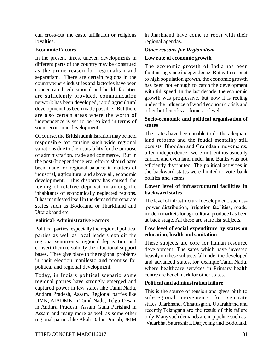can cross-cut the caste affiliation or religious loyalties.

## **Economic Factors**

In the present times, uneven developments in different parts of the country may be construed as the prime reason for regionalism and separatism. There are certain regions in the country where industries and factories have been concentrated, educational and health facilities are sufficiently provided, communication network has been developed, rapid agricultural development has been made possible. But there are also certain areas where the worth of independence is yet to be realized in terms of socio-economic development.

Of course, the British administration may be held responsible for causing such wide regional variations due to their suitability for the purpose of administration, trade and commerce. But in the post-Independence era, efforts should have been made for regional balance in matters of industrial, agricultural and above all, economic development. This disparity has caused the feeling of relative deprivation among the inhabitants of economically neglected regions. It has manifested itself in the demand for separate states such as Bodoland or Jharkhand and Uttarakhand etc.

## **Political- Administrative Factors**

Political parties, especially the regional political parties as well as local leaders exploit the regional sentiments, regional deprivation and convert them to solidify their factional support bases. They give place to the regional problems in their election manifesto and promise for political and regional development.

Today, in India's political scenario some regional parties have strongly emerged and captured power in few states like Tamil Nadu, Andhra Pradesh, Assam. Regional parties like DMK, AIADMK in Tamil Nadu, Telgu Desam in Andhra Pradesh, Assam Gana Parishad in Assam and many more as well as some other regional parties like Akali Dal in Punjab, JMM in Jharkhand have come to roost with their regional agendas.

## *Other reasons for Regionalism*

## **Low rate of economic growth**

The economic growth of India has been fluctuating since independence. But with respect to high population growth, the economic growth has been not enough to catch the development with full speed. In the last decade, the economic growth was progressive, but now it is reeling under the influence of world economic crisis and other bottlenecks at domestic level.

## **Socio-economic and political organisation of states**

The states have been unable to do the adequate land reforms and the feudal mentality still persists. Bhoodan and Gramdaan movements, after independence, were not enthusiastically carried and even land under land Banks was not efficiently distributed. The political activities in the backward states were limited to vote bank politics and scams.

## **Lower level of infrastructural facilities in backward states**

The level of infrastructural development, such as power distribution, irrigation facilities, roads, modern markets for agricultural produce has been at back stage. All these are state list subjects.

## **Low level of social expenditure by states on education, health and sanitation**

These subjects are core for human resource development. The sates which have invested heavily on these subjects fall under the developed and advanced states, for example Tamil Nadu, where healthcare services in Primary health centre are benchmark for other states.

## **Political and administration failure**

This is the source of tension and gives birth to sub-regional movements for separate states. Jharkhand, Chhattisgarh, Uttarakhand and recently Telangana are the result of this failure only. Many such demands are in pipeline such as- Vidarbha, Saurashtra, Darjeeling and Bodoland,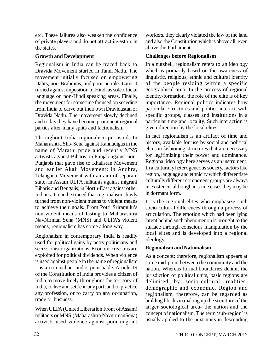etc. These failures also weaken the confidence of private players and do not attract investors in the states.

## **Growth and Development**

Regionalism in India can be traced back to Dravida Movement started in Tamil Nadu. The movement initially focused on empowering Dalits, non-Brahmins, and poor people. Later it turned against imposition of Hindi as sole official language on non-Hindi speaking areas. Finally, the movement for sometime focused on seceding from India to carve out their own Dravidastan or Dravida Nadu. The movement slowly declined and today they have become prominent regional parties after many splits and factionalism.

Throughout India regionalism persisted. In Maharashtra Shiv Sena against Kannadigas in the name of Marathi pride and recently MNS activists against Biharis; in Punjab against non-Punjabis that gave rise to Khalistan Movement and earlier Akali Movement; in Andhra, Telangana Movement with an aim of separate state; in Assam ULFA militants against migrant Biharis and Bengalis; in North-East against other Indians. It can be traced that regionalism slowly turned from non-violent means to violent means to achieve their goals. From Potti Sriramulu's non-violent means of fasting to Maharashtra NavNirman Sena (MNS) and ULFA's violent means, regionalism has come a long way.

Regionalism in contemporary India is readily used for political gains by petty politicians and secessionist organizations. Economic reasons are exploited for political dividends. When violence is used against people in the name of regionalism it is a criminal act and is punishable. Article 19 of the Constitution of India provides a citizen of India to move freely throughout the territory of India, to live and settle in any part, and to practice any profession, or to carry on any occupation, trade or business.

When ULFA (United Liberation Front of Assam) militants or MNS (Maharashtra NavnirmanSena) activists used violence against poor migrant workers, they clearly violated the law of the land and also the Constitution which is above all, even above the Parliament.

## **Challenges before Regionalism**

In a nutshell, regionalism refers to an ideology which is primarily based on the awareness of linguistic, religious, ethnic and cultural identity of the people residing within a specific geographical area. In the process of regional identity-formation, the role of the elite is of key importance. Regional politics indicates how particular structures and politics interact with specific groups, classes and institutions in a particular time and locality. Such interaction is given direction by the local elites.

In fact regionalism is an artifact of time and history, available for use by social and political elites in fashioning structures that are necessary for legitimizing their power and dominance. Regional ideology here serves as an instrument. In a culturally heterogeneous society, factors like region, language and ethnicity which differentiate culturally different component groups are always in existence, although in some cases they may be in dormant form.

It is the regional elites who emphasize such socio-cultural differences through a process of articulation. The emotion which had been lying latent behind such phenomenon is brought to the surface through conscious manipulation by the local elites and is developed into a regional ideology.

## **Regionalism and Nationalism**

As a concept; therefore, regionalism appears at some mid-point between the community and the nation. Whereas formal boundaries delimit the jurisdiction of political units, basic regions are delimited by socio-cultural realitiesdemographic and economic. Region and regionalism, therefore, can be regarded as building blocks in making up the structure of the larger sociological area- the nation and the concept of nationalism. The term 'sub-region' is usually applied to the next units in descending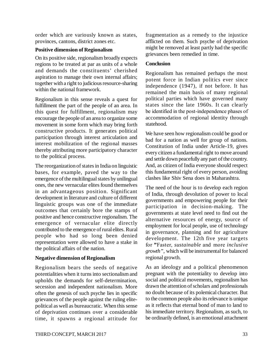order which are variously known as states, provinces, cantons, district zones etc.

## **Positive dimension of Regionalism**

On its positive side, regionalism broadly expects regions to be treated at par as units of a whole and demands the constituents' cherished aspiration to manage their own internal affairs; together with a right to judicious resource-sharing within the national framework.

Regionalism in this sense reveals a quest for fulfillment the part of the people of an area. In this quest for fulfillment, regionalism may encourage the people of an area to organize some movement in some form which may bring forth constructive products. It generates political participation through interest articulation and interest mobilization of the regional masses thereby attributing more participatory character to the political process.

The reorganization of states in India on linguistic bases, for example, paved the way to the emergence of the multilingual states by unilingual ones, the new vernacular elites found themselves in an advantageous position. Significant development in literature and culture of different linguistic groups was one of the immediate outcomes that certainly bore the stamps of positive and hence constructive regionalism. The emergence of vernacular elite directly contributed to the emergence of rural elites. Rural people who had so long been denied representation were allowed to have a stake in the political affairs of the nation.

## **Negative dimension of Regionalism**

Regionalism bears the seeds of negative potentialities when it turns into sectionalism and upholds the demands for self-determination, secession and independent nationalism. More often the genesis of such psyche lies in specific grievances of the people against the ruling elitepolitical as well as bureaucratic. When this sense of deprivation continues over a considerable time, it spawns a regional attitude for fragmentation as a remedy to the injustice afflicted on them. Such psyche of deprivation might be removed at least partly had the specific grievances been remedied in time.

## **Conclusion**

Regionalism has remained perhaps the most potent force in Indian politics ever since independence (1947), if not before. It has remained the main basis of many regional political parties which have governed many states since the late 1960s. It can clearly be identified in the post-independence phases of accommodation of regional identity through statehood.

We have seen how regionalism could be good or bad for a nation as well for group of nations. Constitution of India under Article-19, gives every citizen a fundamental right to move around and settle down peacefully any part of the country. And, as citizen of India everyone should respect this fundamental right of every person, avoiding clashes like Shiv Sena does in Maharashtra.

The need of the hour is to develop each region of India, through devolution of power to local governments and empowering people for their participation in decision-making. The governments at state level need to find out the alternative resources of energy, source of employment for local people, use of technology in governance, planning and for agriculture development. The 12th five year targets for **"**Faster, *sustainable* and more *inclusive growth"*, which will be instrumental for balanced regional growth.

As an ideology and a political phenomenon pregnant with the potentiality to develop into social and political movements, regionalism has drawn the attention of scholars and professionals no doubt because of its polemical character. But to the common people also its relevance is unique as it reflects that eternal bond of man to land to his immediate territory. Regionalism, as such, to be ordinarily defined, is an emotional attachment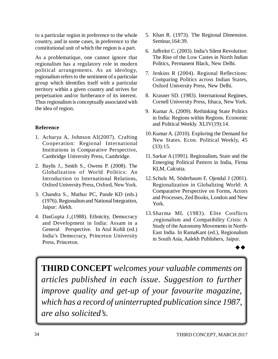to a particular region in preference to the whole country, and in some cases, in preference to the constitutional unit of which the region is a part.

As a problematique, one cannot ignore that regionalism has a regulatory role in modern political arrangements. As an ideology, regionalism refers to the sentiment of a particular group which identifies itself with a particular territory within a given country and strives for perpetuation and/or furtherance of its interest. Thus regionalism is conceptually associated with the idea of region.

## **Reference**

- 1. Acharya A, Johnson AI(2007). Crafting Cooperation: Regional International Institutions in Comparative Perspective, Cambridge University Press, Cambridge.
- 2. Baylis J., Smith S., Owens P. (2008). The Globalization of World Politics: An Introduction to International Relations, Oxford University Press, Oxford, New York.
- 3. Chandra S., Mathur PC, Pande KD (eds.) (1976). Regionalism and National Integration, Jaipur: Alekh.
- 4. DasGupta J.,(1988). Ethnicity, Democracy and Development in India: Assam in a General Perspective. In Atul Kohli (ed.) India's Democracy, Princeton University Press, Princeton.
- 5. Khan R. (1973). The Regional Dimension. Seminar,164:39.
- 6. Jaffrelot C. (2003). India's Silent Revolution: The Rise of the Low Castes in North Indian Politics, Permanent Black, New Delhi.
- 7. Jenkins R (2004). Regional Reflections: Comparing Politics across Indian States, Oxford University Press, New Delhi.
- 8. Krasner SD. (1983). International Regimes, Cornell University Press, Ithaca, New York.
- 9. Kumar A. (2009). Rethinking State Politics in India: Regions within Regions. Economic and Political Weekly. XLIV(19):14.
- 10.Kumar A. (2010). Exploring the Demand for New States. Econ. Political Weekly, 45 (33):15.
- 11.Sarkar A (1991). Regionalism, State and the Emerging Political Pattern in India, Firma KLM, Calcutta.
- 12.Schulz M, Söderbaum F, Ojendal J (2001). Regionalization in Globalizing World: A Comparative Perspective on Forms, Actors and Processes, Zed Books, London and New York.
- 13.Sharma ML (1983). Elite Conflicts ,regionalism and Compatibility Crisis: A Study of the Autonomy Movements in North-East India. In RamaKant (ed.), Regionalism in South Asia, Aalekh Publishers, Jaipur.

 $\rightarrow \rightarrow$ 

**THIRD CONCEPT** *welcomes your valuable comments on articles published in each issue. Suggestion to further improve quality and get-up of your favourite magazine, which has a record of uninterrupted publication since 1987, are also solicited's.*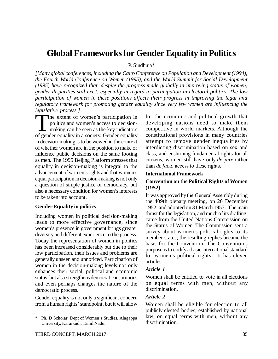## **Global Frameworks for Gender Equality in Politics**

P. Sindhuja\*

*[Many global conferences, including the Cairo Conference on Population and Development (1994), the Fourth World Conference on Women (1995), and the World Summit for Social Development (1995) have recognized that, despite the progress made globally in improving status of women, gender disparities still exist, especially in regard to participation in electoral politics. The low participation of women in these positions affects their progress in improving the legal and regulatory framework for promoting gender equality since very few women are influencing the legislative process.]*

 $\sum_{\text{of gene}}$ he extent of women's participation in politics and women's access to decisionmaking can be seen as the key indicators of gender equality in a society. Gender equality in decision-making is to be viewed in the context of whether women are in the position to make or influence public decisions on the same footing as men. The 1995 Beijing Platform stresses that equality in decision-making is integral to the advancement of women's rights and that women's equal participation in decision-making is not only a question of simple justice or democracy, but also a necessary condition for women's interests to be taken into account.

### **Gender Equality in politics**

Including women in political decision-making leads to more effective governance, since women's presence in government brings greater diversity and different experience to the process. Today the representation of women in politics has been increased considerably but due to their low participation, their issues and problems are generally unseen and unnoticed. Participation of women in the decision-making levels not only enhances their social, political and economic status, but also strengthens democratic institutions and even perhaps changes the nature of the democratic process.

Gender equality is not only a significant concern from a human rights' standpoint, but it will allow

THIRD CONCEPT, MARCH 2017 35

for the economic and political growth that developing nations need to make them competitive in world markets. Although the constitutional provisions in many countries attempt to remove gender inequalities by interdicting discrimination based on sex and class, and enshrining fundamental rights for all citizens, women still have only *de jure* rather than *de facto* access to these rights.

#### **International Framework**

## **Convention on the Political Rights of Women (1952)**

It was approved by the General Assembly during the 409th plenary meeting, on 20 December 1952, and adopted on 31 March 1953. The main thrust for the legislation, and much of its drafting, came from the United Nations Commission on the Status of Women. The Commission sent a survey about women's political rights to its member states; the resulting replies became the basis for the Convention. The Convention's purpose is to codify a basic international standard for women's political rights. It has eleven articles.

### *Article 1*

Women shall be entitled to vote in all elections on equal terms with men, without any discrimination.

### *Article 2*

Women shall be eligible for election to all publicly elected bodies, established by national law, on equal terms with men, without any discrimination.

<sup>\*</sup> Ph. D Scholar, Dept of Women's Studies, Alagappa University, Karaikudi, Tamil Nadu.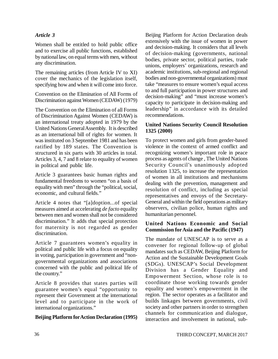## *Article 3*

Women shall be entitled to hold public office and to exercise all public functions, established by national law, on equal terms with men, without any discrimination.

The remaining articles (from Article IV to XI) cover the mechanics of the legislation itself, specifying how and when it will come into force.

Convention on the Elimination of All Forms of Discrimination against Women (CEDAW) (1979)

The Convention on the Elimination of all Forms of Discrimination Against Women (CEDAW) is an international treaty adopted in 1979 by the United Nations General Assembly. It is described as an international bill of rights for women. It was instituted on 3 September 1981 and has been ratified by 189 states. The Convention is structured in six parts with 30 articles in total. Articles 3, 4, 7 and 8 relate to equality of women in political and public life.

Article 3 guarantees basic human rights and fundamental freedoms to women "on a basis of equality with men" through the "political, social, economic, and cultural fields."

Article 4 notes that "[a]doption...of special measures aimed at accelerating *de facto* equality between men and women shall not be considered discrimination." It adds that special protection for maternity is not regarded as gender discrimination.

Article 7 guarantees women's equality in political and public life with a focus on equality in voting, participation in government and "nongovernmental organizations and associations concerned with the public and political life of the country."

Article 8 provides that states parties will guarantee women's equal "opportunity to represent their Government at the international level and to participate in the work of international organizations."

### **Beijing Platform for Action Declaration (1995)**

Beijing Platform for Action Declaration deals extensively with the issue of women in power and decision-making. It considers that all levels of decision-making (governments, national bodies, private sector, political parties, trade unions, employers' organizations, research and academic institutions, sub-regional and regional bodies and non-governmental organizations) must take "measures to ensure women's equal access to and full participation in power structures and decision-making" and "must increase women's capacity to participate in decision-making and leadership" in accordance with its detailed recommendations.

### **United Nations Security Council Resolution 1325 (2000)**

To protect women and girls from gender-based violence in the context of armed conflict and recognizing women's important role in peace process as agents of change , The United Nations Security Council's unanimously adopted resolution 1325, to increase the representation of women in all institutions and mechanisms dealing with the prevention, management and resolution of conflict, including as special representatives and envoys of the Secretary-General and within the field operations as military observers, civilian police, human rights and humanitarian personnel.

### **United Nations Economic and Social Commission for Asia and the Pacific (1947)**

The mandate of UNESCAP is to serve as a convener for regional follow-up of global mandates such as CEDAW, Beijing Platform for Action and the Sustainable Development Goals (SDGs). UNESCAP's Social Development Division has a Gender Equality and Empowerment Section, whose role is to coordinate those working towards gender equality and women's empowerment in the region. The sector operates as a facilitator and builds linkages between governments, civil society and other partners in order to strengthen channels for communication and dialogue, interaction and involvement in national, sub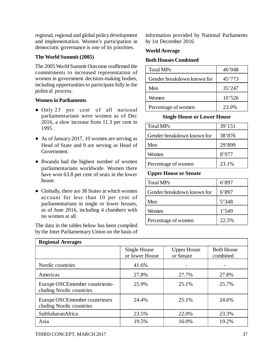regional, regional and global policy development and implementation. Women's participation in democratic governance is one of its priorities.

## **The World Summit (2005)**

The 2005 World Summit Outcome reaffirmed the commitments to increased representation of women in government decision-making bodies, including opportunities to participate fully in the political process.

## **Women in Parliaments**

- Only 23 per cent of all national parliamentarians were women as of Dec 2016, a slow increase from 11.3 per cent in 1995 .
- As of January 2017, 10 women are serving as Head of State and 9 are serving as Head of Government.
- Rwanda had the highest number of women parliamentarians worldwide. Women there have won 63.8 per cent of seats in the lower house.
- Globally, there are 38 States in which women account for less than 10 per cent of parliamentarians in single or lower houses, as of June 2016, including 4 chambers with no women at all.

The data in the tables below has been compiled by the Inter Parliamentary Union on the basis of information provided by National Parliaments by 1st December 2016

## **World Average**

## **Both Houses Combined**

| <b>Total MPs</b>           | 46'048 |
|----------------------------|--------|
| Gender breakdown known for | 45'773 |
| Men                        | 35'247 |
| Women                      | 10'526 |
| Percentage of women        | 23.0%  |

## **Single House or Lower House**

| <b>Total MPs</b>           | 39'151 |
|----------------------------|--------|
| Gender breakdown known for | 38'876 |
| Men                        | 29'899 |
| Women                      | 8'977  |
| Percentage of women        | 23.1%  |

## **Upper House or Senate**

| <b>Total MPs</b>           | 6'897 |
|----------------------------|-------|
| Gender breakdown known for | 6'897 |
| Men                        | 5'348 |
| Women                      | 1'549 |
| Percentage of women        | 22.5% |

| <b>Regional Averages</b>                                   |                                |                                 |                               |  |
|------------------------------------------------------------|--------------------------------|---------------------------------|-------------------------------|--|
|                                                            | Single House<br>or lower House | <b>Upper House</b><br>or Senate | <b>Both House</b><br>combined |  |
| Nordic countries                                           | 41.6%                          |                                 |                               |  |
| Americas                                                   | 27.8%                          | 27.7%                           | 27.8%                         |  |
| Europe OSCEmember countriesin-<br>cluding Nordic countries | 25.9%                          | 25.1%                           | 25.7%                         |  |
| Europe OSCEmember countriesex<br>cluding Nordic countries  | 24.4%                          | 25.1%                           | 24.6%                         |  |
| SubSaharanAfrica                                           | 23.5%                          | 22.0%                           | 23.3%                         |  |
| Asia                                                       | 19.5%                          | 16.0%                           | 19.2%                         |  |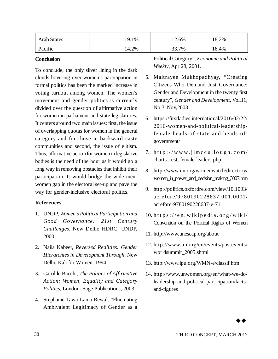| <b>Arab States</b> | 19.1% | 12.6% | 8.2%  |
|--------------------|-------|-------|-------|
| Pacific            | 14.2% | 33.7% | 16.4% |

#### **Conclusion**

To conclude, the only silver lining in the dark clouds hovering over women's participation in formal politics has been the marked increase in voting turnout among women. The women's movement and gender politics is currently divided over the question of affirmative action for women in parliament and state legislatures. It centers around two main issues: first, the issue of overlapping quotas for women in the general category and for those in backward caste communities and second, the issue of elitism. Thus, affirmative action for women in legislative bodies is the need of the hour as it would go a long way in removing obstacles that inhibit their participation. It would bridge the wide menwomen gap in the electoral set-up and pave the way for gender-inclusive electoral politics.

### **References**

- 1. UNDP, *Women's Political Participation and Good Governance: 21st Century Challenges*, New Delhi: HDRC, UNDP, 2000.
- 2. Naila Kabeer, *Reversed Realities: Gender Hierarchies in Development Through*, New Delhi: Kali for Women, 1994.
- 3. Carol le Bacchi, *The Politics of Affirmative Action: Women, Equality and Category Politics*, London: Sage Publications, 2003.
- 4. Stephanie Tawa Lama-Rewal, "Fluctuating Ambivalent Legitimacy of Gender as a

Political Category", *Economic and Political Weekly*, Apr 28, 2001.

- 5. Maitrayee Mukhopadhyay, "Creating Citizens Who Demand Just Governance: Gender and Development in the twenty first century", *Gender and Development*, Vol.11, No.3, Nov,2003.
- 6. <https://firstladies.international/2016/02/22/> 2016-women-and-political-leadershipfemale-heads-of-state-and-heads-ofgovernment/
- 7.  $http://www.jjmccullowgh.co'm/$ charts rest female-leaders.php
- 8. <http://www.un.org/womenwatch/directory/> women\_in\_power\_and\_decision\_making\_3007.htm
- 9. <http://politics.oxfordre.com/view/10.1093/> acrefore/9780190228637.001.0001/ acrefore-9780190228637-e-71
- $10.$  https://en.wikipedia.org/wiki/ Convention\_on\_the\_Political\_Rights\_of\_Women
- 11. <http://www.unescap.org/about>
- 12. <http://www.un.org/en/events/pastevents/> worldsummit\_2005.shtml
- 13. <http://www.ipu.org/WMN-e/classif.htm>
- 14. <http://www.unwomen.org/en/what-we-do/> leadership-and-political-participation/factsand-figures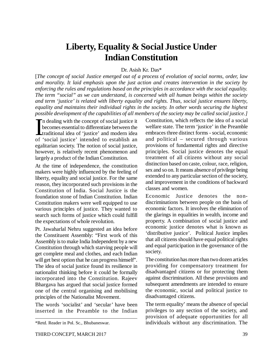## **Liberty, Equality & Social Justice Under Indian Constitution**

## Dr. Asish Kr. Das\*

[*The concept of social Justice emerged out of a process of evolution of social norms, order, law and morality. It laid emphasis upon the just action and creates intervention in the society by enforcing the rules and regulations based on the principles in accordance with the social equality. The term "social" as we can understand, is concerned with all human beings within the society and term 'justice' is related with liberty equality and rights. Thus, social justice ensures liberty, equality and maintains their individual rights in the society. In other words securing the highest possible development of the capabilities of all members of the society may be called social justice.]*

 $\prod_{\alpha}$ n dealing with the concept of social justice it becomes essential to differentiate between the traditional idea of 'justice' and modern idea of 'social justice' intended to establish an egalitarian society. The notion of social justice, however, is relatively recent phenomenon and largely a product of the Indian Constitution.

At the time of independence, the constitution makers were highly influenced by the feeling of liberty, equality and social justice. For the same reason, they incorporated such provisions in the Constitution of India. Social Justice is the foundation stone of Indian Constitution. Indian Constitution makers were well equipped to use various principles of justice. They wanted to search such forms of justice which could fulfill the expectations of whole revolution.

Pt. Jawaharlal Nehru suggested an idea before the Constituent Assembly: "First work of this Assembly is to make India Independent by a new Constitution through which starving people will get complete meal and clothes, and each Indian will get best option that he can progress himself". The idea of social justice found its resilience in nationalist thinking before it could be formally incorporated into the Constitution. Rajeev Bhargava has argued that social justice formed one of the central organising and mobilising principles of the Nationalist Movement.

The words 'socialist' and 'secular' have been inserted in the Preamble to the Indian Constitution, which reflects the idea of a social welfare state. The term 'justice' in the Preamble embraces three distinct forms - social, economic and political – secured through various provisions of fundamental rights and directive principles. Social justice denotes the equal treatment of all citizens without any social distinction based on caste, colour, race, religion, sex and so on. It means absence of privilege being extended to any particular section of the society, and improvement in the conditions of backward classes and women.

Economic Justice denotes the nondiscriminations between people on the basis of economic factors. It involves the elimination of the glarings in equalities in wealth, income and property. A combination of social justice and economic justice denotes what is known as 'distributive justice'. Political Justice implies that all citizens should have equal political rights and equal participation in the governance of the society.

The constitution has more than two dozen articles providing for compensatory treatment for disadvantaged citizens or for protecting them against discrimination. All these provisions and subsequent amendments are intended to ensure the economic, social and political justice to disadvantaged citizens.

The term equality' means the absence of special privileges to any section of the society, and provision of adequate opportunities for all individuals without any discrimination. The

<sup>\*</sup>Retd. Reader in Pol. Sc., Bhubaneswar.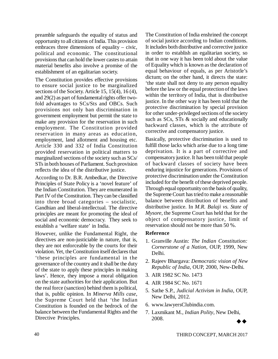preamble safeguards the equality of status and opportunity to all citizens of India. This provision embraces three dimensions of equality – civic, political and economic. The constitutional provisions that can hold the lower castes to attain material benefits also involve a promise of the establishment of an egalitarian society.

The Constitution provides effective provisions to ensure social justice to be marginalized sections of the Society. Article 15, 15(4), 16 (4), and 29(2) as part of fundamental rights offer twofold advantages to SCs/Sts and OBCs. Such provisions not only ban discrimination in government employment but permit the state to make any provision for the reservation in such employment. The Constitution provided reservation in many areas as education, employment, land allotment and housing etc. Article 330 and 332 of India Constitution provided reservation in political matters to marginalized sections of the society such as SCs/ STs in both houses of Parliament. Such provision reflects the idea of the distributive justice.

According to Dr. B.R. Ambedkar, the Directive Principles of State Policy is a 'novel feature' of the Indian Constitution. They are enumerated in Part IV of the Constitution. They can be classified into three broad categories – socialistic, Gandhian and liberal-intellectual. The directive principles are meant for promoting the ideal of social and economic democracy. They seek to establish a 'welfare state' in India.

However, unlike the Fundamental Right, the directives are non-justiciable in nature, that is, they are not enforceable by the courts for their violation. Yet, the Constitution itself declares that 'these principles are fundamental in the governance of the country and it shall be the duty of the state to apply these principles in making laws'. Hence, they impose a moral obligation on the state authorities for their application. But the real force (sanction) behind them is political, that is, public opinion. In *Minerva Mills case*, the Supreme Court held that 'the Indian Constitution is founded on the bedrock of the balance between the Fundamental Rights and the Directive Principles.

The Constitution of India enshrined the concept of social justice according to Indian conditions. It includes both distributive and corrective justice in order to establish an egalitarian society, so that in one way it has been told about the value of Equality which is known as the declaration of equal behaviour of equals, as per Aristotle's dictum; on the other hand, it directs the state: 'the state shall not deny to any person equality before the law or the equal protection of the laws within the territory of India, that is distributive justice. In the other way it has been told that the protective discrimination by special provision for other under-privileged sections of the society such as SCs, STs & socially and educationally backward classes, which is the attribute of corrective and compensatory justice.

Basically, protective discrimination is used to fulfill those lacks which arise due to a long time deprivation. It is a part of corrective and compensatory justice. It has been told that people of backward classes of society have been enduring injustice for generations. Provisions of protective discrimination under the Constitution included for the benefit of these deprived people. Through equal opportunity on the basis of quality, the Supreme Court has tried to make a reasonable balance between distribution of benefits and distributive justice. In *M.R. Balaji vs. State of Mysore*, the Supreme Court has held that for the object of compensatory justice, limit of reservation should not be more than 50 %.

### **Reference**

- 1. Granville Austin: *The Indian Constitution: Cornerstone of a Nation*, OUP, 1999, New Delhi.
- 2. Rajeev Bhargava: *Democratic vision of New Republic of India*, OUP, 2000, New-Delhi.
- 3. AIR 1982 SC No. 1473
- 4. AIR 1984 SC No. 1671
- 5. Sathe S.P., *Judicial Activism in India*, OUP, New Delhi, 2012.
- 6. [www.lawyersClubindia.com.](http://www.lawyersClubindia.com.)
- 7. Laxmikant M., *Indian Polity*, New Delhi, 2008.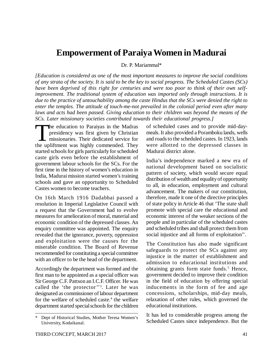## **Empowerment of Paraiya Women in Madurai**

Dr. P. Mariammal\*

*[Education is considered as one of the most important measures to improve the social conditions of any strata of the society. It is said to be the key to social progress. The Scheduled Castes (SCs) have been deprived of this right for centuries and were too poor to think of their own selfimprovement. The traditional system of education was imported only through instructions. It is due to the practice of untouchability among the caste Hindus that the SCs were denied the right to enter the temples. The attitude of touch-me-not prevailed in the colonial period even after many laws and acts had been passed. Giving education to their children was beyond the means of the SCs. Later missionary societies contributed towards their educational progress.]*

 $\begin{bmatrix} 1 \\ 1 \\ 1 \end{bmatrix}$ he education to Paraiyas in the Madras presidency was first given by Christian missionaries. Their dedicated service for the upliftment was highly commended. They started schools for girls particularly for scheduled caste girls even before the establishment of government labour schools for the SCs. For the first time in the history of women's education in India, Madurai mission started women's training schools and gave an opportunity to Scheduled Castes women to become teachers.

On 16th March 1916 Dadabhai passed a resolution in Imperial Legislative Council with a request that the Government had to evolve measures for amelioration of moral, material and economic condition of the depressed classes. An enquiry committee was appointed. The enquiry revealed that the ignorance, poverty, oppression and exploitation were the causes for the miserable condition. The Board of Revenue recommended for constituting a special committee with an officer to be the head of the department.

Accordingly the department was formed and the first man to be appointed as a special officer was Sir George C.F. Pattson an I.C.F. Officer. He was called the 'the protector''<sup>3</sup> . Later he was designated as commissioner of labour department for the welfare of scheduled caste.<sup>4</sup> the welfare department started special schools for the children of scheduled cases and to provide mid-daymeals. It also provided a Poramboku lands, wells and roads to the scheduled castes. In 1923, lands were allotted to the depressed classes in Madurai district alone.

India's independence marked a new era of national development based on socialistic pattern of society, which would secure equal distribution of wealth and equality of opportunity to all, in education, employment and cultural advancement. The makers of our constitution, therefore, made it one of the directive principles of state policy in Article 46 that 'The state shall promote with special care the educational and economic interest of the weaker sections of the people and in particular of the scheduled castes and scheduled tribes and shall protect them from social injustice and all forms of exploitation''.

The Constitution has also made significant safeguards to protect the SCs against any injustice in the matter of establishment and admission to educational institutions and obtaining grants form state funds.<sup>5</sup> Hence, government decided to improve their condition in the field of education by offering special inducements in the form of fee and age concessions, scholarships, mid-day meals, relaxation of other rules, which governed the educational institutions.

It has led to considerable progress among the Scheduled Castes since independence. But the

Dept of Historical Studies, Mother Teresa Women's University, Kodaikanal.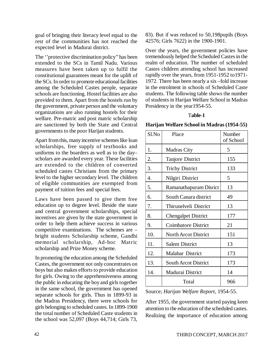goal of bringing their literacy level equal to the rest of the communities has not reached the expected level in Madurai district.

The ''protective discrimination policy'' has been extended to the SCs in Tamil Nadu. Various measures have been taken up to fulfil the constitutional guarantees meant for the uplift of the SCs. In order to promote educational facilities among the Scheduled Castes people, separate schools are functioning. Hostel facilities are also provided to them. Apart from the hostels run by the government, private person and the voluntary organizations are also running hostels for their welfare. Pre-matric and post matric scholarship are sanctioned by both the State and Central governments to the poor Harijan students.

Apart from this, many incentive schemes like loan scholarships, free supply of textbooks and uniforms to the boarders as well as to the day– scholars are awarded every year. These facilities are extended to the children of converted scheduled castes Christians from the primary level to the higher secondary level. The children of eligible communities are exempted from payment of tuition fees and special fees.

Laws have been passed to give them free education up to degree level. Beside the state and central government scholarships, special incentives are given by the state government in order to help them achieve success in various competitive examinations. The schemes are – bright students Scholarship scheme, Gandhi memorial scholarship, Ad-hoc Matric scholarship and Prize Money scheme.

In promoting the education among the Scheduled Castes, the government not only concentrates on boys but also makes efforts to provide education for girls. Owing to the apprehensiveness among the public in educating the boy and girls together in the same school, the government has opened separate schools for girls. Thus in 1899-93 in the Madras Presidency, there were schools for girls belonging to scheduled castes. In 1899-1900 the total number of Scheduled Caste students in the school was 52,097 (Boys 44,714; Girls 73,

83). But if was reduced to 50,198pupils (Boys 42576; Girls 7622) in the 1900-1901.

Over the years, the government policies have tremendously helped the Scheduled Castes in the realm of education. The number of scheduled Castes children attending school has increased rapidly over the years, from 1951-1952 to1971- 1972. There has been nearly a six –fold increase in the enrolment in schools of Scheduled Caste students. The following table shows the number of students in Harijan Welfare School in Madras Presidency in the year1954-55.

#### T**able-1**

**Harijan Welfare School in Madras (1954-55)**

| Sl.No | Place                       | Number<br>of School |
|-------|-----------------------------|---------------------|
| 1.    | <b>Madras City</b>          | 5                   |
| 2.    | <b>Tanjore District</b>     | 155                 |
| 3.    | <b>Trichy District</b>      | 133                 |
| 4.    | Nilgiri District            | 5                   |
| 5.    | Ramanathapuram Disrict      | 13                  |
| 6.    | South Canara district       | 49                  |
| 7.    | Thirunelveli District       | 13                  |
| 8.    | <b>Chengalpet District</b>  | 177                 |
| 9.    | <b>Coimbatore District</b>  | 21                  |
| 10.   | <b>North Arcot District</b> | 151                 |
| 11.   | <b>Salem District</b>       | 13                  |
| 12.   | <b>Malabar District</b>     | 173                 |
| 13.   | <b>South Arcot District</b> | 173                 |
| 14.   | Madurai District            | 14                  |
|       | Total                       | 966                 |

Source; *Harijan Welfare Report*, 1954-55.

After 1955, the government started paying keen attention to the education of the scheduled castes. Realizing the importance of education among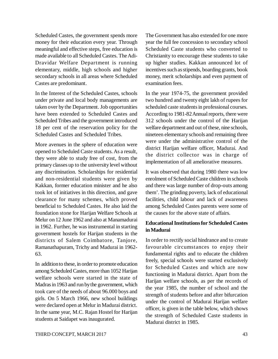Scheduled Castes, the government spends more money for their education every year. Through meaningful and effective steps, free education is made available to all Scheduled Castes. The Adi-Dravidar Welfare Department is running elementary, middle, high schools and higher secondary schools in all areas where Scheduled Castes are predominant.

In the Interest of the Scheduled Castes, schools under private and local body managements are taken over by the Department. Job opportunities have been extended to Scheduled Castes and Scheduled Tribes and the government introduced 18 per cent of the reservation policy for the Scheduled Castes and Scheduled Tribes.

More avenues in the sphere of education were opened to Scheduled Caste students. As a result, they were able to study free of cost, from the primary classes up to the university level without any discrimination. Scholarships for residential and non-residential students were given by Kakkan, former education minister and he also took lot of initiatives in this direction, and gave clearance for many schemes, which proved beneficial to Scheduled Castes. He also laid the foundation stone for Harijan Welfare Schools at Melur on 12 June 1962 and also at Manamadurai in 1962. Further, he was instrumental in starting government hostels for Harijan students in the districts of Salem Coimbatore, Tanjore, Ramanathapuram, Trichy and Madurai in 1962- 63.

In addition to these, in order to promote education among Scheduled Castes, more than 1052 Harijan welfare schools were started in the state of Madras in 1963 and run by the government, which took care of the needs of about 96.000 boys and girls. On 5 March 1966, new school buildings were declared open at Melur in Madurai district. In the same year, M.C. Rajan Hostel for Harijan students at Saidapet was inaugurated.

The Government has also extended for one more year the full fee concession to secondary school Scheduled Caste students who converted to Christianity to encourage these students to take up higher studies. Kakkan announced lot of incentives such as stipends, boarding grants, book money, merit scholarships and even payment of examination fees.

In the year 1974-75, the government provided two hundred and twenty eight lakh of rupees for scheduled caste students in professional courses. According to 1981-82 Annual reports, there were 312 schools under the control of the Harijan welfare department and out of these, nine schools, nineteen elementary schools and remaining three were under the administrative control of the district Harijan welfare officer, Madurai. And the district collector was in charge of implementation of all ameliorative measures.

It was observed that during 1980 there was low enrolment of Scheduled Caste children in schools and there was large number of drop-outs among them'. The grinding poverty, lack of educational facilities, child labour and lack of awareness among Scheduled Castes parents were some of the causes for the above state of affairs.

## **Educational Institutions for Scheduled Castes in Madurai**

In order to rectify social hindrance and to create favourable circumstances to enjoy their fundamental rights and to educate the children freely, special schools were started exclusively for Scheduled Castes and which are now functioning in Madurai district. Apart from the Harijan welfare schools, as per the records of the year 1985, the number of school and the strength of students before and after bifurcation under the control of Madurai Harijan welfare officer, is given in the table below, which shows the strength of Scheduled Caste students in Madurai district in 1985.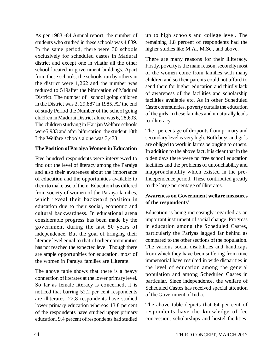As per 1983 -84 Annual report, the number of students who studied in these schools was 4,839. In the same period, there were 30 schools exclusively for scheduled castes in Madurai district and except one in vilathr all the other school located in government buildings. Apart from these schools, the schools run by others in the district were 1,262 and the number was reduced to 519after the bifurcation of Madurai District. The number of school going children in the District was 2, 29,887 in 1985. AT the end of study Period the Number of the school going children in Madurai District alone was 6, 28,603. The children studying in Harijan Welfare schools were5,983 and after bifurcation the student 10th I the Welfare schools alone was 3,478

### **The Position of Paraiya Women in Education**

Five hundred respondents were interviewed to find out the level of literacy among the Paraiya and also their awareness about the importance of education and the opportunities available to them to make use of them. Education has differed from society of women of the Paraiya families, which reveal their backward position in education due to their social, economic and cultural backwardness. In educational arena considerable progress has been made by the government during the last 50 years of independence. But the goal of bringing their literacy level equal to that of other communities has not reached the expected level. Though there are ample opportunities for education, most of the women in Paraiya families are illiterate.

The above table shows that there is a heavy connection of literates at the lower primary level. So far as female literacy is concerned, it is noticed that barring 52.2 per cent respondents are illiterates. 22.8 respondents have studied lower primary education whereas 13.8 percent of the respondents have studied upper primary education. 9.4 percent of respondents had studied up to high schools and college level. The remaining 1.8 percent of respondents had the higher studies like M.A., M.Sc., and above.

There are many reasons for their illiteracy. Firstly, poverty is the main reason; secondly most of the women come from families with many children and so their parents could not afford to send them for higher education and thirdly lack of awareness of the facilities and scholarship facilities available etc. As in other Scheduled Caste communities, poverty curtails the education of the girls in these families and it naturally leads to illiteracy.

The percentage of dropouts from primary and secondary level is very high. Both boys and girls are obliged to work in farms belonging to others. In addition to the above fact, it is clear that in the olden days there were no free school education facilities and the problems of untouchability and inapproachability which existed in the pre-Independence period. These contributed greatly to the large percentage of illiterates.

## **Awareness on Government welfare measures of the respondents'**

Education is being increasingly regarded as an important instrument of social change. Progress in education among the Scheduled Castes, particularly the Pariyas lagged far behind as compared to the other sections of the population. The various social disabilities and handicaps from which they have been suffering from time immemorial have resulted in wide disparities in the level of education among the general population and among Scheduled Castes in particular. Since independence, the welfare of Scheduled Castes has received special attention of the Government of India.

The above table depicts that 64 per cent of respondents have the knowledge of fee concession, scholarships and hostel facilities.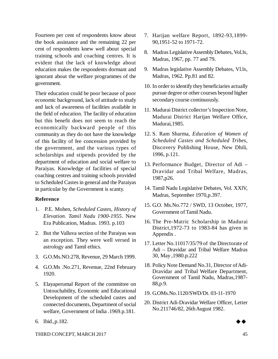Fourteen per cent of respondents know about the book assistance and the remaining 22 per cent of respondents knew well about special training schools and coaching centres. It is evident that the lack of knowledge about education makes the respondents dormant and ignorant about the welfare programmes of the government.

Their education could be poor because of poor economic background, lack of attitude to study and lack of awareness of facilities available in the field of education. The facility of education but this benefit does not seem to reach the economically backward people of this community as they do not have the knowledge of this facility of fee concession provided by the government, and the various types of scholarships and stipends provided by the department of education and social welfare to Paraiyas. Knowledge of facilities of special coaching centres and training schools provided to Scheduled Castes in general and the Paraiyas in particular by the Government is scanty.

### **Reference**

- 1. P.E. Mohen, *Scheduled Castes, History of Elevation. Tamil Nadu 1900-1955*. New Era Publication, Madras. 1993. p.103
- 2. But the Valluva section of the Paraiyas was an exception. They were well versed in astrology and Tamil ethics.
- 3. G.O.Ms.NO.278, Revenue, 29 March 1999.
- 4. G.O.Ms .No.271, Revenue, 22nd February 1920.
- 5. Elayaperumal Report of the committee on Untouchability, Economic and Educational Development of the scheduled castes and connected documents, Department of social welfare, Government of India .1969.p.181.
- 6. Ibid.,p.182.
- 7. Harijan welfare Report, 1892-93,1899- 90,1951-52 to 1971-72.
- 8. Madras Legislative Assembly Debates, Vol.lx, Madras, 1967, pp. 77 and 79.
- 9. Madras legislative Assembly Debates, Vl.lx, Madras, 1962. Pp.81 and 82.
- 10. In order to identify they beneficiaries actually pursue degree or other courses beyond higher secondary course continuously.
- 11. Madurai District collector's Inspection Note, Madurai District Harijan Welfare Office, Madurai,1985.
- 12. S. Ram Sharma, *Education of Women of Scheduled Castes and Scheduled Tribes*, Discovery Publishing House, New Dhili, 1996, p.121.
- 13. Performance Budget, Director of Adi Dravidar and Tribal Welfare, Madras, 1987,p26.
- 14. Tamil Nadu Legislative Debates, Vol. XXlV, Madras, September 1970,p.397.
- 15. G.O. Ms.No.772 / SWD, 13 October, 1977, Government of Tamil Nadu.
- 16. The Pre-Matric Scholarship in Madurai District,1972-73 to 1983-84 has given in Appendix .
- 17. Letter No.11017/35/79 of the Directorate of Adi – Dravidar and Tribal Welfare Madras 30, May ,1980.p.222
- 18. Policy Note Demand No.31, Director of Adi-Dravidar and Tribal Welfare Department, Government of Tamil Nadu, Madras,1987- 88,p.9.
- 19. G.OMs.No.1120/SWD/Dt. 03-11-1970
- 20. District Adi-Dravidar Welfare Officer, Letter No.211746/82, 26th August 1982.

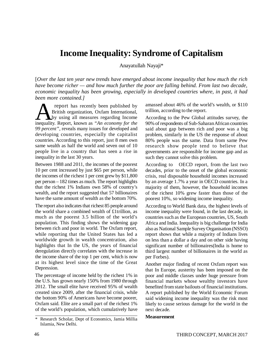## **Income Inequality: Syndrome of Capitalism**

Anayatullah Nayaji\*

[*Over the last ten year new trends have emerged about income inequality that how much the rich have become richer — and how much further the poor are falling behind. From last two decade, economic inequality has been growing, especially in developed countries where, in past, it had been more contained.]* 

**A** report has recently been published by British organization, Oxfam International, by using all measures regarding Income inequality. Report, known as "An economy for the report has recently been published by British organization, Oxfam International, by using all measures regarding Income *99 percent"*, reveals many issues for developed and developing countries, especially the capitalist countries. According to this report, just 8 men own same wealth as half the world and seven out of 10 people live in a country that has seen a rise in inequality in the last 30 years.

Between 1988 and 2011, the incomes of the poorest 10 per cent increased by just \$65 per person, while the incomes of the richest 1 per cent grew by \$11,800 per person – 182 times as much. The report highlights that the richest 1% Indians own 58% of country's wealth, and the report suggested that 57 billionaires have the same amount of wealth as the bottom 70%.

The report also indicates that richest 85 people around the world share a combined wealth of £1trillion, as much as the poorest 3.5 billion of the world's population. This finding shows the widening gap between rich and poor in world. The Oxfam report, while reporting that the United States has led a worldwide growth in wealth concentration, also highlights that In the US, the years of financial deregulation directly correlates with the increase in the income share of the top 1 per cent, which is now at its highest level since the time of the Great Depression.

The percentage of income held by the richest 1% in the U.S. has grown nearly 150% from 1980 through 2012. The small elite have received 95% of wealth created since 2009, after the financial crisis, while the bottom 90% of Americans have become poorer, Oxfam said. Elite are a small part of the richest 1% of the world's population, which cumulatively have amassed about 46% of the world's wealth, or \$110 trillion, according to the report.

According to the Pew Global attitudes survey, the 90% of respondents of Sub-Saharan African countries said about gap between rich and poor was a big problem, similarly in the US the response of about 80% people was the same. Data from same Pew research show people tend to believe that governments are responsible for income gap and as such they cannot solve this problem.

According to OECD report, from the last two decades, prior to the onset of the global economic crisis, real disposable household incomes increased by an average 1.7% a year in OECD countries. In a majority of them, however, the household incomes of the richest 10% grew faster than those of the poorest 10%, so widening income inequality.

According to World Bank data, the highest levels of income inequality were found, in the last decade, in countries such as the European countries, US, South Africa and India. Inequality is big challenge for India also as National Sample Survey Organisation (NSSO) report shows that while a majority of Indians lives on less than a dollar a day and on other side having significant number of billionaires(India is home to third largest number of billionaires in the world as per Forbes).

Another major finding of recent Oxfam report was that In Europe, austerity has been imposed on the poor and middle classes under huge pressure from financial markets whose wealthy investors have benefited from state bailouts of financial institutions. A report published by the World Economic Forum said widening income inequality was the risk most likely to cause serious damage for the world in the next decade.

#### **Measurement**

Research Scholar, Dept of Economics, Jamia Millia Islamia, New Delhi.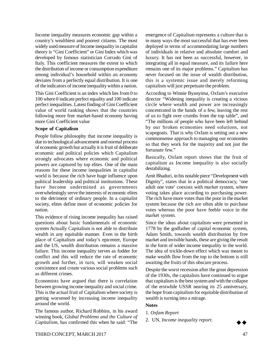Income inequality measures economic gap within a country's wealthiest and poorest citizens. The most widely used measure of Income inequality in capitalist theory is "Gini Coefficient" or Gini Index which was developed by famous statistician Corrado Gini of Italy. This coefficient measures the extent to which the distribution of income or consumption expenditure among individual's household within an economy deviates from a perfectly equal distribution. It is one of the indicators of income inequality within a nation.

This Gini Coefficient is an index which lies from 0 to 100 where 0 indicate perfect equality and 100 indicate perfect inequalities. Latest finding of Gini Coefficient value of world ranking shows that the countries following more free market-based economy having more Gini Coefficient value

#### **Scope of Capitalism**

People follow philosophy that income inequality is due to technological advancement and normal process of economic growth but actually it is fruit of deliberate economic and political policies which Capitalism strongly advocates where economic and political powers are captured by top elites. One of the main reasons for these income inequalities in capitalist world is because the rich have huge influence upon political leadership and political institutions. These have become undermined as governments overwhelmingly serve the interests of economic elites to the detriment of ordinary people. In a capitalist society, elites define most of economic policies for nation.

This evidence of rising income inequality has raised questions about basic fundamentals of economic system Actually Capitalism is not able to distribute wealth in any equitable manner. Even in the birth place of Capitalism and today's epicenter, Europe and the US, wealth distribution remains a massive failure. This income inequality serves as fodder for conflict and this will reduce the rate of economic growth and further, in turn, will weaken social coexistence and create various social problems such as different crimes.

Economists have argued that there is correlation between growing income inequality and social crime. This is the actual fruit of Capitalism where society is getting worsened by increasing income inequality around the world.

The famous author, Richard Robbins, in his award winning book, *Global Problems and the Culture of Capitalism*, has confirmed this when he said: "The

emergence of Capitalism represents a culture that is in many ways the most successful that has ever been deployed in terms of accommodating large numbers of individuals in relative and absolute comfort and luxury. It has not been as successful, however, in integrating all in equal measure, and its failure here remains one of its major problems." Capitalism has never focused on the issue of wealth distribution, this is a systemic issue and merely reforming capitalism will just perpetuate the problem.

According to Winnie Byanyima, Oxfam's executive director "Widening inequality is creating a vicious circle where wealth and power are increasingly concentrated in the hands of a few, leaving the rest of us to fight over crumbs from the top table", and "The millions of people who have been left behind by our broken economies need solutions, not scapegoats. That is why Oxfam is setting out a new commonsense approach to managing our economies so that they work for the majority and not just the fortunate few."

Basically, Oxfam report shows that the fruit of capitalism as Income inequality is also socially destabilizing.

Amit Bhaduri, in his notable piece "Development with Dignity", states that in a political democracy, 'one adult one vote' coexists with market system, where voting takes place according to purchasing power. The rich have more votes than the poor in the market system because the rich are often able to purchase votes whereas the poor have feeble voice in the market system.

Since the ideas about capitalism were presented in 1778 by the godfather of capital economic system, Adam Smith, towards wealth distribution by free market and invisible hands, these are giving the result in the form of wider income inequality in the world. The idea of trickle-down effect which was meant to make wealth flow from the top to the bottom is still awaiting the fruits of this obscure process.

Despite the worst recession after the great depression of the 1930s, the capitalists have continued to argue that capitalism is the best system and with the collapse of the erstwhile USSR nearing its 25 anniversary, the hope from capitalism for equitable distribution of wealth is turning into a mirage.

#### **Notes**

- 1. *Oxfam Report*
- 2. UN, *Income inequality report*.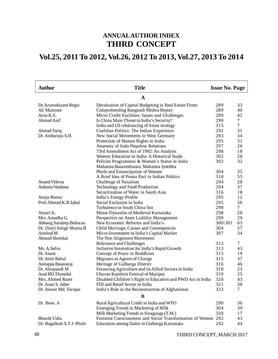## **ANNUAL AUTHOR INDEX THIRD CONCEPT**

## **Vol.25, 2011 To 2012, Vol.26, 2012 To 2013, Vol.27, 2013 To 2014**

| <b>Title</b><br><b>Author</b> |                                                             | <b>Issue No. Page</b> |                 |
|-------------------------------|-------------------------------------------------------------|-----------------------|-----------------|
|                               | $\mathbf A$                                                 |                       |                 |
| Dr. Arunodayam Regis          | Devaluation of Capital Budgeting in Real Estate Firms       | 289                   | 33              |
| Ali Manzoor                   | Comprehending Rangnath Mishra Report                        | 289                   | 40              |
| Arun K.S.                     | Micro Credit Facilities: Issues and Challenges              | 289                   | 42              |
| Ahmed Asif                    | Is China Main Threat to India's Security?                   | 290                   | 7               |
|                               | India and US rebalancing of Asian strategy                  | 315                   | 7               |
| Ahmad Tariq                   | Coalition Politics: The Indian Experience                   | 292                   | 31              |
| Dr. Ambaraya S.H.             | New Social Movements in West Germany                        | 293                   | 34              |
|                               | Protection of Human Rights in India                         | 295                   | 31              |
|                               | Anatomy of Indo-Nepalese Relations                          | 297                   | 26              |
|                               | 73rd Amendment Act of 1992: An Analysis                     | 298                   | 18              |
|                               | Women Education in India: A Historical Study                | 302                   | 28              |
|                               | Policies Programmes & Women's Status in India               | 302                   | 32              |
|                               | Mahatma Basaveshwara, Mahatma Jyotibha                      |                       |                 |
|                               | Phule and Emancipation of Women                             | 304                   | 35              |
|                               | A Brief Idea of Poona Pact in Indian Politics               | 310                   | 55              |
| <b>Anand Vishwa</b>           | Challenge of Naxalism                                       | 294                   | 28              |
| Asthana Vandana               | Technology and Food Production                              | 294                   | 37              |
|                               | Securitization of Water in South Asia                       | 316                   | 18              |
| Aneja Reenu                   | India's Energy Profile                                      | 295                   | 12              |
| Prof.Ahmed K.R.Iqbal          | Social Exclusion in India                                   | 295                   | 56              |
|                               | Turbulence in South China Sea                               | 298                   | $7\overline{ }$ |
| Ansari K.                     | Minor Dynasties of Medieval Karnataka                       | 298                   | 28              |
| Mrs. Amudha G.                | Perspectivs on Asset Liability Management                   | 299                   | 29              |
| Abhang Sandeep Baburao        | New Economic Reforms and India's                            | 300-301               | 65              |
| Dr. (Smt) Astige Shanta B     | Child Marriage; Causes and Consequences                     | 304                   | 57              |
| Aravind.M                     | Micro-Investment in India's Capital Market                  | 307                   | 34              |
| Ahmad Showkat                 | The Non Alignment Movement:                                 |                       |                 |
|                               | Relevance and Challenges                                    | 313                   | 7               |
| Ms. A.Selva                   | Inclusive Innovation for India's Rapid Growth               | 313                   | 43              |
| Dr. Anant                     | Concept of Peace in Buddhism                                | 315                   | 19              |
| Dr. Amit Rahul                | Migrants as Agents of Change                                | 315                   | 37              |
| Annappa Basavaraj             | Heritage of Gulbarga District                               | 316                   | 46              |
| Dr. Alexpandi M.              | Financing Agriculture and its Allied Sectors in India       | 318                   | 23              |
| Anal BD.Thumdal               | Chavan Kumhrin Festival of Manipur                          | 319                   | 25              |
| Mrs. Ahmed Rumi               | Disabled Children's Right to Education and PWD Act in India | 320                   | 43              |
| Dr. Asan S. Jaber             | FDI and Retail Sector in India                              | 321                   | 38              |
| Dr. Anwer Md. Tarique         | India's Role in the Reconstruction of Afghanistan           | 323                   | 7               |
|                               | B                                                           |                       |                 |
| Dr. Bose. A                   | Rural Agricultural Credit in India and WTO                  | 290                   | 36              |
|                               | Emerging Trends in Marketing of Milk                        | 304                   | 39              |
|                               | Milk Marketing Trends in Sivaganga (T.M.)                   | 320                   | 17              |
| Bharde Usha                   | Feminist Consciousness and Social Transformation of Women   | 292                   | 43              |
| Dr. Bagalkoti S.T.J. Phule    | Education among Dalits in Gulbarga Karnataka                | 292                   | 44              |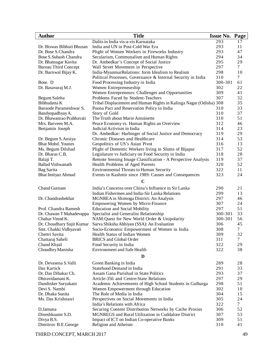| <b>Author</b>                                | <b>Title</b>                                                       | <b>Issue No. Page</b> |                 |
|----------------------------------------------|--------------------------------------------------------------------|-----------------------|-----------------|
|                                              | Dalits in India vis-a-vis Karnataka                                | 293                   | 17              |
| Dr. Biswas Bibhuti Bhusan                    | India and UN in Post-Cold War Era                                  | 293                   | 11              |
| Dr. Bose S.Chandra                           | Plight of Women Workers in Fireworks Industry                      | 293                   | 47              |
| Bose S. Subash Chandra                       | Secularism, Communalism and Human Rights                           | 294                   | 34              |
| Dr. Bhatnagar Kavita                         | Dr. Ambedkar's Concept of Social Justice                           | 295                   | 29              |
| <b>Bureau Third Concept</b>                  | Wall Street Movement in Perspective                                | 297                   | $7\overline{ }$ |
| Dr. Barnwal Bijay K.                         | India-MyanmarRelations: form Idealism to Realism                   | 298                   | 10              |
|                                              | Political Processes, Governance & Internal Security in India       | 310                   | $7\overline{ }$ |
| Bose. D                                      | Food Processing Industry in India                                  | 300-301               | 61              |
| Dr. Basavaraj M.J.                           | Women Entrepreneurship                                             | 302                   | 22              |
|                                              | Women Entrepreneurs: Challenges and Opportunities                  | 309                   | 41              |
| Begum Saleha                                 | Problems Faced by Student-Teachers                                 | 307                   | 32              |
| Bibhudatta K                                 | Tribal Displacement and Human Rights in Kalinga Nagar (Odisha) 308 | 310                   | 35<br>33        |
| Bansode Parameshwar S.                       | Poona Pact and Reservation Policy in India<br>Story of Gold        | 310                   | 37              |
| Bandyopadhyay A.<br>Dr. Bhawanrao Prabhavati | The Truth about Marie Antoinette                                   | 310                   | 51              |
| Mrs. Barveen M.A.                            | Peace Economy vs. Human Rights an Overview                         | 312                   | 46              |
| Benjamin Joseph                              | Judicial Activism in India                                         | 314                   | 23              |
|                                              | Dr. Ambedkar: Harbinger of Social Justice and Democracy            | 319                   | 29              |
| Dr. Begum S.Ansiya                           | Chronic Diseases and Healthcare                                    | 314                   | 53              |
| <b>Bhat Mohd. Younes</b>                     | Geopolitics of US's Asian Pivot                                    | 316                   | 13              |
| Ms. Begum Dilshad                            | Plight of Domestic Workers living in Slums of Bijapur              | 317                   | 52              |
| Dr. Bharas C.B.                              | Legislature vs Judiciary on Food Security in India                 | 318                   | 28              |
| Balaji T.                                    | Remote Sensing Image Classification - A Perspective Analysis       | 319                   | 37              |
| <b>Ballad Vishwanath</b>                     | Health Problems of Aged Parents                                    | 320                   | 52              |
| Bag Sarita                                   | <b>Environmental Threats to Human Security</b>                     | 322                   | 11              |
| Bhat Imtiyaz Ahmad                           | Events in Kashmir since 1989: Causes and Consequences              | 323                   | 24              |
|                                              | $\mathbf C$                                                        |                       |                 |
| Chand Gurnam                                 | India's Concerns over China's Influence in Sir Lanka               | 290                   | 21              |
|                                              | Indian Fishermen and India-Sir Lanka Relations                     | 299                   | 13              |
| Dr. Chandrashekhar                           | MGNREA in Shimoga District: An Analysis                            | 297                   | 46              |
|                                              | Empowering Women by Micro-Finance                                  | 307                   | 24              |
| Prof. Chandra Ramesh                         | <b>Education and Social Mobility</b>                               | 297                   | 51              |
| Dr. Chawan T Mahadevappa                     | Specialist and Generalist Relationship                             | 300-301               | 33              |
| Chahar Vinod K.                              | NAM: Quest for New World Order & Unipolarity                       | 300-301               | 56              |
| Dr. Choudhary Sujit Kumar                    | Sarva Shiksha Abhiyan (SSA): An Evaluation                         | 306                   | 45              |
| Smt. Chakki Vidhyavati                       | Socio-Economic Empowerment of Women in India                       | 308                   | 7               |
| Chettri Savita                               | Health Status of Indian Women                                      | 309                   | 32              |
| Chattaraj Saheli                             | <b>BRICS</b> and Global Order                                      | 311                   | $\tau$          |
| Chand Khyal                                  | Food Security in India                                             | 322                   | 29              |
| Choudhry Manisha                             | <b>Environment and Safe Health</b>                                 | 322                   | 38              |
|                                              | D                                                                  |                       |                 |
| Dr. Devasena S. Valli                        | Green Banking in India                                             | 289                   | 28              |
| Das Kartick                                  | Statehood Demand in India                                          | 291                   | 33              |
| Dr. Das Dibakar Ch.                          | Assam Gana Parishad in State Politics                              | 293                   | 37              |
| Dhiravidamani K.                             | Article-356 and Centre-State Relations                             | 297                   | 29              |
| Dandinker Suryakant                          | Academic Achievements of High School Students in Gulbarga          | 298                   | 51              |
| Devi S. Nambi                                | Women Empowerment through Education                                | 302                   | 10              |
| Dr. Dhaka Sunita                             | The Role of Media in India                                         | 304                   | 15              |
| Ms. Das Krishnasri                           | Perspectives on Social Movements in India                          | 305                   | 24              |
|                                              | India's Relations with Africa                                      | 322                   | $\tau$          |
| D.Jamuna                                     | Securing Content Distribution Networks by Cache Proxies            | 306                   | 52              |
| Dineshkuamr S.D.                             | MGNREGS and Rural Utilization in Cuddalore District                | 307                   | 53              |
| Divya B.S.                                   | Impact of ICT on Indian Co-operative Banks                         | 309                   | 51              |
| Dimitrov B.E.George                          | Religion and Atheism                                               | 310                   | 41              |

THIRD CONCEPT, MARCH 2017 49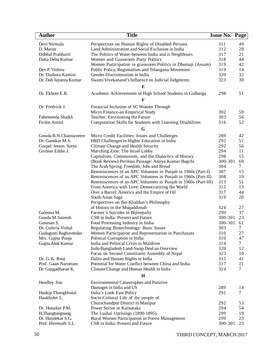| <b>Author</b>         | <b>Title</b>                                                    | <b>Issue No. Page</b> |        |
|-----------------------|-----------------------------------------------------------------|-----------------------|--------|
| Devi Nirmala          | Perspectives on Human Rights of Disabled Persons                | 311                   | 49     |
| D. Maran              | Land Administration and Social Exclusion in India               | 312                   | 28     |
| Dobhal Prabhavit      | The Politics of Water-between India and it Neighbours           | 317                   | 21     |
| Datta Deba Kumar      | Women and Grassroots Party Politics                             | 318                   | 44     |
|                       | Women Participation in grassroots Politics in Dhemaji (Assam)   | 319                   | 42     |
| Dev P. Vishnu         | Public Policy, Regionalism and Telangana Movement               | 319                   | 14     |
| Dr. Dashora Kamini    | Gender Discrimination in India                                  | 320                   | 32     |
| Dr. Dab Jayanta Kumar | Swami Vivekanand's Influence on Judicial Judgments              | 323                   | 30     |
|                       | E                                                               |                       |        |
| Dr. Ekbote E.R.       | Academic Achievements of High School Students in Gulbarga       | 298                   | 51     |
|                       |                                                                 |                       |        |
|                       | F                                                               |                       |        |
| Dr. Fredrick J.       | Financial Inclusion of SC Women Through                         |                       |        |
|                       | Micro Finance-an Empirical Study                                | 302                   | 59     |
| Fahemeeda Shaikh      | Teacher: Envisioning the Future                                 | 303                   | 56     |
| Firdos Amtul          | Computation Skills for Students with Learning Disabilities      | 316                   | 52     |
|                       | G                                                               |                       |        |
| Gowda B.N.Channaveere | Micro Credit Facilities: Issues and Challenges                  | 289                   | 42     |
| Dr. Gaonkar M.S.      | HRD Challenges in Higher Education in India                     | 292                   | 51     |
| Gospel Jetson Satya   | Climate Change and Health Security                              | 292                   | 56     |
| Girdner Eddie J.      | Marching Zion: The Israel Lobby                                 | 294                   | 11     |
|                       | Capitalism, Communism, and the Dialectics of History            | 298                   | 15     |
|                       | (Book Review) Perilous Passage: Amiya Kumar Bagchi              | 300-301               | 69     |
|                       | The Arab Spring: Freedom, Jobs and Bread                        | 304                   | $\tau$ |
|                       | Reminiscences of an APC Volunteer in Punjab in 1960s (Part-I)   | 307                   | 15     |
|                       | Reminiscences of an APC Volunteer in Punjab in 1960s (Part-II)  | 308                   | 19     |
|                       | Reminiscences of an APC Volunteer in Punjab in 1960s (Part-III) | 313                   | 51     |
|                       | From America with Love: Democratizing the World                 | 315                   | 13     |
|                       | Over a Barrel: America and the Empire of Oil                    | 317                   | 44     |
|                       | South Asian Saga                                                | 319                   | 20     |
|                       | Perspectives on Ibn-Khaldun's Philosophy                        |                       |        |
|                       | of History in the Muqaddimah                                    | 324                   | 27     |
| Galenna M.            | Farmer's Suicides in Bijinepally                                | 299                   | 37     |
| Gouda M.Sateesh       | CSR in India: Present and Future                                | 300-301               | 23     |
| Ganesan S.            | Food Processing Industry in India                               | 300-301               | 61     |
| Dr. Guleria Vishal    | Regulating Biotechnology: Basic Issues                          | 303                   | 7      |
| Gudagunti Raghavendar | Women Participation and Representation in Panchayats            | 310                   | 27     |
| Mrs. Gupta Pooja      | Political Corruption in India                                   | 310                   | 47     |
| Gupta Alok Kumar      | India and Political Crisis in Maldives                          | 314                   | 7      |
|                       | Indo-Bangladesh Land-Swap Deal:an Overview                      | 320                   | 12     |
|                       | Focus on Second Constituent Assembly of Nepal                   | 323                   | 10     |
| Dr. G. K. Rout        | Dalits and Human Rights in India                                | 315                   | 41     |
| Prof. Gaan Narottam   | Potential for Water Conflict between China and India            | 317                   | 11     |
| Dr. Gangadharan K.    | Climate Change and Human Health in India                        | 324                   | 7      |
|                       | H                                                               |                       |        |
| Headley Jim           | <b>Environmental Catastrophes and Punitive</b>                  |                       |        |
|                       | Damages in India and US                                         | 289                   | 14     |
| Haokip Thongkholal    | India's Look East Policy                                        | 291                   | 7      |
| Haokholet L.          | Socio-Cultural Life of the people of                            |                       |        |
|                       | Churachandpur District in Manipur                               | 292                   | 53     |
| Dr. Honaker P.M.      | Power Sector in Karnataka                                       | 294                   | 54     |
| H.Thangtungnung       | The Lushai Uprisings (1890-1895)                                | 299                   | 19     |
| Dr. Hundekar S.G.     | Rural Women Participation in Forest Management                  | 299                   | 23     |
| Prof. Hiremath S.L    | CSR in India: Present and Future                                | 300-301               | 23     |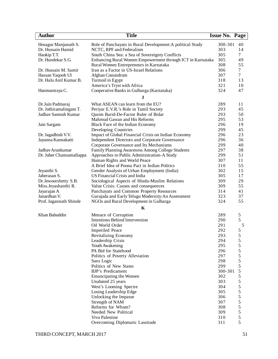| Hosagur Manjunath S.<br>Role of Panchayats in Rural Development: A political Study<br>300-301<br>40<br>303<br>14<br>Dr. Hussain Hamid<br>NCTC, RPF and Federalism<br>South China Sea: a Sea of Sovereignty Conflicts<br>305<br>Haokip T.T.<br>7<br>Dr. Hundekar S.G.<br>Enhancing Rural Women Empowerment through ICT in Karnataka<br>305<br>49<br>308<br>Rural Women Entrepreneurs in Karnataka<br>55<br>306<br>Iran as a Factor in US-Israel Relations<br>Dr. Hussain M. Samir<br>7<br>$\tau$<br>307<br>Hassan Yaqoob Ul<br>Afghan Conundrum<br>Dr. Halu Anil Kumar B.<br>318<br>Turmoil in Egypt<br>13<br>America's Tryst with Africa<br>321<br>10<br>324<br>47<br>Cooperative Banks in Gulbarga (Karnataka)<br>Hanmantraya C.<br>J<br>289<br>What ASEAN can learn from the EU?<br>11<br>Dr.Jain Padmaraj<br>293<br>45<br>Dr. Jothiramalingam T.<br>Periyar E.V.R.'s Role in Tamil Society<br>Jadhav Santosh Kumar<br>293<br>50<br>Qasim Barid-De-Factor Ruler of Bidar<br>295<br>53<br>Mahmud Gawan and His Reforms<br>296<br>19<br>Black Face of the Indian Economy<br>Jain Sargam<br>299<br>Developing Countries<br>45<br>296<br>23<br>Dr. Jagadhish V.V.<br>Impact of Global Financial Crisis on Indian Economy<br>296<br>36<br>Jayanna Kannakatti<br>Independent Directors and Corporate Governance<br>299<br>40<br>Corporate Governance and Its Mechanisms<br>297<br>38<br>Jadhav Arunkumar<br>Family Planning Awareness Among College Students<br>299<br>51<br>Dr. Juber Channamallappa<br>Approaches to Public Administration-A Study<br>Human Rights and World Peace<br>307<br>11<br>310<br>A Brief Idea of Poona Pact in Indian Politics<br>55<br>302<br>15<br>Gender Analysis of Urban Employment (India)<br>Jeyanthi S.<br>Jaberasan S.<br>305<br>US Financial Crisis and India<br>17<br>309<br>29<br>Dr.Jewoorshetty S.B.<br>Sociological Aspects of Hindu-Muslim Relations<br>309<br>55<br>Miss.Jeyashanthi R.<br>Value Crisis: Causes and consequences<br>314<br>41<br>Jayarajan A<br>Panchayats and Common Property Resources<br>Janardhan V.<br>Gurajada and Early Telugu Modernity: An Assessment<br>323<br>37<br>55<br>324<br>Prof. Jagannath Shinde<br>NGOs and Rural Development in Gulbarga<br>K<br>Khan Babuddin<br>289<br>Menace of Corruption<br>5<br>5<br><b>Intentions Behind Intervention</b><br>290<br>Oil World Order<br>291<br>5<br>292<br>$\mathfrak s$<br><b>Imperiled Peace</b><br>$\mathfrak s$<br>293<br>Revitalizing Economy<br>5<br>294<br>Leadership Crisis<br>295<br>5<br>Youth Awakening<br>5<br>PA Bid for Statehood<br>296<br>5<br>297<br>Politics of Poverty Alleviation<br>5<br>298<br>Sans Logic<br>5<br>299<br>Politics of New States<br>5<br><b>BJP's Predicament</b><br>300-301<br>5<br>302<br><b>Emancipating the Women</b><br>5<br>303<br>Unabated 25 years<br>5<br>304<br>West's Looming Spectre<br>5<br>305<br>Losing Leadership Edge<br>5<br>306<br>Unlocking the Impasse<br>5<br>307<br>Strength of NAM<br>5<br>Reforms for Whom?<br>308<br>5<br>Needed New Political<br>309<br>5<br>310<br>Viva Palestine | <b>Author</b> | <b>Title</b>                    | <b>Issue No. Page</b> |   |
|----------------------------------------------------------------------------------------------------------------------------------------------------------------------------------------------------------------------------------------------------------------------------------------------------------------------------------------------------------------------------------------------------------------------------------------------------------------------------------------------------------------------------------------------------------------------------------------------------------------------------------------------------------------------------------------------------------------------------------------------------------------------------------------------------------------------------------------------------------------------------------------------------------------------------------------------------------------------------------------------------------------------------------------------------------------------------------------------------------------------------------------------------------------------------------------------------------------------------------------------------------------------------------------------------------------------------------------------------------------------------------------------------------------------------------------------------------------------------------------------------------------------------------------------------------------------------------------------------------------------------------------------------------------------------------------------------------------------------------------------------------------------------------------------------------------------------------------------------------------------------------------------------------------------------------------------------------------------------------------------------------------------------------------------------------------------------------------------------------------------------------------------------------------------------------------------------------------------------------------------------------------------------------------------------------------------------------------------------------------------------------------------------------------------------------------------------------------------------------------------------------------------------------------------------------------------------------------------------------------------------------------------------------------------------------------------------------------------------------------------------------------------------------------------------------------------------------------------------------------------------------------------------------------------------------------------------------------------------------------------------------------------------------------------------------------------|---------------|---------------------------------|-----------------------|---|
|                                                                                                                                                                                                                                                                                                                                                                                                                                                                                                                                                                                                                                                                                                                                                                                                                                                                                                                                                                                                                                                                                                                                                                                                                                                                                                                                                                                                                                                                                                                                                                                                                                                                                                                                                                                                                                                                                                                                                                                                                                                                                                                                                                                                                                                                                                                                                                                                                                                                                                                                                                                                                                                                                                                                                                                                                                                                                                                                                                                                                                                                      |               |                                 |                       |   |
|                                                                                                                                                                                                                                                                                                                                                                                                                                                                                                                                                                                                                                                                                                                                                                                                                                                                                                                                                                                                                                                                                                                                                                                                                                                                                                                                                                                                                                                                                                                                                                                                                                                                                                                                                                                                                                                                                                                                                                                                                                                                                                                                                                                                                                                                                                                                                                                                                                                                                                                                                                                                                                                                                                                                                                                                                                                                                                                                                                                                                                                                      |               |                                 |                       |   |
|                                                                                                                                                                                                                                                                                                                                                                                                                                                                                                                                                                                                                                                                                                                                                                                                                                                                                                                                                                                                                                                                                                                                                                                                                                                                                                                                                                                                                                                                                                                                                                                                                                                                                                                                                                                                                                                                                                                                                                                                                                                                                                                                                                                                                                                                                                                                                                                                                                                                                                                                                                                                                                                                                                                                                                                                                                                                                                                                                                                                                                                                      |               |                                 |                       |   |
|                                                                                                                                                                                                                                                                                                                                                                                                                                                                                                                                                                                                                                                                                                                                                                                                                                                                                                                                                                                                                                                                                                                                                                                                                                                                                                                                                                                                                                                                                                                                                                                                                                                                                                                                                                                                                                                                                                                                                                                                                                                                                                                                                                                                                                                                                                                                                                                                                                                                                                                                                                                                                                                                                                                                                                                                                                                                                                                                                                                                                                                                      |               |                                 |                       |   |
|                                                                                                                                                                                                                                                                                                                                                                                                                                                                                                                                                                                                                                                                                                                                                                                                                                                                                                                                                                                                                                                                                                                                                                                                                                                                                                                                                                                                                                                                                                                                                                                                                                                                                                                                                                                                                                                                                                                                                                                                                                                                                                                                                                                                                                                                                                                                                                                                                                                                                                                                                                                                                                                                                                                                                                                                                                                                                                                                                                                                                                                                      |               |                                 |                       |   |
|                                                                                                                                                                                                                                                                                                                                                                                                                                                                                                                                                                                                                                                                                                                                                                                                                                                                                                                                                                                                                                                                                                                                                                                                                                                                                                                                                                                                                                                                                                                                                                                                                                                                                                                                                                                                                                                                                                                                                                                                                                                                                                                                                                                                                                                                                                                                                                                                                                                                                                                                                                                                                                                                                                                                                                                                                                                                                                                                                                                                                                                                      |               |                                 |                       |   |
|                                                                                                                                                                                                                                                                                                                                                                                                                                                                                                                                                                                                                                                                                                                                                                                                                                                                                                                                                                                                                                                                                                                                                                                                                                                                                                                                                                                                                                                                                                                                                                                                                                                                                                                                                                                                                                                                                                                                                                                                                                                                                                                                                                                                                                                                                                                                                                                                                                                                                                                                                                                                                                                                                                                                                                                                                                                                                                                                                                                                                                                                      |               |                                 |                       |   |
|                                                                                                                                                                                                                                                                                                                                                                                                                                                                                                                                                                                                                                                                                                                                                                                                                                                                                                                                                                                                                                                                                                                                                                                                                                                                                                                                                                                                                                                                                                                                                                                                                                                                                                                                                                                                                                                                                                                                                                                                                                                                                                                                                                                                                                                                                                                                                                                                                                                                                                                                                                                                                                                                                                                                                                                                                                                                                                                                                                                                                                                                      |               |                                 |                       |   |
|                                                                                                                                                                                                                                                                                                                                                                                                                                                                                                                                                                                                                                                                                                                                                                                                                                                                                                                                                                                                                                                                                                                                                                                                                                                                                                                                                                                                                                                                                                                                                                                                                                                                                                                                                                                                                                                                                                                                                                                                                                                                                                                                                                                                                                                                                                                                                                                                                                                                                                                                                                                                                                                                                                                                                                                                                                                                                                                                                                                                                                                                      |               |                                 |                       |   |
|                                                                                                                                                                                                                                                                                                                                                                                                                                                                                                                                                                                                                                                                                                                                                                                                                                                                                                                                                                                                                                                                                                                                                                                                                                                                                                                                                                                                                                                                                                                                                                                                                                                                                                                                                                                                                                                                                                                                                                                                                                                                                                                                                                                                                                                                                                                                                                                                                                                                                                                                                                                                                                                                                                                                                                                                                                                                                                                                                                                                                                                                      |               |                                 |                       |   |
|                                                                                                                                                                                                                                                                                                                                                                                                                                                                                                                                                                                                                                                                                                                                                                                                                                                                                                                                                                                                                                                                                                                                                                                                                                                                                                                                                                                                                                                                                                                                                                                                                                                                                                                                                                                                                                                                                                                                                                                                                                                                                                                                                                                                                                                                                                                                                                                                                                                                                                                                                                                                                                                                                                                                                                                                                                                                                                                                                                                                                                                                      |               |                                 |                       |   |
|                                                                                                                                                                                                                                                                                                                                                                                                                                                                                                                                                                                                                                                                                                                                                                                                                                                                                                                                                                                                                                                                                                                                                                                                                                                                                                                                                                                                                                                                                                                                                                                                                                                                                                                                                                                                                                                                                                                                                                                                                                                                                                                                                                                                                                                                                                                                                                                                                                                                                                                                                                                                                                                                                                                                                                                                                                                                                                                                                                                                                                                                      |               |                                 |                       |   |
|                                                                                                                                                                                                                                                                                                                                                                                                                                                                                                                                                                                                                                                                                                                                                                                                                                                                                                                                                                                                                                                                                                                                                                                                                                                                                                                                                                                                                                                                                                                                                                                                                                                                                                                                                                                                                                                                                                                                                                                                                                                                                                                                                                                                                                                                                                                                                                                                                                                                                                                                                                                                                                                                                                                                                                                                                                                                                                                                                                                                                                                                      |               |                                 |                       |   |
|                                                                                                                                                                                                                                                                                                                                                                                                                                                                                                                                                                                                                                                                                                                                                                                                                                                                                                                                                                                                                                                                                                                                                                                                                                                                                                                                                                                                                                                                                                                                                                                                                                                                                                                                                                                                                                                                                                                                                                                                                                                                                                                                                                                                                                                                                                                                                                                                                                                                                                                                                                                                                                                                                                                                                                                                                                                                                                                                                                                                                                                                      |               |                                 |                       |   |
|                                                                                                                                                                                                                                                                                                                                                                                                                                                                                                                                                                                                                                                                                                                                                                                                                                                                                                                                                                                                                                                                                                                                                                                                                                                                                                                                                                                                                                                                                                                                                                                                                                                                                                                                                                                                                                                                                                                                                                                                                                                                                                                                                                                                                                                                                                                                                                                                                                                                                                                                                                                                                                                                                                                                                                                                                                                                                                                                                                                                                                                                      |               |                                 |                       |   |
|                                                                                                                                                                                                                                                                                                                                                                                                                                                                                                                                                                                                                                                                                                                                                                                                                                                                                                                                                                                                                                                                                                                                                                                                                                                                                                                                                                                                                                                                                                                                                                                                                                                                                                                                                                                                                                                                                                                                                                                                                                                                                                                                                                                                                                                                                                                                                                                                                                                                                                                                                                                                                                                                                                                                                                                                                                                                                                                                                                                                                                                                      |               |                                 |                       |   |
|                                                                                                                                                                                                                                                                                                                                                                                                                                                                                                                                                                                                                                                                                                                                                                                                                                                                                                                                                                                                                                                                                                                                                                                                                                                                                                                                                                                                                                                                                                                                                                                                                                                                                                                                                                                                                                                                                                                                                                                                                                                                                                                                                                                                                                                                                                                                                                                                                                                                                                                                                                                                                                                                                                                                                                                                                                                                                                                                                                                                                                                                      |               |                                 |                       |   |
|                                                                                                                                                                                                                                                                                                                                                                                                                                                                                                                                                                                                                                                                                                                                                                                                                                                                                                                                                                                                                                                                                                                                                                                                                                                                                                                                                                                                                                                                                                                                                                                                                                                                                                                                                                                                                                                                                                                                                                                                                                                                                                                                                                                                                                                                                                                                                                                                                                                                                                                                                                                                                                                                                                                                                                                                                                                                                                                                                                                                                                                                      |               |                                 |                       |   |
|                                                                                                                                                                                                                                                                                                                                                                                                                                                                                                                                                                                                                                                                                                                                                                                                                                                                                                                                                                                                                                                                                                                                                                                                                                                                                                                                                                                                                                                                                                                                                                                                                                                                                                                                                                                                                                                                                                                                                                                                                                                                                                                                                                                                                                                                                                                                                                                                                                                                                                                                                                                                                                                                                                                                                                                                                                                                                                                                                                                                                                                                      |               |                                 |                       |   |
|                                                                                                                                                                                                                                                                                                                                                                                                                                                                                                                                                                                                                                                                                                                                                                                                                                                                                                                                                                                                                                                                                                                                                                                                                                                                                                                                                                                                                                                                                                                                                                                                                                                                                                                                                                                                                                                                                                                                                                                                                                                                                                                                                                                                                                                                                                                                                                                                                                                                                                                                                                                                                                                                                                                                                                                                                                                                                                                                                                                                                                                                      |               |                                 |                       |   |
|                                                                                                                                                                                                                                                                                                                                                                                                                                                                                                                                                                                                                                                                                                                                                                                                                                                                                                                                                                                                                                                                                                                                                                                                                                                                                                                                                                                                                                                                                                                                                                                                                                                                                                                                                                                                                                                                                                                                                                                                                                                                                                                                                                                                                                                                                                                                                                                                                                                                                                                                                                                                                                                                                                                                                                                                                                                                                                                                                                                                                                                                      |               |                                 |                       |   |
|                                                                                                                                                                                                                                                                                                                                                                                                                                                                                                                                                                                                                                                                                                                                                                                                                                                                                                                                                                                                                                                                                                                                                                                                                                                                                                                                                                                                                                                                                                                                                                                                                                                                                                                                                                                                                                                                                                                                                                                                                                                                                                                                                                                                                                                                                                                                                                                                                                                                                                                                                                                                                                                                                                                                                                                                                                                                                                                                                                                                                                                                      |               |                                 |                       |   |
|                                                                                                                                                                                                                                                                                                                                                                                                                                                                                                                                                                                                                                                                                                                                                                                                                                                                                                                                                                                                                                                                                                                                                                                                                                                                                                                                                                                                                                                                                                                                                                                                                                                                                                                                                                                                                                                                                                                                                                                                                                                                                                                                                                                                                                                                                                                                                                                                                                                                                                                                                                                                                                                                                                                                                                                                                                                                                                                                                                                                                                                                      |               |                                 |                       |   |
|                                                                                                                                                                                                                                                                                                                                                                                                                                                                                                                                                                                                                                                                                                                                                                                                                                                                                                                                                                                                                                                                                                                                                                                                                                                                                                                                                                                                                                                                                                                                                                                                                                                                                                                                                                                                                                                                                                                                                                                                                                                                                                                                                                                                                                                                                                                                                                                                                                                                                                                                                                                                                                                                                                                                                                                                                                                                                                                                                                                                                                                                      |               |                                 |                       |   |
|                                                                                                                                                                                                                                                                                                                                                                                                                                                                                                                                                                                                                                                                                                                                                                                                                                                                                                                                                                                                                                                                                                                                                                                                                                                                                                                                                                                                                                                                                                                                                                                                                                                                                                                                                                                                                                                                                                                                                                                                                                                                                                                                                                                                                                                                                                                                                                                                                                                                                                                                                                                                                                                                                                                                                                                                                                                                                                                                                                                                                                                                      |               |                                 |                       |   |
|                                                                                                                                                                                                                                                                                                                                                                                                                                                                                                                                                                                                                                                                                                                                                                                                                                                                                                                                                                                                                                                                                                                                                                                                                                                                                                                                                                                                                                                                                                                                                                                                                                                                                                                                                                                                                                                                                                                                                                                                                                                                                                                                                                                                                                                                                                                                                                                                                                                                                                                                                                                                                                                                                                                                                                                                                                                                                                                                                                                                                                                                      |               |                                 |                       |   |
|                                                                                                                                                                                                                                                                                                                                                                                                                                                                                                                                                                                                                                                                                                                                                                                                                                                                                                                                                                                                                                                                                                                                                                                                                                                                                                                                                                                                                                                                                                                                                                                                                                                                                                                                                                                                                                                                                                                                                                                                                                                                                                                                                                                                                                                                                                                                                                                                                                                                                                                                                                                                                                                                                                                                                                                                                                                                                                                                                                                                                                                                      |               |                                 |                       |   |
|                                                                                                                                                                                                                                                                                                                                                                                                                                                                                                                                                                                                                                                                                                                                                                                                                                                                                                                                                                                                                                                                                                                                                                                                                                                                                                                                                                                                                                                                                                                                                                                                                                                                                                                                                                                                                                                                                                                                                                                                                                                                                                                                                                                                                                                                                                                                                                                                                                                                                                                                                                                                                                                                                                                                                                                                                                                                                                                                                                                                                                                                      |               |                                 |                       |   |
|                                                                                                                                                                                                                                                                                                                                                                                                                                                                                                                                                                                                                                                                                                                                                                                                                                                                                                                                                                                                                                                                                                                                                                                                                                                                                                                                                                                                                                                                                                                                                                                                                                                                                                                                                                                                                                                                                                                                                                                                                                                                                                                                                                                                                                                                                                                                                                                                                                                                                                                                                                                                                                                                                                                                                                                                                                                                                                                                                                                                                                                                      |               |                                 |                       |   |
|                                                                                                                                                                                                                                                                                                                                                                                                                                                                                                                                                                                                                                                                                                                                                                                                                                                                                                                                                                                                                                                                                                                                                                                                                                                                                                                                                                                                                                                                                                                                                                                                                                                                                                                                                                                                                                                                                                                                                                                                                                                                                                                                                                                                                                                                                                                                                                                                                                                                                                                                                                                                                                                                                                                                                                                                                                                                                                                                                                                                                                                                      |               |                                 |                       |   |
|                                                                                                                                                                                                                                                                                                                                                                                                                                                                                                                                                                                                                                                                                                                                                                                                                                                                                                                                                                                                                                                                                                                                                                                                                                                                                                                                                                                                                                                                                                                                                                                                                                                                                                                                                                                                                                                                                                                                                                                                                                                                                                                                                                                                                                                                                                                                                                                                                                                                                                                                                                                                                                                                                                                                                                                                                                                                                                                                                                                                                                                                      |               |                                 |                       |   |
|                                                                                                                                                                                                                                                                                                                                                                                                                                                                                                                                                                                                                                                                                                                                                                                                                                                                                                                                                                                                                                                                                                                                                                                                                                                                                                                                                                                                                                                                                                                                                                                                                                                                                                                                                                                                                                                                                                                                                                                                                                                                                                                                                                                                                                                                                                                                                                                                                                                                                                                                                                                                                                                                                                                                                                                                                                                                                                                                                                                                                                                                      |               |                                 |                       |   |
|                                                                                                                                                                                                                                                                                                                                                                                                                                                                                                                                                                                                                                                                                                                                                                                                                                                                                                                                                                                                                                                                                                                                                                                                                                                                                                                                                                                                                                                                                                                                                                                                                                                                                                                                                                                                                                                                                                                                                                                                                                                                                                                                                                                                                                                                                                                                                                                                                                                                                                                                                                                                                                                                                                                                                                                                                                                                                                                                                                                                                                                                      |               |                                 |                       |   |
|                                                                                                                                                                                                                                                                                                                                                                                                                                                                                                                                                                                                                                                                                                                                                                                                                                                                                                                                                                                                                                                                                                                                                                                                                                                                                                                                                                                                                                                                                                                                                                                                                                                                                                                                                                                                                                                                                                                                                                                                                                                                                                                                                                                                                                                                                                                                                                                                                                                                                                                                                                                                                                                                                                                                                                                                                                                                                                                                                                                                                                                                      |               |                                 |                       |   |
|                                                                                                                                                                                                                                                                                                                                                                                                                                                                                                                                                                                                                                                                                                                                                                                                                                                                                                                                                                                                                                                                                                                                                                                                                                                                                                                                                                                                                                                                                                                                                                                                                                                                                                                                                                                                                                                                                                                                                                                                                                                                                                                                                                                                                                                                                                                                                                                                                                                                                                                                                                                                                                                                                                                                                                                                                                                                                                                                                                                                                                                                      |               |                                 |                       |   |
|                                                                                                                                                                                                                                                                                                                                                                                                                                                                                                                                                                                                                                                                                                                                                                                                                                                                                                                                                                                                                                                                                                                                                                                                                                                                                                                                                                                                                                                                                                                                                                                                                                                                                                                                                                                                                                                                                                                                                                                                                                                                                                                                                                                                                                                                                                                                                                                                                                                                                                                                                                                                                                                                                                                                                                                                                                                                                                                                                                                                                                                                      |               |                                 |                       |   |
|                                                                                                                                                                                                                                                                                                                                                                                                                                                                                                                                                                                                                                                                                                                                                                                                                                                                                                                                                                                                                                                                                                                                                                                                                                                                                                                                                                                                                                                                                                                                                                                                                                                                                                                                                                                                                                                                                                                                                                                                                                                                                                                                                                                                                                                                                                                                                                                                                                                                                                                                                                                                                                                                                                                                                                                                                                                                                                                                                                                                                                                                      |               |                                 |                       |   |
|                                                                                                                                                                                                                                                                                                                                                                                                                                                                                                                                                                                                                                                                                                                                                                                                                                                                                                                                                                                                                                                                                                                                                                                                                                                                                                                                                                                                                                                                                                                                                                                                                                                                                                                                                                                                                                                                                                                                                                                                                                                                                                                                                                                                                                                                                                                                                                                                                                                                                                                                                                                                                                                                                                                                                                                                                                                                                                                                                                                                                                                                      |               |                                 |                       |   |
|                                                                                                                                                                                                                                                                                                                                                                                                                                                                                                                                                                                                                                                                                                                                                                                                                                                                                                                                                                                                                                                                                                                                                                                                                                                                                                                                                                                                                                                                                                                                                                                                                                                                                                                                                                                                                                                                                                                                                                                                                                                                                                                                                                                                                                                                                                                                                                                                                                                                                                                                                                                                                                                                                                                                                                                                                                                                                                                                                                                                                                                                      |               |                                 |                       |   |
|                                                                                                                                                                                                                                                                                                                                                                                                                                                                                                                                                                                                                                                                                                                                                                                                                                                                                                                                                                                                                                                                                                                                                                                                                                                                                                                                                                                                                                                                                                                                                                                                                                                                                                                                                                                                                                                                                                                                                                                                                                                                                                                                                                                                                                                                                                                                                                                                                                                                                                                                                                                                                                                                                                                                                                                                                                                                                                                                                                                                                                                                      |               |                                 |                       |   |
|                                                                                                                                                                                                                                                                                                                                                                                                                                                                                                                                                                                                                                                                                                                                                                                                                                                                                                                                                                                                                                                                                                                                                                                                                                                                                                                                                                                                                                                                                                                                                                                                                                                                                                                                                                                                                                                                                                                                                                                                                                                                                                                                                                                                                                                                                                                                                                                                                                                                                                                                                                                                                                                                                                                                                                                                                                                                                                                                                                                                                                                                      |               |                                 |                       |   |
|                                                                                                                                                                                                                                                                                                                                                                                                                                                                                                                                                                                                                                                                                                                                                                                                                                                                                                                                                                                                                                                                                                                                                                                                                                                                                                                                                                                                                                                                                                                                                                                                                                                                                                                                                                                                                                                                                                                                                                                                                                                                                                                                                                                                                                                                                                                                                                                                                                                                                                                                                                                                                                                                                                                                                                                                                                                                                                                                                                                                                                                                      |               |                                 |                       |   |
|                                                                                                                                                                                                                                                                                                                                                                                                                                                                                                                                                                                                                                                                                                                                                                                                                                                                                                                                                                                                                                                                                                                                                                                                                                                                                                                                                                                                                                                                                                                                                                                                                                                                                                                                                                                                                                                                                                                                                                                                                                                                                                                                                                                                                                                                                                                                                                                                                                                                                                                                                                                                                                                                                                                                                                                                                                                                                                                                                                                                                                                                      |               |                                 |                       |   |
|                                                                                                                                                                                                                                                                                                                                                                                                                                                                                                                                                                                                                                                                                                                                                                                                                                                                                                                                                                                                                                                                                                                                                                                                                                                                                                                                                                                                                                                                                                                                                                                                                                                                                                                                                                                                                                                                                                                                                                                                                                                                                                                                                                                                                                                                                                                                                                                                                                                                                                                                                                                                                                                                                                                                                                                                                                                                                                                                                                                                                                                                      |               |                                 |                       |   |
|                                                                                                                                                                                                                                                                                                                                                                                                                                                                                                                                                                                                                                                                                                                                                                                                                                                                                                                                                                                                                                                                                                                                                                                                                                                                                                                                                                                                                                                                                                                                                                                                                                                                                                                                                                                                                                                                                                                                                                                                                                                                                                                                                                                                                                                                                                                                                                                                                                                                                                                                                                                                                                                                                                                                                                                                                                                                                                                                                                                                                                                                      |               |                                 |                       |   |
|                                                                                                                                                                                                                                                                                                                                                                                                                                                                                                                                                                                                                                                                                                                                                                                                                                                                                                                                                                                                                                                                                                                                                                                                                                                                                                                                                                                                                                                                                                                                                                                                                                                                                                                                                                                                                                                                                                                                                                                                                                                                                                                                                                                                                                                                                                                                                                                                                                                                                                                                                                                                                                                                                                                                                                                                                                                                                                                                                                                                                                                                      |               |                                 |                       |   |
|                                                                                                                                                                                                                                                                                                                                                                                                                                                                                                                                                                                                                                                                                                                                                                                                                                                                                                                                                                                                                                                                                                                                                                                                                                                                                                                                                                                                                                                                                                                                                                                                                                                                                                                                                                                                                                                                                                                                                                                                                                                                                                                                                                                                                                                                                                                                                                                                                                                                                                                                                                                                                                                                                                                                                                                                                                                                                                                                                                                                                                                                      |               |                                 |                       |   |
|                                                                                                                                                                                                                                                                                                                                                                                                                                                                                                                                                                                                                                                                                                                                                                                                                                                                                                                                                                                                                                                                                                                                                                                                                                                                                                                                                                                                                                                                                                                                                                                                                                                                                                                                                                                                                                                                                                                                                                                                                                                                                                                                                                                                                                                                                                                                                                                                                                                                                                                                                                                                                                                                                                                                                                                                                                                                                                                                                                                                                                                                      |               |                                 |                       |   |
|                                                                                                                                                                                                                                                                                                                                                                                                                                                                                                                                                                                                                                                                                                                                                                                                                                                                                                                                                                                                                                                                                                                                                                                                                                                                                                                                                                                                                                                                                                                                                                                                                                                                                                                                                                                                                                                                                                                                                                                                                                                                                                                                                                                                                                                                                                                                                                                                                                                                                                                                                                                                                                                                                                                                                                                                                                                                                                                                                                                                                                                                      |               |                                 |                       |   |
|                                                                                                                                                                                                                                                                                                                                                                                                                                                                                                                                                                                                                                                                                                                                                                                                                                                                                                                                                                                                                                                                                                                                                                                                                                                                                                                                                                                                                                                                                                                                                                                                                                                                                                                                                                                                                                                                                                                                                                                                                                                                                                                                                                                                                                                                                                                                                                                                                                                                                                                                                                                                                                                                                                                                                                                                                                                                                                                                                                                                                                                                      |               |                                 |                       |   |
|                                                                                                                                                                                                                                                                                                                                                                                                                                                                                                                                                                                                                                                                                                                                                                                                                                                                                                                                                                                                                                                                                                                                                                                                                                                                                                                                                                                                                                                                                                                                                                                                                                                                                                                                                                                                                                                                                                                                                                                                                                                                                                                                                                                                                                                                                                                                                                                                                                                                                                                                                                                                                                                                                                                                                                                                                                                                                                                                                                                                                                                                      |               |                                 |                       |   |
|                                                                                                                                                                                                                                                                                                                                                                                                                                                                                                                                                                                                                                                                                                                                                                                                                                                                                                                                                                                                                                                                                                                                                                                                                                                                                                                                                                                                                                                                                                                                                                                                                                                                                                                                                                                                                                                                                                                                                                                                                                                                                                                                                                                                                                                                                                                                                                                                                                                                                                                                                                                                                                                                                                                                                                                                                                                                                                                                                                                                                                                                      |               |                                 |                       |   |
|                                                                                                                                                                                                                                                                                                                                                                                                                                                                                                                                                                                                                                                                                                                                                                                                                                                                                                                                                                                                                                                                                                                                                                                                                                                                                                                                                                                                                                                                                                                                                                                                                                                                                                                                                                                                                                                                                                                                                                                                                                                                                                                                                                                                                                                                                                                                                                                                                                                                                                                                                                                                                                                                                                                                                                                                                                                                                                                                                                                                                                                                      |               |                                 |                       |   |
|                                                                                                                                                                                                                                                                                                                                                                                                                                                                                                                                                                                                                                                                                                                                                                                                                                                                                                                                                                                                                                                                                                                                                                                                                                                                                                                                                                                                                                                                                                                                                                                                                                                                                                                                                                                                                                                                                                                                                                                                                                                                                                                                                                                                                                                                                                                                                                                                                                                                                                                                                                                                                                                                                                                                                                                                                                                                                                                                                                                                                                                                      |               | Overcoming Diplomatic Lassitude | 311                   | 5 |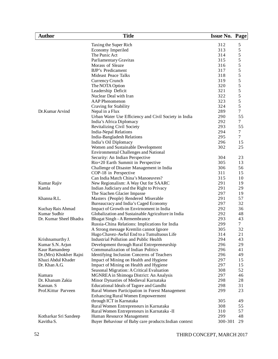| <b>Author</b>           | <b>Title</b>                                          | <b>Issue No. Page</b> |                                            |
|-------------------------|-------------------------------------------------------|-----------------------|--------------------------------------------|
|                         | Taxing the Super Rich                                 | 312                   | 5                                          |
|                         | Economy Imperiled                                     | 313                   | $\mathfrak s$                              |
|                         | The Punic Act                                         | 314                   | 5                                          |
|                         | Parliamentary Gravitas                                | 315                   | 5                                          |
|                         | Morass of Sleaze                                      | 316                   | 5                                          |
|                         | <b>BJP's Predicament</b>                              | 317                   | 5                                          |
|                         | Mideast Peace Talks                                   | 318                   |                                            |
|                         | Currency Crunch                                       | 319                   |                                            |
|                         | The NOTA Option                                       | 320                   | $\begin{array}{c} 5 \\ 5 \\ 5 \end{array}$ |
|                         | Leadership Deficit                                    | 321                   | 5                                          |
|                         | Nuclear Deal with Iran                                | 322                   | 5                                          |
|                         | <b>AAP</b> Phenomenon                                 | 323                   | 5                                          |
|                         |                                                       | 324                   | 5                                          |
|                         | Craving for Stability                                 | 289                   | $\tau$                                     |
| Dr.Kumar Arvind         | Nepal in a Flux                                       |                       |                                            |
|                         | Urban Water Use Efficiency and Civil Society in India | 290                   | 55                                         |
|                         | India's Africa Diplomacy                              | 292                   | $\tau$                                     |
|                         | Revitalizing Civil Society                            | 293                   | 55                                         |
|                         | <b>India-Nepal Relations</b>                          | 294                   | 7                                          |
|                         | India-Bangladesh Relations                            | 295                   | $\tau$                                     |
|                         | India's Oil Diplomacy                                 | 296                   | 15                                         |
|                         | Women and Sustainable Development                     | 302                   | 25                                         |
|                         | <b>Environmental Challenges and National</b>          |                       |                                            |
|                         | Security: An Indian Perspective                       | 304                   | 23                                         |
|                         | Rio+20 Earth Summit in Perspective                    | 305                   | 13                                         |
|                         | Challenge of Disaster Management in India             | 306                   | 56                                         |
|                         | COP-18 in Perspective                                 | 311                   | 15                                         |
|                         | Can India Match China's Manoeuvres?                   | 315                   | 10                                         |
| Kumar Rajiv             | New Regionalism: A Way Out for SAARC                  | 291                   | 19                                         |
| Kamla                   | Indian Judiciary and the Right to Privacy             | 291                   | 29                                         |
|                         | The Siachen Glacier Impasse                           | 297                   | 19                                         |
| Khanna R.L.             | Masters (People) Rendered Miserable                   | 291                   | 57                                         |
|                         | Bureaucracy and India's Caged Economy                 | 297                   | 32                                         |
| Kuchay Rais Ahmad       | Impact of Growth on Envirnoment in India              | 292                   | 36                                         |
| Kumar Sudhir            | Globalization and Sustainable Agriculture in India    | 292                   | 48                                         |
| Dr. Kumar Sheel Bhadra  | Bhagat Singh - A Remembrance                          | 293                   | 43                                         |
|                         | Russia-China Relations: Implications for India        | 299                   | $\tau$                                     |
|                         | A Strong message Kremlin cannot Ignore                | 305                   | 32                                         |
|                         | Hugo Chavez-Awful End to a Tumultuous Life            | 314                   | 21                                         |
| Krishnamurthy J.        | Industrial Pollution and Public Health                | 294                   | 43                                         |
| Kumar S.N. Arjun        | Development through Rural Entrepreneurship            | 296                   | 29                                         |
| Kaur Ramandeep          | Communalization of Indian Politics                    | 296                   | 41                                         |
| Dr. (Mrs) Khokher Rajni | Identifying Inclusion Concerns of Teachers            | 296                   | 49                                         |
| Khazi Abdul Khader      | Impact of Mining on Health and Hygiene                | 297                   | 15                                         |
| Dr. Khan A.G.           | Impact of Mining on Health and Hygiene                | 297                   | 15                                         |
|                         | Seasonal Migration: A Critical Evaluation             | 308                   | 52                                         |
| Kumara                  | MGNREA in Shimoga District: An Analysis               | 297                   | 46                                         |
| Dr. Khanum Zakia        | Minor Dynasties of Medieval Karnataka                 | 298                   | 28                                         |
| Kannan. S               | Educational Ideals of Tagore and Gandhi               | 298                   | 31                                         |
| Prof.Kittur Parveen     | Rural Women Participation in Forest Management        | 299                   | 23                                         |
|                         | <b>Enhancing Rural Women Empowerment</b>              |                       |                                            |
|                         | through ICT in Karnataka                              | 305                   | 49                                         |
|                         | Rural Women Entrepreneurs in Karnataka                | 308                   | 55                                         |
|                         | Rural Women Entrepreneurs in Karnataka -II            | 310                   | 57                                         |
|                         |                                                       | 299                   | 48                                         |
| Kotharkar Sri Sandeep   | Human Resource Management                             |                       |                                            |
| Kavitha S.              | Buyer Behaviour of Baby care products: Indian context | 300-301               | 29                                         |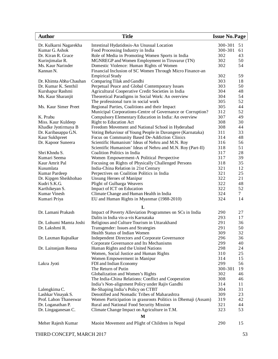| <b>Author</b>                               | <b>Title</b>                                                                                               | <b>Issue No. Page</b> |             |
|---------------------------------------------|------------------------------------------------------------------------------------------------------------|-----------------------|-------------|
| Dr. Kulkarni Nagarekha                      | Intestinal Hydatidosis-An Unusual Location                                                                 | 300-301               | 51          |
| Kumar G. Ashok                              | Food Processing Industry in India                                                                          | 300-301               | 61          |
| Dr. Kiran R. Grace                          | Role of Media in Promoting Women Sports in India                                                           | 302                   | 43          |
| Kurinjimalar R.                             | MGNREGP and Women Employment in Tiruvarur (TN)                                                             | 302                   | 50          |
| Ms. Kaur Narinder                           | Domestic Violence: Human Rights of Women                                                                   | 302                   | 54          |
| Kannan N.                                   | Financial Inclusion of SC Women Through Micro Finance-an                                                   |                       |             |
|                                             | <b>Empirical Study</b>                                                                                     | 302                   | 59          |
| Dr. Khimta Abha Chauhan                     | Comparing Tilak and Gandhi                                                                                 | 303                   | 18          |
| Dr. Kumar K. Senthil                        | Perpetual Peace and Global Contemporary Issues                                                             | 303                   | 50          |
| Kurshapur Rashmi                            | Agricultural Cooperative Credit Societies in India                                                         | 304                   | 48          |
| Ms. Kaur Sharanjit                          | Theoretical Paradigms in Social Work: An overview                                                          | 304                   | 54          |
|                                             | The professional turn in social work                                                                       | 305                   | 52          |
| Ms. Kaur Simer Preet                        | Regional Parties, Coalitions and their Impact                                                              | 305                   | 44          |
|                                             | Municipal Corporations-Centre of Governance or Corruption?                                                 | 312                   | 52          |
| K. Prabu                                    | Compulsory Elementary Education in India: An overview                                                      | 307                   | 49<br>30    |
| Miss. Kaur Kuldeep                          | <b>Right to Education Act</b>                                                                              | 308<br>308            |             |
| Khadke Jyotirmaya B<br>Dr. Karibasappa G.N. | Freedom Movement and National School in Hyderabad                                                          | 311                   | 44<br>33    |
| Kaur Sukhpreet                              | Voting Behaviour of Young People in Davangere (Karnataka)<br>Focus on Community Based De-Addiction Clinics | 314                   | 48          |
| Dr. Kapoor Suneera                          | Scientific Humanism' Ideas of Nehru and M.N. Roy                                                           | 316                   | 56          |
|                                             | Scientific Humanism' Ideas of Nehru and M.N. Roy (Part-II)                                                 | 318                   | 51          |
| Shri Khndu S.                               | Coalition Politics in India                                                                                | 317                   | 28          |
| Kumari Seema                                | Women Empowerment-A Political Perspective                                                                  | 317                   | 39          |
| Kaur Amrit Pal                              | Focusing on Rights of Physically Challenged Persons                                                        | 318                   | 35          |
| Kusumlata                                   | India-China Relation in 21st Century                                                                       | 321                   | 12          |
| Kumar Pardeep                               | Perpectives on Coalition Politics in India                                                                 | 321                   | 25          |
| Dr. Kipgen Sheikhohao                       | Unsung Heroes of Manipur                                                                                   | 322                   | 21          |
| Kudri S.K.G.                                | Plight of Gulbarga Weavers                                                                                 | 322                   | 48          |
| Karthikeyan S.                              | Impact of ICT on Education                                                                                 | 322                   | 52          |
| <b>Kumar Vinesh</b>                         | Climate Change and Human Health in India                                                                   | 324                   | $7^{\circ}$ |
| Kumari Priya                                | EU and Human Rights in Myanmar (1988-2010)                                                                 | 324                   | 14          |
|                                             | L                                                                                                          |                       |             |
| Dr. Lamani Prakash                          | Impact of Poverty Alleviation Programmes on SCs in India                                                   | 290                   | 27          |
|                                             | Dalits in India vis-a-vis Karnataka                                                                        | 293                   | 17          |
| Dr. Lohumi Mamta Joshi                      | Religious and Culture Tourism in Uttarakhand                                                               | 291                   | 36          |
| Dr. Lakshmi R.                              | Transgender: Issues and Strategies                                                                         | 291                   | 50          |
|                                             | Health Status of Indian Women                                                                              | 309                   | 32          |
| Dr. Laxman Rajnalkar                        | Independent Directors and Corporate Governance                                                             | 296                   | 36          |
|                                             | Corporate Governance and Its Mechanisms                                                                    | 299                   | 40          |
| Dr. Laitonjam Reena                         | Human Rights and the United Nations                                                                        | 298                   | 24          |
|                                             | Women, Social Justice and Human Rights                                                                     | 310                   | 25          |
|                                             | Women Empowerment in Manipur                                                                               | 314                   | 15          |
| Lakra Jyoti                                 | FDI and Indian Economy                                                                                     | 299                   | 56          |
|                                             | The Return of Putin                                                                                        | 300-301               | 19          |
|                                             | Globalization and Women's Rights                                                                           | 302                   | 46          |
|                                             | The India-China Relations: Conflict and Cooperation                                                        | 308                   | 46          |
|                                             | India's Non-alignment Policy under Rajiv Gandhi                                                            | 314                   | 11          |
| Lalengkima C.                               | Re-Shaping India's Policy on CTBT                                                                          | 304                   | 31          |
| Lashkar Vinayak S.                          | Denotified and Nomadic Tribes of Maharashtra                                                               | 309                   | 23          |
| Prof. Lahon Thaneswar                       | Women Participation in grassroots Politics in Dhemaji (Assam)                                              | 319<br>321            | 42<br>44    |
| Dr. Loganathan P.                           | Rural and National Food Security Mission                                                                   | 323                   | 53          |
| Dr. Lingaganesan C.                         | Climate Change Impact on Agriculture in T.M.<br>M                                                          |                       |             |
|                                             |                                                                                                            |                       |             |
| Meher Rajesh Kumar                          | Maoist Movement and Plight of Children in Nepal                                                            | 290                   | 15          |
|                                             |                                                                                                            |                       |             |

THIRD CONCEPT, MARCH 2017 53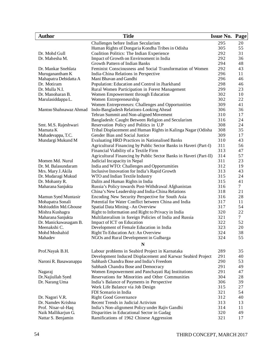| <b>Author</b>                         | <b>Title</b>                                                                                  | <b>Issue No. Page</b> |                 |
|---------------------------------------|-----------------------------------------------------------------------------------------------|-----------------------|-----------------|
|                                       | Challenges before Indian Secularism                                                           | 295                   | 20              |
|                                       | Human Rights of Dongaria Kondha Tribes in Odisha                                              | 305                   | 55              |
| Dr. Mohd Gull                         | Coalition Politics: The Indian Experience                                                     | 292                   | 31              |
| Dr. Mahesha M.                        | Impact of Growth on Envirnoment in India                                                      | 292                   | 36              |
|                                       | Growth Pattern of Indian Banks                                                                | 294                   | 48              |
| Dr. Mankar Snehlata                   | Feminist Consciousness and Social Transformation of Women                                     | 292                   | 43              |
| Muruganantham K                       | India-China Relations in Perspective                                                          | 296                   | 11              |
| Mahapatra Debidatta A                 | Mani Bhavan and Gandhi                                                                        | 296                   | 46              |
| Dr. Motiram                           | Population: Education and Control in Jharkhand                                                | 298                   | 46              |
| Dr. Mulla N.I.                        | Rural Women Participation in Forest Management                                                | 299                   | 23              |
| Dr. Manoharan B.                      | Women Empowerment through Education                                                           | 302                   | 10              |
| Marulasiddappa L.                     | Women Entrepreneurship                                                                        | 302                   | 22              |
|                                       | Women Entrepreneurs: Challenges and Opportunities                                             | 309                   | 41              |
| Mantoo Shahnawaz Ahmad                | Indo-Bangladesh Relations-Looking Ahead                                                       | 306                   | 36              |
|                                       | Tehran Summit and Non-aligned Movement                                                        | 310                   | 17              |
|                                       | Bangladesh: Caught Between Religion and Secularism                                            | 316                   | 24              |
| Smt. M.S. Rajeshwari                  | Reservation Policy and Politics in U.P                                                        | 308                   | 24              |
| Mamata K                              | Tribal Displacement and Human Rights in Kalinga Nagar (Odisha                                 | 308                   | 35              |
| Mahadevappa, T.C.                     | Gender Bias and Social Justice                                                                | 309                   | 17              |
| Mundargi Mukund M                     | <b>Evaluating HRD Practices in Nationalised Banks</b>                                         | 310                   | 43              |
|                                       | Agricultural Financing by Public Sector Banks in Haveri (Part-I)                              | 311                   | 56              |
|                                       | Financial Viability of a Textile Firm                                                         | 313                   | 47              |
|                                       | Agricultural Financing by Public Sector Banks in Haveri (Part-II)                             | 314                   | 57              |
| Momen Md. Nurul                       | Judicial Incapacity in Nepal                                                                  | 311                   | 23              |
| Dr. M. Balasundaram                   | India and WTO: Challenges and Opportumities                                                   | 312                   | 19              |
| Mrs. Mary J. Akila                    | Inclusive Innovation for India's Rapid Growth                                                 | 313                   | 43              |
| Dr. Mudaragi Mukud                    | WTO and Indian Textile Industry                                                               | 315                   | 24              |
| Dr. Mohanty R.                        | Dalits and Human Rights in India                                                              | 315                   | 41              |
| Maharana Sanjukta                     | Russia's Policy towards Post-Withdrawal Afghanistan                                           | 316                   | $\overline{7}$  |
|                                       | China's New Leadership and India-China Relations                                              | 318                   | 21              |
| Mamun Syed Muntasir                   | Encoding New Security Perspective for South Asia                                              | 316                   | 28              |
| Mohapatra Sonali                      | Potential for Water Conflict between China and India                                          | 317                   | 11              |
| Mohiuddin Md.Ghouse                   | Spatial Data Mining - An Overview                                                             | 317                   | 54              |
| Mishra Kushagra                       | Right to Information and Right to Privacy in India                                            | 320                   | 22              |
| Maharana Sanjukta                     | Multilateralism in foreign Policies of India and Russia                                       | 321                   | $7\overline{ }$ |
| Dr. Manickawasagam B.                 | Impact of ICT on Education                                                                    | 322                   | 52              |
| Meenakshi C.                          | Development of Female Education in India                                                      | 323                   | 20              |
| Mohd Moshahid                         | Right To Education Act: An Overview                                                           | 324                   | 38              |
| Mahadev                               | NGOs and Rural Development in Gulbarga                                                        | 324                   | 55              |
|                                       | N                                                                                             |                       |                 |
| Prof.Nayak B.H.                       | Labour problems in Seabird Project in Karnataka                                               | 289                   | 35              |
|                                       | Development Induced Displacement and Karwar Seabird Project                                   | 291                   | 40              |
| Naroni R. Basawanappa                 | Subhash Chandra Bose and India's Freedom                                                      | 290                   | 53              |
|                                       | Subhash Chandra Bose and Democracy                                                            | 291                   | 49              |
| Nagaraj                               | Women Empowerment and Panchayati Raj Institutions                                             | 291                   | 47              |
| Dr.Najiullah Syed                     | Reservations for Minorities and Other Communities                                             | 304                   | 28              |
| Dr. Narang Uma                        | India's Balance of Payments in Perspective                                                    | 306                   | 39              |
|                                       | Work Life Balance via Job Design                                                              | 315                   | 27              |
|                                       | FDI Scenario in India                                                                         | 321                   | 54              |
|                                       | <b>Right Good Governance</b>                                                                  | 312                   | 40              |
| Dr. Nagori V.R.<br>Dr. Namdev Krishna | Recent Trends in Judicial Activism                                                            | 313                   |                 |
| Prof. Nisar-ul-Haq                    |                                                                                               | 314                   | 13<br>11        |
| Naik Mallikarjun G.                   | India's Non-alignment Policy under Rajiv Gandhi<br>Disparities in Educational Sector in Gadag | 320                   | 49              |
|                                       |                                                                                               | 321                   | 17              |
| Nattar S. Benjamin                    | Ramifications of 1962 Chinese Aggression                                                      |                       |                 |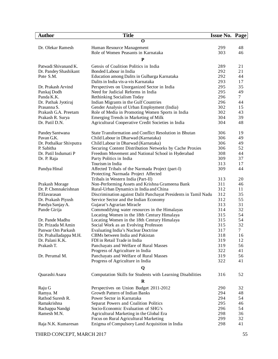| <b>Author</b>           | <b>Title</b>                                                                        | Issue No. Page |          |
|-------------------------|-------------------------------------------------------------------------------------|----------------|----------|
|                         | O                                                                                   |                |          |
| Dr. Olekar Ramesh       | Human Resource Management                                                           | 299            | 48       |
|                         | Role of Women Peasants in Karnataka                                                 | 303            | 46       |
|                         | ${\bf P}$                                                                           |                |          |
|                         |                                                                                     |                |          |
| Patwadi Shivanand K.    | Gensis of Coalition Politics in India                                               | 289            | 21       |
| Dr. Pandey Shashikant   | Bonded Labour in India                                                              | 292<br>292     | 21<br>44 |
| Pote S.M.               | Education among Dalits in Gulbarga Karnataka<br>Dalits in India vis-a-vis Karnataka | 293            | 17       |
| Dr. Prakash Arvind      |                                                                                     | 295            | 35       |
| Pankaj Dodh             | Perspectives on Unorganized Sector in India<br>Need for Judicial Reforms in India   | 295            | 49       |
| Panda K.K.              | Rethinking Socialism Today                                                          | 296            | $\tau$   |
| Dr. Pathak Jyotiraj     | Indian Migrants in the Gulf Countries                                               | 296            | 44       |
| Prasanna S.             | Gender Analysis of Urban Employment (India)                                         | 302            | 15       |
| Prakash G.A. Preetam    | Role of Media in Promoting Women Sports in India                                    | 302            | 43       |
| Prakash R. Surya        | Emerging Trends in Marketing of Milk                                                | 304            | 39       |
| Dr. Patil D.N.          | Agricultural Cooperative Credit Societies in India                                  | 304            | 48       |
|                         |                                                                                     |                |          |
| Pandey Santwana         | State Transformation and Conflict Resolution in Bhutan                              | 306            | 19       |
| Pavan G.K.              | Child Labour in Dharwad (Karnataka)                                                 | 306            | 49       |
| Dr. Pothalkar Shivputra | Child Labour in Dharwad (Karnataka)                                                 | 306            | 49       |
| P. Sabitha              | Securing Content Distribution Networks by Cache Proxies                             | 306            | 52       |
| Dr. Patil Indumati P    | Freedom Movement and National School in Hyderabad                                   | 308            | 44       |
| Dr. P. Raja             | Party Politics in India                                                             | 309            | 37       |
|                         | Tourism in India                                                                    | 313            | 17       |
| Pandya Hinal            | Affected Tribals of the Narmada Project (part-I)                                    | 309            | 44       |
|                         | Protecting Narmada Project Affected                                                 |                |          |
|                         | Tribals in Western India (Part-II)                                                  | 313            | 20       |
| Prakash Morage          | Non-Performing Assets and Krishna Grameena Bank                                     | 311            | 46       |
| Dr. P. Chennakrishnan   | Rural-Urban Dynamics in India and China                                             | 312            | 11       |
| P.Elavarasan            | Discrimination against Dalit Panchayat Presidents in Tamil Nadu                     | 312            | 35       |
| Dr. Prakash Piyush      | Service Sector and the Indian Economy                                               | 312            | 55       |
| Pandya Sanjay A.        | Gujarat's Agrarian Miracle                                                          | 313            | 31       |
| Pande Girija            | Commodifying water resources in the Himalayas                                       | 314            | 32       |
|                         | Locating Women in the 18th Century Himalaya                                         | 315            | 54       |
| Dr. Pande Madhu         | Locating Women in the 18th Century Himalaya                                         | 315            | 54       |
| Dr. Prizada M Amin      | Social Work as an Evolving Professon                                                | 315            | 32       |
| Panwar Om Parkash       | <b>Evaluating India's Nuclear Doctrine</b>                                          | 317            | $\tau$   |
| Dr. Prahalladappa M.H.  | CBMs between India and Pakistan                                                     | 318            | 16       |
| Dr. Palani K.K.         | FDI in Retail Trade in India                                                        | 319            | 12       |
| Prakash T.              | Panchayats and Welfare of Rural Masses                                              | 319            | 56       |
|                         | Progress of Agriculture in India                                                    | 322            | 41       |
| Dr. Perumal M.          | Panchayats and Welfare of Rural Masses                                              | 319            | 56       |
|                         | Progress of Agriculture in India                                                    | 322            | 41       |
|                         | Q                                                                                   |                |          |
| Quarashi Asara          | Computation Skills for Students with Learning Disabilities                          | 316            | 52       |
|                         | $\bf{R}$                                                                            |                |          |
| Raju G                  | Perspectives on Union Budget 2011-2012                                              | 290            | 32       |
| Ramya. M                | Growth Pattern of Indian Banks                                                      | 294            | 48       |
| Rathod Suresh R.        | Power Sector in Karnataka                                                           | 294            | 54       |
| Ramakrishna             | Separat Powers and Coalition Politics                                               | 295            | 46       |
| Rachappa Nandgi         | Socio-Economic Evaluation of SHG's                                                  | 296            | 54       |
| Ramesh M.N.             | Agricultural Marketing in the Global Era                                            | 298            | 36       |
|                         | Focus on Rural Agricultural Marketing                                               | 299            | 32       |
| Raja N.K. Kumaresan     | Enigma of Compulsory Land Acquisition in India                                      | 298            | 41       |
|                         |                                                                                     |                |          |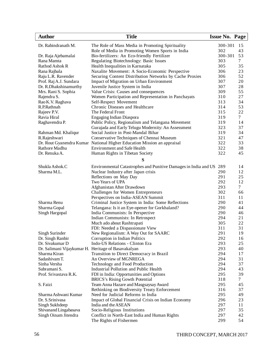| <b>Author</b>                                       | <b>Title</b>                                                            | <b>Issue No. Page</b> |                 |
|-----------------------------------------------------|-------------------------------------------------------------------------|-----------------------|-----------------|
| Dr. Rabindranath M.                                 | The Role of Mass Media in Promoting Spirituality                        | 300-301               | 15              |
|                                                     | Role of Media in Promoting Women Sports in India                        | 302                   | 43              |
| Dr. Raja Ajebamalai                                 | Bio-fertilizers: An Eco-friendly Fertilizer                             | 300-301               | 53              |
| Rana Mamta                                          | Regulating Biotechnology: Basic Issues                                  | 303                   | 7               |
| Rathod Ashok R                                      | Health Inequalities in Karnataka                                        | 305                   | 35              |
| Rana Rajbala                                        | Naxalite Movement: A Socio-Economic Perspective                         | 306                   | 23              |
| Raju L.R. Ravender                                  | Securing Content Distribution Networks by Cache Proxies                 | 306                   | 52              |
| Prof. Raj A.J. Sundara                              | Impact of Migration on Urban Environment                                | 307                   | 20              |
| Dr. R.Dhakshinamurthy                               | Juvenile Justice System in India                                        | 307                   | 28              |
| Mrs. Rani S. Sophia                                 | Value Crisis: Causes and consequences                                   | 309                   | 55              |
| Rajendra S.                                         | Women Participation and Representation in Panchayats                    | 310                   | 27              |
| Rao K.V. Raghava                                    | Self-Respect Movement                                                   | 313                   | 34              |
| R.P.Rathnah                                         | Chronic Diseases and Healthcare                                         | 314                   | 53              |
| Rajeev P.V.                                         | The Federal Front                                                       | 315                   | 22              |
| Ravia Hiral                                         | Engaging Indian Diaspora                                                | 319                   | $7\overline{ }$ |
| Raghavendra P.                                      | Public Policy, Regionalism and Telangana Movement                       | 319                   | 14              |
|                                                     | Gurajada and Early Telugu Modernity: An Assessment                      | 323                   | 37              |
| Rahman Md. Khaliqur                                 | Social Justice in Post-Mandal Bihar                                     | 319                   | 34              |
| R.Rajeshwari                                        | Conservative Techniques of Chennai Museum                               | 321                   | 47              |
|                                                     | Dr. Rout Gyanendra Kumar National Higher Education Mission an appraisal | 322                   | 33              |
| Rathore Madhu                                       | <b>Environment and Safe Health</b>                                      | 322                   | 38              |
| Dr. Renuka A.                                       | Human Rights in Tibetan Society                                         | 322                   | 45              |
|                                                     | S                                                                       |                       |                 |
| Shukla Ashok.C                                      | Environmental Catastrophes and Punitive Damages in India and US 289     |                       | 14              |
| Sharma M.L.                                         | Nuclear Industry after Japan crisis                                     | 290                   | 12              |
|                                                     | Reflections on May Day                                                  | 291                   | 25              |
|                                                     | Two Years of UPA                                                        | 292                   | 12              |
|                                                     | Afghanistan After Drawdown                                              | 293                   | $\tau$          |
|                                                     | Challenges for Women Entrepreneurs                                      | 302                   | 66              |
|                                                     | Perspectives on India-ASEAN Summit                                      | 311                   | 11              |
| Sharma Renu                                         | Criminal Justice System in India: Some Reflections                      | 290                   | 41              |
| Sharma Gopal                                        | Telangana: Is it an Eye-opener for Gorkhaland?                          | 290                   | 44              |
| Singh Hargopal                                      | India Communists: In Perspective                                        | 290                   | 46              |
|                                                     | Indian Communists: In Retrospect                                        | 294                   | 21              |
|                                                     | Much ado about Rashtrapati                                              | 305                   | 22              |
|                                                     | FDI: Needed a Dispassionate View                                        | 311                   | 31              |
| Singh Surinder                                      | New Regionalism: A Way Out for SAARC                                    | 291                   | 19              |
| Dr. Singh Ranbir                                    | Corruption in Indian Politics                                           | 292                   | 16              |
| Dr. Sivakumar D                                     | Indo-US Relations - Clinton Era                                         | 293                   | 25              |
| Dr. Salimani Vijaykumar H. Heritage of Basavakalyan |                                                                         | 293                   | 40              |
| Sharma Kiran                                        | Transition to Direct Democracy in Brazil                                | 294                   | 17              |
| Sadashivam T.                                       | An Overview of MGNREGA                                                  | 294                   | 31              |
| Sinha Versha                                        | Technology and Food Production                                          | 294                   | 37              |
| Subramani S.                                        | Industrial Pollution and Public Health                                  | 294                   | 43              |
| Prof. Srivastava R.K.                               | FDI in India: Opportunities and Options                                 | 295                   | 39              |
|                                                     | <b>BRICS's Rising Gowth Potential</b>                                   | 318                   | $\tau$          |
| S. Faizi                                            | Team Anna Hazare and Masgsaysay Award                                   | 295                   | 45              |
|                                                     | Rethinking on Biodiversity Treaty Enforcement                           | 316                   | 37              |
| Sharma Ashwani Kumar                                | Need for Judicial Reforms in India                                      | 295                   | 49              |
| Dr. S.Srinivasa                                     | Impact of Global Financial Crisis on Indian Economy                     | 296                   | 23              |
| Singh Sukhdeep                                      | India and the ASEAN                                                     | 297                   | 11              |
| Shivanand Lingabasava                               | Socio-Religious Institutions                                            | 297                   | 35              |
| Singh Oinam Jitendra                                | Conflict in North-East India and Human Rights                           | 297                   | 42              |
|                                                     | The Rights of Fishermen                                                 | 299                   | 54              |
|                                                     |                                                                         |                       |                 |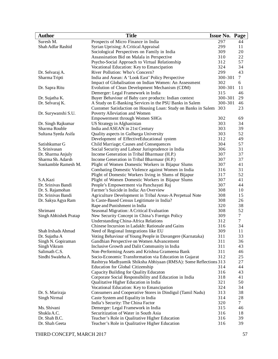| <b>Author</b>                  | <b>Title</b>                                                       | <b>Issue No. Page</b> |                     |
|--------------------------------|--------------------------------------------------------------------|-----------------------|---------------------|
| Suresh M.                      | Prospects of Micro Finance in India                                | 297                   | 44                  |
| Shah Adfar Rashid              | Syrian Uprising: A Critical Appraisal                              | 299                   | 11                  |
|                                | Sociological Perspectives on Family in India                       | 309                   | 20                  |
|                                | Assassination Bid on Malala in Perspective                         | 310                   | 22                  |
|                                | Psycho-Social Approach to Virtual Relationship                     | 312                   | 57                  |
|                                | Vocational Education: Key to Emancipation                          | 324                   | 34                  |
| Dr. Selvaraj A.                | River Pollution: Who's Concern?                                    | 299                   | 43                  |
| Sharma Tripti                  | India and Asean: A 'Look East' Policy Perspective                  | 300-301               | $\tau$              |
|                                | Impact of Globalisation on Indian Women: An Assessment             | 302                   | 6                   |
| Dr. Sapra Ritu                 | Evolution of Clean Development Mechanism (CDM)                     | 300-301               | 11                  |
|                                | Demerger: Legal Framework in India                                 | 315                   | 46                  |
| Dr. Sujatha K.                 | Buyer Behaviour of Baby care products: Indian context              | 300-301               | 29                  |
| Dr. Selvaraj K.                | A Study on E-Banking Services in the PSU Banks in Salem            | 300-301               | 46                  |
|                                | Customer Satisfaction on Housing Loan: Study on Banks in Salem 303 |                       | 23                  |
| Dr. Surywanshi S.U.            | Poverty Alleviation and Women                                      |                       |                     |
|                                | Empowerment through Women SHGs                                     | 302                   | 69                  |
| Dr. Singh Rajkumar             | US Strategy in Afghanistan                                         | 303                   | 34                  |
| Sharma Rouble                  | India and ASEAN in 21st Century                                    | 303                   | 39                  |
| Sultana Syeda Asifa            | Quality aspects in Gulbarga University                             | 303                   | 52                  |
|                                | Development of EffectiveEducational system                         | 312                   | 49                  |
| Satishkumar G                  | Child Marriage; Causes and Consequences                            | 304                   | 57                  |
| S. Srinivasan                  | Social Security and Labour Jurisprudence in India                  | 306                   | 31                  |
| Dr. Sharma Anjuly              | Income Generation in Tribal Bharmaur (H.P.)                        | 307                   | 37                  |
| Sharma Sh. Adarsh              | Income Generation in Tribal Bharmaur (H.P.)                        | 307                   | 37                  |
| Sonkamble Ramesh M.            | Plight of Women Domestic Workers in Bijapur Slums                  | 307                   | 41                  |
|                                | Combating Domestic Violence against Women in India                 | 316                   | 31                  |
|                                |                                                                    |                       | 52                  |
|                                | Plight of Domestic Workers living in Slums of Bijapur              | 317<br>307            | 41                  |
| S.A.Kazi<br>Dr. Srinivas Bandi | Plight of Women Domestic Workers in Bijapur Slums                  | 307                   | 44                  |
|                                | People's Empowerment via Panchayati Raj                            | 308                   |                     |
| Dr. S. Rajamohan               | Farmer's Suicide in India: An Overview                             |                       | 10                  |
| Dr. Srinivas Bandi             | Agriculture Development in Tribal Areas-A Perpetual Note           | 308                   | 15                  |
| Dr. Sakya Agya Ram             | Is Caste-Based Census Legitimate in India?                         | 308                   | 26                  |
|                                | Rape and Punishment in India                                       | 320                   | 38                  |
| Shrimant                       | Seasonal Migration: A Critical Evaluation                          | 308                   | 52                  |
| Singh Abhishek Pratap          | New Security Concept in China's Foreign Policy                     | 309                   | 7<br>$\overline{7}$ |
|                                | <b>Understanding China-Africa Relations</b>                        | 312                   |                     |
|                                | Chinese Incursion in Ladakh: Rationale and Gains                   | 316                   | 34                  |
| Shah Irshads Ahmad             | Need of Regional Integrations like EU                              | 309                   | 11                  |
| Dr. Sujatha A                  | Voting Behaviour of Young People in Davangere (Karnataka)          | 311                   | 33                  |
| Singh N. Gopiraman             | Gandhian Perspective on Women Advancement                          | 311                   | 36                  |
| Singh Vikram                   | Inclusive Growth and Dalit Community in India                      | 311                   | 43                  |
| Salimath C.S.                  | Non-Performing Assets and Krishna Grameena Bank                    | 311                   | 46                  |
| Sindhi Swaleha A.              | Socio-Economic Transformation via Education in Gujarat             | 312                   | 25                  |
|                                | Rashtrya Madhyamik Shiksha Abhiyaan (RMSA): Some Reflections 313   |                       | 27                  |
|                                | Education for Global Citizenship                                   | 314                   | 44                  |
|                                | Capacity Building for Quality Educaton                             | 316                   | 43                  |
|                                | Corporate Social Responsibility and Education in India             | 318                   | 41                  |
|                                | Qualitative Higher Education in India                              | 321                   | 50                  |
|                                | Vocational Education: Key to Emancipation                          | 324                   | 34                  |
| Dr. S. Mariraja                | Consumers and Cooperative Stores in Dindigul (Tamil Nadu)          | 313                   | 38                  |
| Singh Nirmal                   | Caste System and Equality in India                                 | 314                   | 28                  |
|                                | India's Security: The China Factor                                 | 320                   | 7                   |
| Ms. Shivani                    | Demerger: Legal Framework in India                                 | 315                   | 46                  |
| Shukla A.C.                    | Securitization of Water in South Asia                              | 316                   | 18                  |
| Dr. Shah B.C.                  | Teacher's Role in Qualitative Higher Education                     | 316                   | 39                  |
| Dr. Shah Geeta                 | Teacher's Role in Qualitative Higher Education                     | 316                   | 39                  |

THIRD CONCEPT, MARCH 2017 57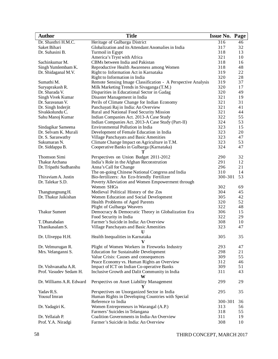| <b>Author</b>            | <b>Title</b>                                                 | <b>Issue No. Page</b> |    |
|--------------------------|--------------------------------------------------------------|-----------------------|----|
| Dr. Shasthri H.M.C.      | Heritage of Gulbarga District                                | 316                   | 46 |
| Saket Bihari             | Globalization and its Attendant Anomalies in India           | 317                   | 32 |
| Dr. Suhasini B.          | Turmoil in Egypt                                             | 318                   | 13 |
|                          | America's Tryst with Africa                                  | 321                   | 10 |
| Sachinkumar M.           | CBMs between India and Pakistan                              | 318                   | 16 |
| Singh Yumlembam K.       | Reproductive Health Awareness among Women                    | 318                   | 48 |
| Dr. Shidaganal M.V.      | Right to Information Act in Karnataka                        | 319                   | 22 |
|                          | Right to Information in India                                | 320                   | 28 |
| Sumathi M.               | Remote Sensing Image Classification - A Perspective Analysis | 319                   | 37 |
| Suryaprakash R.          | Milk Marketing Trends in Sivaganga (T.M.)                    | 320                   | 17 |
| Dr. Sharada V.           | Disparities in Educational Sector in Gadag                   | 320                   | 49 |
| Singh Vivek Kumar        | Disaster Management in India                                 | 321                   | 19 |
| Dr. Saravanan V.         | Perils of Climate Change for Indian Economy                  | 321                   | 31 |
| Dr. Singh Inderjit       | Panchayati Raj in India: An Overview                         | 321                   | 41 |
| Sivakkolundu C.          | Rural and National Food Security Mission                     | 321                   | 44 |
| Sahu Manoj Kumar         | Indian Companies Act. 2013-A Case Study                      | 322                   | 55 |
|                          | Indian Companies Act. 2013-A Case Study (Part-II)            | 324                   | 53 |
| Sindagikar Sameena       | Environmental Pollution in India                             | 323                   | 15 |
| Dr. Selvam K. Murali     | Development of Female Education in India                     | 323                   | 20 |
| Dr. S. Saraswathy        | Village Panchayats and Basic Amenities                       | 323                   | 47 |
| Sukumaran N.             | Climate Change Impact on Agriculture in T.M.                 | 323                   | 53 |
| Dr. Siddappa B.          | Cooperative Banks in Gulbarga (Karnataka)                    | 324                   | 47 |
| Thomson Simi             | T<br>Perspectives on Union Budget 2011-2012                  | 290                   | 32 |
| Thakur Archana           | India's Role in the Afghan Reconstrution                     | 291                   | 12 |
| Dr. Tripathi Sudhanshu   | Anna's Call for Change                                       | 296                   | 21 |
|                          | The on-going Chinese National Congress and India             | 310                   | 14 |
| Thiraviam A. Justin      | Bio-fertilizers: An Eco-friendly Fertilizer                  | 300-301               | 53 |
| Dr. Talekar S.D.         | Poverty Alleviation and Women Empowerment through            |                       |    |
|                          | Women SHGs                                                   | 302                   | 69 |
| Thangtungnung H.         | Medieval Political History of the Zos                        | 304                   | 45 |
| Dr. Thakur Jaikishan     | Women Education and Social Development                       | 305                   | 42 |
|                          | Health Problems of Aged Parents                              | 320                   | 52 |
|                          | Plight of Gulbarga Weavers                                   | 322                   | 48 |
| <b>Thakur Sumeet</b>     | Democracy & Democratic Theory in Globalization Era           | 306                   | 15 |
|                          | Food Security in India                                       | 322                   | 29 |
| T. Dhanabalan            | Farmer's Suicide in India: An Overview                       | 308                   | 10 |
| Thanikasalam S.          | Village Panchayats and Basic Amenities                       | 323                   | 47 |
|                          | U                                                            |                       |    |
| Dr. Uliveppa H.H.        | Health Inequalities in Karnataka<br>V                        | 305                   | 35 |
| Dr. Velmurugan R.        | Plight of Women Workers in Fireworks Industry                | 293                   | 47 |
| Mrs. Velanganni S.       | <b>Education for Sustainable Development</b>                 | 298                   | 21 |
|                          | Value Crisis: Causes and consequences                        | 309                   | 55 |
|                          | Peace Economy vs. Human Rights an Overview                   | 312                   | 46 |
| Dr. Vishvanatha A.R.     | Impact of ICT on Indian Co-operative Banks                   | 309                   | 51 |
| Prof. Vasudev Sedam H.   | Inclusive Growth and Dalit Community in India                | 311                   | 43 |
| Dr. Williams A.R. Edward | W<br>Perspectivs on Asset Liability Management<br>Y          | 299                   | 29 |
| Yadav R.S.               | Perspectives on Unorganized Sector in India                  | 295                   | 35 |
| Yousuf Imran             | Human Rights in Developing Countries with Special            |                       |    |
|                          | Reference to India                                           | 300-301               | 36 |
| Dr. Yadagiri K.          | Women Entrepreneurs in Warangal (A.P.)                       | 313                   | 56 |
|                          | Farmers' Suicides in Telangana                               | 318                   | 55 |
| Dr. Yellaiah P.          | Coalition Governments in India-An Overview                   | 311                   | 19 |
| Prof. Y.A. Niradgi       | Farmer's Suicide in India: An Overview                       | 308                   | 10 |